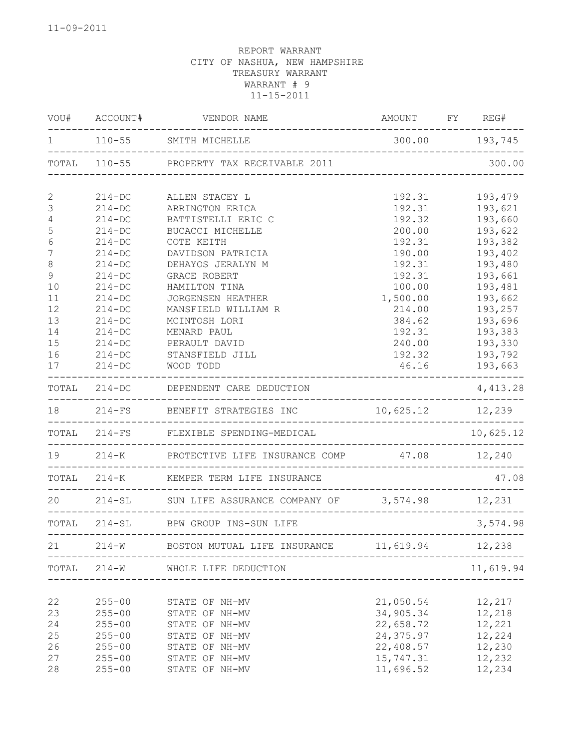| WOU#             | ACCOUNT#                 | VENDOR NAME                                             | AMOUNT FY REG#                     |                                           |
|------------------|--------------------------|---------------------------------------------------------|------------------------------------|-------------------------------------------|
| $\mathbf 1$      |                          |                                                         | 300.00 193,745                     |                                           |
|                  |                          | TOTAL 110-55 PROPERTY TAX RECEIVABLE 2011               | __________________________________ | 300.00                                    |
| $\mathbf{2}$     | $214 - DC$               | ALLEN STACEY L                                          | 192.31                             | 193,479                                   |
| 3                | $214 - DC$               | ARRINGTON ERICA                                         | 192.31                             | 193,621                                   |
| 4                | $214 - DC$               | BATTISTELLI ERIC C                                      | 192.32                             | 193,660                                   |
| 5                | $214 - DC$               | BUCACCI MICHELLE                                        | 200.00                             | 193,622                                   |
| 6                | $214-DC$                 | COTE KEITH                                              | 192.31                             | 193,382                                   |
| $\boldsymbol{7}$ | $214-DC$                 | DAVIDSON PATRICIA                                       | 190.00                             | 193,402                                   |
| 8                | $214 - DC$               | DEHAYOS JERALYN M                                       | 192.31                             | 193,480                                   |
| 9                | $214-DC$                 | GRACE ROBERT                                            | 192.31                             | 193,661                                   |
| 10               | $214-DC$                 | HAMILTON TINA                                           | 100.00                             | 193,481                                   |
| 11               | $214 - DC$               | <b>JORGENSEN HEATHER</b>                                | 1,500.00                           | 193,662                                   |
| 12               | $214 - DC$               | MANSFIELD WILLIAM R                                     | 214.00                             | 193,257                                   |
| 13               | $214-DC$                 | MCINTOSH LORI                                           | 384.62                             | 193,696                                   |
| 14               | $214-DC$                 | MENARD PAUL                                             | 192.31                             | 193,383                                   |
| 15               | $214 - DC$               | PERAULT DAVID                                           | 240.00                             | 193,330                                   |
| 16               | $214 - DC$               | STANSFIELD JILL                                         | 192.32                             | 193,792                                   |
| 17               | $214 - DC$               | WOOD TODD                                               | 46.16                              | 193,663                                   |
|                  |                          | TOTAL 214-DC DEPENDENT CARE DEDUCTION                   |                                    | 4,413.28                                  |
| 18               |                          | 214-FS BENEFIT STRATEGIES INC $10,625.12$ 12,239        |                                    |                                           |
|                  |                          | TOTAL 214-FS FLEXIBLE SPENDING-MEDICAL                  |                                    | 10,625.12                                 |
|                  |                          | 19 214-K PROTECTIVE LIFE INSURANCE COMP 47.08 12,240    |                                    |                                           |
|                  |                          | TOTAL 214-K KEMPER TERM LIFE INSURANCE                  |                                    | 47.08                                     |
|                  |                          | 20 214-SL SUN LIFE ASSURANCE COMPANY OF 3,574.98 12,231 |                                    |                                           |
|                  |                          | TOTAL 214-SL BPW GROUP INS-SUN LIFE                     | . _ _ _ _ _ _ _ _ _ _ _            | . _ _ _ _ _ _ _ _ _ _ _ _ _ _<br>3,574.98 |
| 21               | ------------------------ | 214-W BOSTON MUTUAL LIFE INSURANCE 11,619.94            | ---------------------------------  | 12,238                                    |
|                  | TOTAL 214-W              | WHOLE LIFE DEDUCTION                                    |                                    | 11,619.94                                 |
|                  |                          |                                                         |                                    |                                           |
| 22               | $255 - 00$               | STATE OF NH-MV                                          | 21,050.54                          | 12,217                                    |
| 23               | $255 - 00$               | STATE OF NH-MV                                          | 34,905.34                          | 12,218                                    |
| 24               | $255 - 00$               | STATE OF NH-MV                                          | 22,658.72                          | 12,221                                    |
| 25               | $255 - 00$               | STATE OF NH-MV                                          | 24, 375.97                         | 12,224                                    |
| 26               | $255 - 00$               | STATE OF NH-MV                                          | 22,408.57                          | 12,230                                    |
| 27               | $255 - 00$               | STATE OF NH-MV                                          | 15,747.31                          | 12,232                                    |
| 28               | $255 - 00$               | STATE OF NH-MV                                          | 11,696.52                          | 12,234                                    |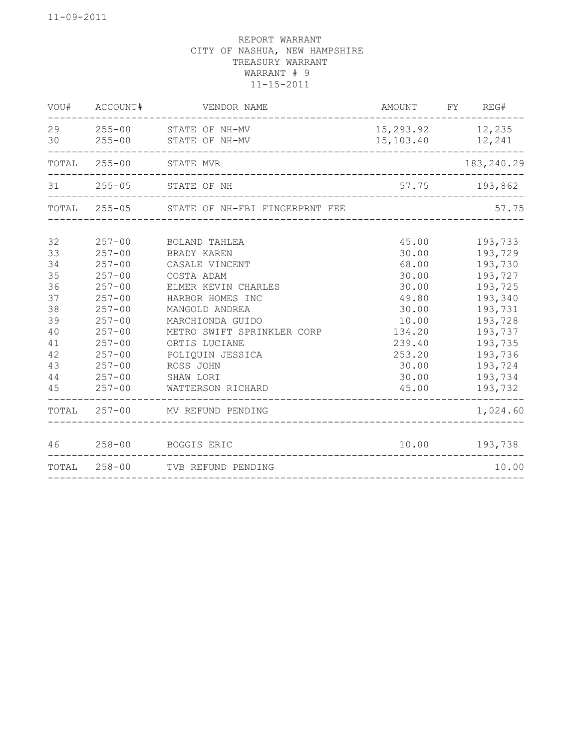|    | VOU# ACCOUNT# | VENDOR NAME                                          | AMOUNT FY REG#                            |               |
|----|---------------|------------------------------------------------------|-------------------------------------------|---------------|
|    |               | 29 255-00 STATE OF NH-MV<br>30 255-00 STATE OF NH-MV | 15, 293.92 12, 235<br>15, 103. 40 12, 241 |               |
|    | TOTAL 255-00  | STATE MVR                                            |                                           | 183, 240.29   |
|    |               | 31 255-05 STATE OF NH                                | 57.75 193,862                             |               |
|    |               | TOTAL 255-05 STATE OF NH-FBI FINGERPRNT FEE          |                                           | 57.75         |
| 32 | $257 - 00$    | BOLAND TAHLEA                                        | 45.00                                     | 193,733       |
| 33 | $257 - 00$    | BRADY KAREN                                          | 30.00                                     | 193,729       |
| 34 | $257 - 00$    | CASALE VINCENT                                       | 68.00                                     | 193,730       |
| 35 | $257 - 00$    | COSTA ADAM                                           | 30.00                                     | 193,727       |
| 36 | $257 - 00$    | ELMER KEVIN CHARLES                                  | 30.00                                     | 193,725       |
| 37 | $257 - 00$    | HARBOR HOMES INC                                     | 49.80                                     | 193,340       |
| 38 | $257 - 00$    | MANGOLD ANDREA                                       | 30.00                                     | 193,731       |
| 39 | $257 - 00$    | MARCHIONDA GUIDO                                     | 10.00                                     | 193,728       |
| 40 | $257 - 00$    | METRO SWIFT SPRINKLER CORP                           | 134.20                                    | 193,737       |
| 41 | $257 - 00$    | ORTIS LUCIANE                                        | 239.40                                    | 193,735       |
| 42 | $257 - 00$    | POLIQUIN JESSICA                                     | 253.20                                    | 193,736       |
| 43 | $257 - 00$    | ROSS JOHN                                            | 30.00                                     | 193,724       |
| 44 | $257 - 00$    | SHAW LORI                                            | 30.00                                     | 193,734       |
| 45 | $257 - 00$    | WATTERSON RICHARD                                    | 45.00                                     | 193,732       |
|    |               | TOTAL 257-00 MV REFUND PENDING                       |                                           | 1,024.60      |
|    |               | 46 258-00 BOGGIS ERIC                                |                                           | 10.00 193,738 |
|    |               | TOTAL 258-00 TVB REFUND PENDING                      |                                           | 10.00         |
|    |               |                                                      |                                           |               |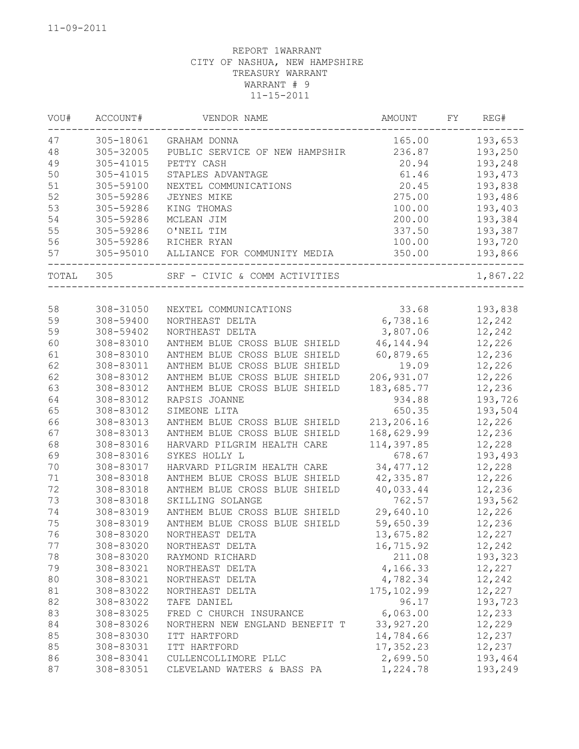| VOU#  | ACCOUNT#  | VENDOR NAME                    | AMOUNT           | FY | REG#     |
|-------|-----------|--------------------------------|------------------|----|----------|
| 47    | 305-18061 | GRAHAM DONNA                   | 165.00           |    | 193,653  |
| 48    | 305-32005 | PUBLIC SERVICE OF NEW HAMPSHIR | 236.87           |    | 193,250  |
| 49    | 305-41015 | PETTY CASH                     | 20.94            |    | 193,248  |
| 50    | 305-41015 | STAPLES ADVANTAGE              | 61.46            |    | 193,473  |
| 51    | 305-59100 | NEXTEL COMMUNICATIONS          | 20.45            |    | 193,838  |
| 52    | 305-59286 | JEYNES MIKE                    | 275.00           |    | 193,486  |
| 53    | 305-59286 | KING THOMAS                    | 100.00           |    | 193,403  |
| 54    | 305-59286 | MCLEAN JIM                     | 200.00           |    | 193,384  |
| 55    | 305-59286 | O'NEIL TIM                     | 337.50           |    | 193,387  |
| 56    | 305-59286 | RICHER RYAN                    | 100.00           |    | 193,720  |
| 57    | 305-95010 | ALLIANCE FOR COMMUNITY MEDIA   | 350.00           |    | 193,866  |
| TOTAL | 305       | SRF - CIVIC & COMM ACTIVITIES  | ________________ |    | 1,867.22 |
|       |           |                                |                  |    |          |
| 58    | 308-31050 | NEXTEL COMMUNICATIONS          | 33.68            |    | 193,838  |
| 59    | 308-59400 | NORTHEAST DELTA                | 6,738.16         |    | 12,242   |
| 59    | 308-59402 | NORTHEAST DELTA                | 3,807.06         |    | 12,242   |
| 60    | 308-83010 | ANTHEM BLUE CROSS BLUE SHIELD  | 46, 144.94       |    | 12,226   |
| 61    | 308-83010 | ANTHEM BLUE CROSS BLUE SHIELD  | 60,879.65        |    | 12,236   |
| 62    | 308-83011 | ANTHEM BLUE CROSS BLUE SHIELD  | 19.09            |    | 12,226   |
| 62    | 308-83012 | ANTHEM BLUE CROSS BLUE SHIELD  | 206, 931.07      |    | 12,226   |
| 63    | 308-83012 | ANTHEM BLUE CROSS BLUE SHIELD  | 183,685.77       |    | 12,236   |
| 64    | 308-83012 | RAPSIS JOANNE                  | 934.88           |    | 193,726  |
| 65    | 308-83012 | SIMEONE LITA                   | 650.35           |    | 193,504  |
| 66    | 308-83013 | ANTHEM BLUE CROSS BLUE SHIELD  | 213,206.16       |    | 12,226   |
| 67    | 308-83013 | ANTHEM BLUE CROSS BLUE SHIELD  | 168,629.99       |    | 12,236   |
| 68    | 308-83016 | HARVARD PILGRIM HEALTH CARE    | 114,397.85       |    | 12,228   |
| 69    | 308-83016 | SYKES HOLLY L                  | 678.67           |    | 193,493  |
| 70    | 308-83017 | HARVARD PILGRIM HEALTH CARE    | 34, 477.12       |    | 12,228   |
| 71    | 308-83018 | ANTHEM BLUE CROSS BLUE SHIELD  | 42, 335.87       |    | 12,226   |
| 72    | 308-83018 | ANTHEM BLUE CROSS BLUE SHIELD  | 40,033.44        |    | 12,236   |
| 73    | 308-83018 | SKILLING SOLANGE               | 762.57           |    | 193,562  |
| 74    | 308-83019 | ANTHEM BLUE CROSS BLUE SHIELD  | 29,640.10        |    | 12,226   |
| 75    | 308-83019 | ANTHEM BLUE CROSS BLUE SHIELD  | 59,650.39        |    | 12,236   |
| 76    | 308-83020 | NORTHEAST DELTA                | 13,675.82        |    | 12,227   |
| 77    | 308-83020 | NORTHEAST DELTA                | 16,715.92        |    | 12,242   |
| 78    | 308-83020 | RAYMOND RICHARD                | 211.08           |    | 193,323  |
| 79    | 308-83021 | NORTHEAST DELTA                | 4,166.33         |    | 12,227   |
| 80    | 308-83021 | NORTHEAST DELTA                | 4,782.34         |    | 12,242   |
| 81    | 308-83022 | NORTHEAST DELTA                | 175, 102.99      |    | 12,227   |
| 82    | 308-83022 | TAFE DANIEL                    | 96.17            |    | 193,723  |
| 83    | 308-83025 | FRED C CHURCH INSURANCE        | 6,063.00         |    | 12,233   |
| 84    | 308-83026 | NORTHERN NEW ENGLAND BENEFIT T | 33, 927.20       |    | 12,229   |
| 85    | 308-83030 | ITT HARTFORD                   | 14,784.66        |    | 12,237   |
| 85    | 308-83031 | ITT HARTFORD                   | 17,352.23        |    | 12,237   |
| 86    | 308-83041 | CULLENCOLLIMORE PLLC           | 2,699.50         |    | 193,464  |
| 87    | 308-83051 | CLEVELAND WATERS & BASS PA     | 1,224.78         |    | 193,249  |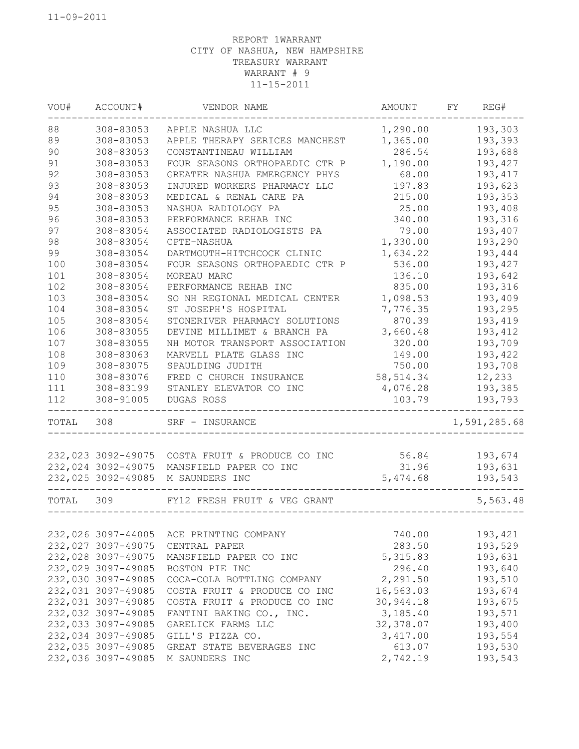| VOU#  | ACCOUNT#           | VENDOR NAME                    | AMOUNT     | FY | REG#         |
|-------|--------------------|--------------------------------|------------|----|--------------|
| 88    | 308-83053          | APPLE NASHUA LLC               | 1,290.00   |    | 193,303      |
| 89    | 308-83053          | APPLE THERAPY SERICES MANCHEST | 1,365.00   |    | 193,393      |
| 90    | 308-83053          | CONSTANTINEAU WILLIAM          | 286.54     |    | 193,688      |
| 91    | 308-83053          | FOUR SEASONS ORTHOPAEDIC CTR P | 1,190.00   |    | 193,427      |
| 92    | 308-83053          | GREATER NASHUA EMERGENCY PHYS  | 68.00      |    | 193, 417     |
| 93    | 308-83053          | INJURED WORKERS PHARMACY LLC   | 197.83     |    | 193,623      |
| 94    | 308-83053          | MEDICAL & RENAL CARE PA        | 215.00     |    | 193,353      |
| 95    | 308-83053          | NASHUA RADIOLOGY PA            | 25.00      |    | 193,408      |
| 96    | 308-83053          | PERFORMANCE REHAB INC          | 340.00     |    | 193,316      |
| 97    | 308-83054          | ASSOCIATED RADIOLOGISTS PA     | 79.00      |    | 193,407      |
| 98    | 308-83054          | CPTE-NASHUA                    | 1,330.00   |    | 193,290      |
| 99    | 308-83054          | DARTMOUTH-HITCHCOCK CLINIC     | 1,634.22   |    | 193,444      |
| 100   | 308-83054          | FOUR SEASONS ORTHOPAEDIC CTR P | 536.00     |    | 193,427      |
| 101   | 308-83054          | MOREAU MARC                    | 136.10     |    | 193,642      |
| 102   | 308-83054          | PERFORMANCE REHAB INC          | 835.00     |    | 193,316      |
| 103   | 308-83054          | SO NH REGIONAL MEDICAL CENTER  | 1,098.53   |    | 193,409      |
| 104   | 308-83054          | ST JOSEPH'S HOSPITAL           | 7,776.35   |    | 193,295      |
| 105   | 308-83054          | STONERIVER PHARMACY SOLUTIONS  | 870.39     |    | 193,419      |
| 106   | 308-83055          | DEVINE MILLIMET & BRANCH PA    | 3,660.48   |    | 193,412      |
| 107   | 308-83055          | NH MOTOR TRANSPORT ASSOCIATION | 320.00     |    | 193,709      |
| 108   | 308-83063          | MARVELL PLATE GLASS INC        | 149.00     |    | 193,422      |
| 109   | 308-83075          | SPAULDING JUDITH               | 750.00     |    | 193,708      |
| 110   | 308-83076          | FRED C CHURCH INSURANCE        | 58, 514.34 |    | 12,233       |
| 111   | 308-83199          | STANLEY ELEVATOR CO INC        | 4,076.28   |    | 193,385      |
| 112   | 308-91005          | DUGAS ROSS                     | 103.79     |    | 193,793      |
| TOTAL | 308                | SRF - INSURANCE                |            |    | 1,591,285.68 |
|       |                    |                                |            |    |              |
|       | 232,023 3092-49075 | COSTA FRUIT & PRODUCE CO INC   | 56.84      |    | 193,674      |
|       | 232,024 3092-49075 | MANSFIELD PAPER CO INC         | 31.96      |    | 193,631      |
|       | 232,025 3092-49085 | M SAUNDERS INC                 | 5,474.68   |    | 193,543      |
| TOTAL | 309                | FY12 FRESH FRUIT & VEG GRANT   |            |    | 5,563.48     |
|       |                    |                                |            |    |              |
|       | 232,026 3097-44005 | ACE PRINTING COMPANY           | 740.00     |    | 193,421      |
|       | 232,027 3097-49075 | CENTRAL PAPER                  | 283.50     |    | 193,529      |
|       | 232,028 3097-49075 | MANSFIELD PAPER CO INC         | 5, 315.83  |    | 193,631      |
|       | 232,029 3097-49085 | BOSTON PIE INC                 | 296.40     |    | 193,640      |
|       | 232,030 3097-49085 | COCA-COLA BOTTLING COMPANY     | 2,291.50   |    | 193,510      |
|       | 232,031 3097-49085 | COSTA FRUIT & PRODUCE CO INC   | 16,563.03  |    | 193,674      |
|       | 232,031 3097-49085 | COSTA FRUIT & PRODUCE CO INC   | 30,944.18  |    | 193,675      |
|       | 232,032 3097-49085 | FANTINI BAKING CO., INC.       | 3,185.40   |    | 193,571      |
|       | 232,033 3097-49085 | GARELICK FARMS LLC             | 32,378.07  |    | 193,400      |
|       | 232,034 3097-49085 | GILL'S PIZZA CO.               | 3,417.00   |    | 193,554      |
|       | 232,035 3097-49085 | GREAT STATE BEVERAGES INC      | 613.07     |    | 193,530      |
|       | 232,036 3097-49085 | M SAUNDERS INC                 | 2,742.19   |    | 193,543      |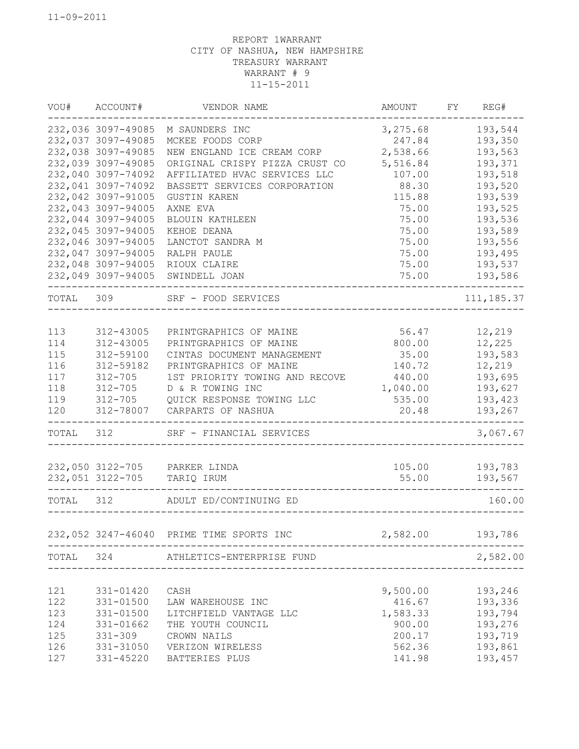| VOU#      | ACCOUNT#           | VENDOR NAME                              | AMOUNT                    | FY REG#        |
|-----------|--------------------|------------------------------------------|---------------------------|----------------|
|           | 232,036 3097-49085 | M SAUNDERS INC                           | 3,275.68                  | 193,544        |
|           | 232,037 3097-49085 | MCKEE FOODS CORP                         | 247.84                    | 193,350        |
|           | 232,038 3097-49085 | NEW ENGLAND ICE CREAM CORP               | 2,538.66                  | 193,563        |
|           | 232,039 3097-49085 | ORIGINAL CRISPY PIZZA CRUST CO           | 5,516.84                  | 193,371        |
|           | 232,040 3097-74092 | AFFILIATED HVAC SERVICES LLC             | 107.00                    | 193,518        |
|           | 232,041 3097-74092 | BASSETT SERVICES CORPORATION             | 88.30                     | 193,520        |
|           | 232,042 3097-91005 | <b>GUSTIN KAREN</b>                      | 115.88                    | 193,539        |
|           | 232,043 3097-94005 | AXNE EVA                                 | 75.00                     | 193,525        |
|           | 232,044 3097-94005 | <b>BLOUIN KATHLEEN</b>                   | 75.00                     | 193,536        |
|           | 232,045 3097-94005 | KEHOE DEANA                              | 75.00                     | 193,589        |
|           | 232,046 3097-94005 | LANCTOT SANDRA M                         | 75.00                     | 193,556        |
|           | 232,047 3097-94005 | RALPH PAULE                              | 75.00                     | 193,495        |
|           | 232,048 3097-94005 | RIOUX CLAIRE                             | 75.00                     | 193,537        |
|           | 232,049 3097-94005 | SWINDELL JOAN                            | 75.00                     | 193,586        |
| TOTAL 309 |                    | SRF - FOOD SERVICES                      |                           | 111, 185.37    |
|           |                    |                                          |                           |                |
| 113       | 312-43005          | PRINTGRAPHICS OF MAINE                   | 56.47                     | 12,219         |
| 114       | 312-43005          | PRINTGRAPHICS OF MAINE                   | 800.00                    | 12,225         |
| 115       | 312-59100          | CINTAS DOCUMENT MANAGEMENT               | 35.00                     | 193,583        |
| 116       | 312-59182          | PRINTGRAPHICS OF MAINE                   | 140.72                    | 12,219         |
| 117       | $312 - 705$        | 1ST PRIORITY TOWING AND RECOVE           | 440.00                    | 193,695        |
| 118       | 312-705            | D & R TOWING INC                         | 1,040.00                  | 193,627        |
| 119       | 312-705            | QUICK RESPONSE TOWING LLC                | 535.00                    | 193,423        |
| 120       |                    | 312-78007 CARPARTS OF NASHUA             | 20.48                     | 193,267        |
| TOTAL     | 312                | SRF - FINANCIAL SERVICES                 |                           | 3,067.67       |
|           |                    | 232,050 3122-705 PARKER LINDA            |                           | 105.00 193,783 |
|           |                    | 232,051 3122-705 TARIQ IRUM              | 55.00                     | 193,567        |
|           |                    |                                          |                           |                |
|           |                    | TOTAL 312 ADULT ED/CONTINUING ED         |                           | 160.00         |
|           |                    | 232,052 3247-46040 PRIME TIME SPORTS INC | 2,582.00                  | 193,786        |
| TOTAL 324 |                    | ATHLETICS-ENTERPRISE FUND                | _________________________ | 2,582.00       |
|           |                    |                                          |                           |                |
| 121       | 331-01420          | CASH                                     | 9,500.00                  | 193,246        |
| 122       | 331-01500          | LAW WAREHOUSE INC                        | 416.67                    | 193,336        |
| 123       | 331-01500          | LITCHFIELD VANTAGE LLC                   | 1,583.33                  | 193,794        |
| 124       | 331-01662          | THE YOUTH COUNCIL                        | 900.00                    | 193,276        |
| 125       | $331 - 309$        | CROWN NAILS                              | 200.17                    | 193,719        |
| 126       | 331-31050          | VERIZON WIRELESS                         | 562.36                    | 193,861        |
| 127       | 331-45220          | BATTERIES PLUS                           | 141.98                    | 193,457        |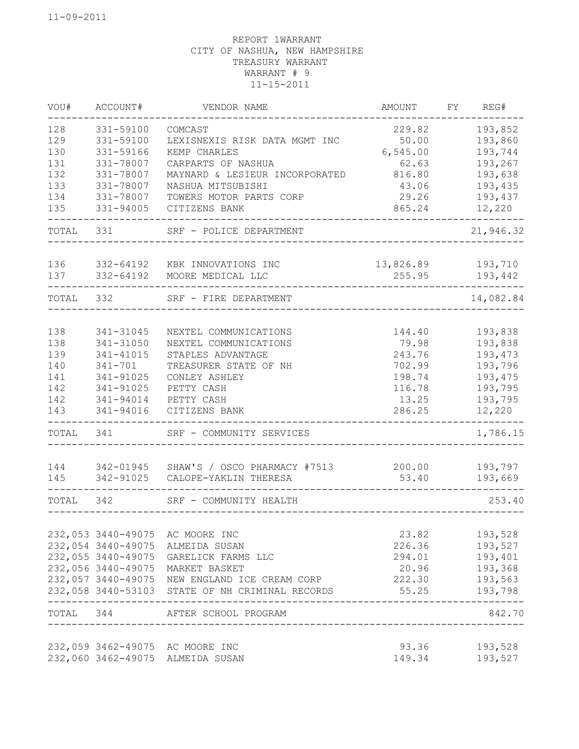| VOU#  | ACCOUNT#           | VENDOR NAME                                                | AMOUNT          | FY | REG#               |
|-------|--------------------|------------------------------------------------------------|-----------------|----|--------------------|
| 128   | 331-59100          | COMCAST                                                    | 229.82          |    | 193,852            |
| 129   | 331-59100          | LEXISNEXIS RISK DATA MGMT INC                              | 50.00           |    | 193,860            |
| 130   | 331-59166          | KEMP CHARLES                                               | 6,545.00        |    | 193,744            |
| 131   | 331-78007          | CARPARTS OF NASHUA                                         | 62.63           |    | 193,267            |
| 132   | 331-78007          | MAYNARD & LESIEUR INCORPORATED                             | 816.80          |    | 193,638            |
| 133   | 331-78007          | NASHUA MITSUBISHI                                          | 43.06           |    | 193,435            |
| 134   | 331-78007          | TOWERS MOTOR PARTS CORP                                    | 29.26           |    | 193,437            |
| 135   | 331-94005          | CITIZENS BANK                                              | 865.24          |    | 12,220             |
| TOTAL | 331                | SRF - POLICE DEPARTMENT                                    |                 |    | 21,946.32          |
|       |                    |                                                            |                 |    |                    |
| 136   | 332-64192          | KBK INNOVATIONS INC                                        | 13,826.89       |    | 193,710            |
| 137   | 332-64192          | MOORE MEDICAL LLC                                          | 255.95          |    | 193,442            |
| TOTAL | 332                | SRF - FIRE DEPARTMENT                                      |                 |    | 14,082.84          |
|       |                    |                                                            |                 |    |                    |
| 138   | 341-31045          | NEXTEL COMMUNICATIONS                                      | 144.40          |    | 193,838            |
| 138   | 341-31050          | NEXTEL COMMUNICATIONS                                      | 79.98           |    | 193,838            |
| 139   | 341-41015          | STAPLES ADVANTAGE                                          | 243.76          |    | 193,473            |
| 140   | $341 - 701$        | TREASURER STATE OF NH                                      | 702.99          |    | 193,796            |
| 141   | 341-91025          | CONLEY ASHLEY                                              | 198.74          |    | 193,475            |
| 142   | 341-91025          | PETTY CASH                                                 | 116.78          |    | 193,795            |
| 142   | 341-94014          | PETTY CASH                                                 | 13.25           |    | 193,795            |
| 143   | 341-94016          | CITIZENS BANK                                              | 286.25          |    | 12,220             |
| TOTAL | 341                | SRF - COMMUNITY SERVICES                                   |                 |    | 1,786.15           |
| 144   |                    | 342-01945  SHAW'S / OSCO PHARMACY #7513                    | 200.00          |    | 193,797            |
| 145   | 342-91025          | CALOPE-YAKLIN THERESA                                      | 53.40           |    | 193,669            |
|       |                    |                                                            |                 |    |                    |
| TOTAL | 342                | SRF - COMMUNITY HEALTH                                     |                 |    | 253.40             |
|       | 232,053 3440-49075 | AC MOORE INC                                               | 23.82           |    | 193,528            |
|       | 232,054 3440-49075 | ALMEIDA SUSAN                                              | 226.36          |    | 193,527            |
|       | 232,055 3440-49075 | GARELICK FARMS LLC                                         | 294.01          |    | 193,401            |
|       | 232,056 3440-49075 |                                                            |                 |    |                    |
|       | 232,057 3440-49075 | MARKET BASKET                                              | 20.96           |    | 193,368            |
|       | 232,058 3440-53103 | NEW ENGLAND ICE CREAM CORP<br>STATE OF NH CRIMINAL RECORDS | 222.30<br>55.25 |    | 193,563<br>193,798 |
| TOTAL | 344                | AFTER SCHOOL PROGRAM                                       |                 |    | 842.70             |
|       |                    |                                                            |                 |    |                    |
|       |                    | 232,059 3462-49075 AC MOORE INC                            | 93.36           |    | 193,528            |
|       |                    | 232,060 3462-49075 ALMEIDA SUSAN                           | 149.34          |    | 193,527            |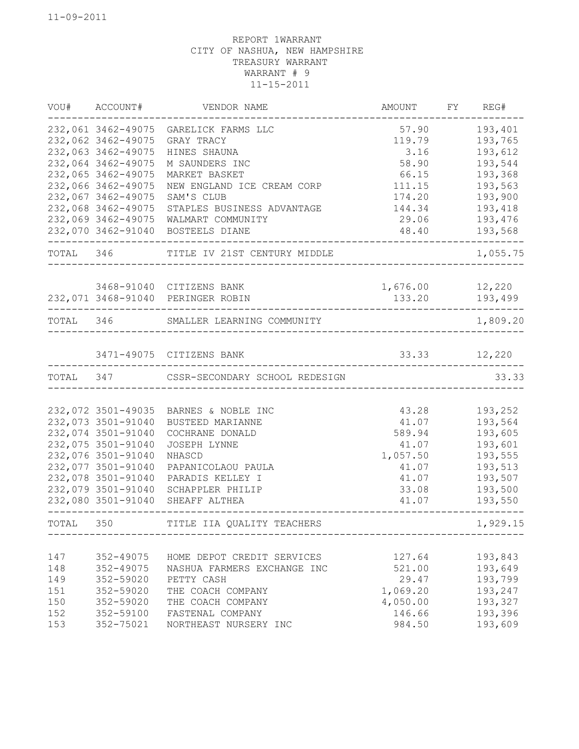|     | VOU# ACCOUNT#      | VENDOR NAME                              | AMOUNT FY REG# |              |
|-----|--------------------|------------------------------------------|----------------|--------------|
|     |                    | 232,061 3462-49075 GARELICK FARMS LLC    | 57.90          | 193,401      |
|     | 232,062 3462-49075 | GRAY TRACY                               | 119.79         | 193,765      |
|     | 232,063 3462-49075 | HINES SHAUNA                             | 3.16           | 193,612      |
|     | 232,064 3462-49075 | M SAUNDERS INC                           | 58.90          | 193,544      |
|     | 232,065 3462-49075 | MARKET BASKET                            | 66.15          | 193,368      |
|     | 232,066 3462-49075 | NEW ENGLAND ICE CREAM CORP               | 111.15         | 193,563      |
|     | 232,067 3462-49075 | SAM'S CLUB                               | 174.20         | 193,900      |
|     | 232,068 3462-49075 | STAPLES BUSINESS ADVANTAGE               | 144.34         | 193,418      |
|     | 232,069 3462-49075 | WALMART COMMUNITY                        | 29.06          | 193,476      |
|     | 232,070 3462-91040 | BOSTEELS DIANE                           | 48.40          | 193,568      |
|     |                    | TOTAL 346 TITLE IV 21ST CENTURY MIDDLE   |                | 1,055.75     |
|     |                    | 3468-91040 CITIZENS BANK                 | 1,676.00       | 12,220       |
|     |                    | 232,071 3468-91040 PERINGER ROBIN        | 133.20         | 193,499      |
|     |                    | TOTAL 346 SMALLER LEARNING COMMUNITY     |                | 1,809.20     |
|     |                    |                                          |                |              |
|     |                    | 3471-49075 CITIZENS BANK                 |                | 33.33 12,220 |
|     |                    | TOTAL 347 CSSR-SECONDARY SCHOOL REDESIGN |                | 33.33        |
|     |                    |                                          |                |              |
|     | 232,072 3501-49035 | BARNES & NOBLE INC                       | 43.28          | 193,252      |
|     | 232,073 3501-91040 | BUSTEED MARIANNE                         | 41.07          | 193,564      |
|     | 232,074 3501-91040 | COCHRANE DONALD                          | 589.94         | 193,605      |
|     | 232,075 3501-91040 | JOSEPH LYNNE                             | 41.07          | 193,601      |
|     | 232,076 3501-91040 | NHASCD                                   | 1,057.50       | 193,555      |
|     | 232,077 3501-91040 | PAPANICOLAOU PAULA                       | 41.07          | 193,513      |
|     | 232,078 3501-91040 | PARADIS KELLEY I                         | 41.07          | 193,507      |
|     | 232,079 3501-91040 | SCHAPPLER PHILIP                         | 33.08          | 193,500      |
|     | 232,080 3501-91040 | SHEAFF ALTHEA                            | 41.07          | 193,550      |
|     | TOTAL 350          | TITLE IIA QUALITY TEACHERS               |                | 1,929.15     |
|     |                    |                                          |                |              |
| 147 | 352-49075          | HOME DEPOT CREDIT SERVICES               | 127.64         | 193,843      |
| 148 | 352-49075          | NASHUA FARMERS EXCHANGE INC              | 521.00         | 193,649      |
| 149 | 352-59020          | PETTY CASH                               | 29.47          | 193,799      |
| 151 | 352-59020          | THE COACH COMPANY                        | 1,069.20       | 193,247      |
| 150 | 352-59020          | THE COACH COMPANY                        | 4,050.00       | 193,327      |
| 152 | 352-59100          | FASTENAL COMPANY                         | 146.66         | 193,396      |
| 153 | 352-75021          | NORTHEAST NURSERY INC                    | 984.50         | 193,609      |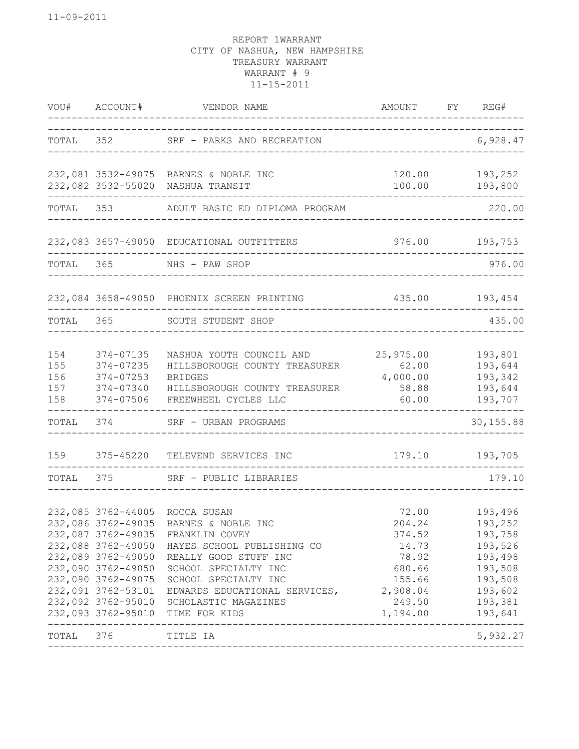|                                 |                                                                                                                                                                              | VOU# ACCOUNT# VENDOR NAME<br>----------------------------------                                                                                                                                                                                                            | AMOUNT FY REG#                                                                           |                                                                                                                  |
|---------------------------------|------------------------------------------------------------------------------------------------------------------------------------------------------------------------------|----------------------------------------------------------------------------------------------------------------------------------------------------------------------------------------------------------------------------------------------------------------------------|------------------------------------------------------------------------------------------|------------------------------------------------------------------------------------------------------------------|
|                                 |                                                                                                                                                                              | TOTAL 352 SRF - PARKS AND RECREATION                                                                                                                                                                                                                                       | ___________________________                                                              | 6,928.47                                                                                                         |
|                                 |                                                                                                                                                                              | 232,081 3532-49075 BARNES & NOBLE INC<br>232,082 3532-55020 NASHUA TRANSIT<br>. _ _ _ _ _ _ _ _ _                                                                                                                                                                          |                                                                                          | 120.00 193,252<br>$100.00$ 193,800<br>______________                                                             |
|                                 |                                                                                                                                                                              | TOTAL 353 ADULT BASIC ED DIPLOMA PROGRAM                                                                                                                                                                                                                                   | ____________________________                                                             | 220.00                                                                                                           |
|                                 |                                                                                                                                                                              | 232,083 3657-49050 EDUCATIONAL OUTFITTERS                                                                                                                                                                                                                                  |                                                                                          | 976.00 193,753                                                                                                   |
|                                 |                                                                                                                                                                              | TOTAL 365 NHS - PAW SHOP                                                                                                                                                                                                                                                   |                                                                                          | 976.00                                                                                                           |
|                                 |                                                                                                                                                                              | 232,084 3658-49050 PHOENIX SCREEN PRINTING                                                                                                                                                                                                                                 | 435.00 193,454                                                                           |                                                                                                                  |
|                                 |                                                                                                                                                                              | TOTAL 365 SOUTH STUDENT SHOP                                                                                                                                                                                                                                               |                                                                                          | 435.00                                                                                                           |
| 154<br>155<br>156<br>157<br>158 | 374-07135<br>374-07235<br>374-07253<br>374-07340<br>374-07506                                                                                                                | NASHUA YOUTH COUNCIL AND<br>HILLSBOROUGH COUNTY TREASURER<br><b>BRIDGES</b><br>HILLSBOROUGH COUNTY TREASURER<br>FREEWHEEL CYCLES LLC                                                                                                                                       | 25,975.00<br>62.00<br>4,000.00<br>58.88<br>60.00                                         | 193,801<br>193,644<br>193,342<br>193,644<br>193,707                                                              |
|                                 |                                                                                                                                                                              | TOTAL 374 SRF - URBAN PROGRAMS                                                                                                                                                                                                                                             |                                                                                          | --------<br>30, 155.88                                                                                           |
| 159                             |                                                                                                                                                                              | 375-45220 TELEVEND SERVICES INC<br>-------------------                                                                                                                                                                                                                     |                                                                                          | 179.10 193,705                                                                                                   |
| TOTAL                           | 375 376                                                                                                                                                                      | SRF - PUBLIC LIBRARIES                                                                                                                                                                                                                                                     | ______________________________________                                                   | 179.10                                                                                                           |
|                                 | 232,087 3762-49035<br>232,088 3762-49050<br>232,089 3762-49050<br>232,090 3762-49050<br>232,090 3762-49075<br>232,091 3762-53101<br>232,092 3762-95010<br>232,093 3762-95010 | 232,085 3762-44005 ROCCA SUSAN<br>232,086 3762-49035 BARNES & NOBLE INC<br>FRANKLIN COVEY<br>HAYES SCHOOL PUBLISHING CO<br>REALLY GOOD STUFF INC<br>SCHOOL SPECIALTY INC<br>SCHOOL SPECIALTY INC<br>EDWARDS EDUCATIONAL SERVICES,<br>SCHOLASTIC MAGAZINES<br>TIME FOR KIDS | 204.24<br>374.52<br>14.73<br>78.92<br>680.66<br>155.66<br>2,908.04<br>249.50<br>1,194.00 | 72.00 193,496<br>193,252<br>193,758<br>193,526<br>193,498<br>193,508<br>193,508<br>193,602<br>193,381<br>193,641 |
| TOTAL                           | 376                                                                                                                                                                          | TITLE IA                                                                                                                                                                                                                                                                   |                                                                                          | 5,932.27                                                                                                         |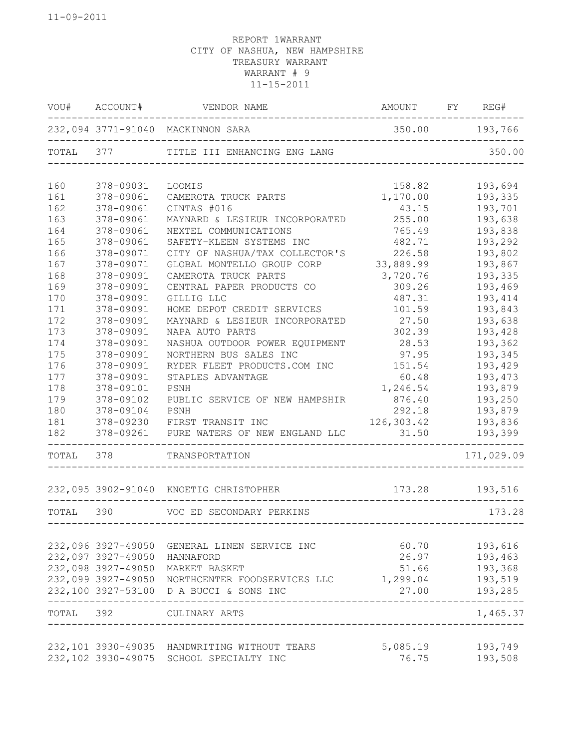|       | VOU# ACCOUNT#      | VENDOR NAME                                  | AMOUNT         | FY REG#    |
|-------|--------------------|----------------------------------------------|----------------|------------|
|       |                    | 232,094 3771-91040 MACKINNON SARA            | 350.00 193,766 |            |
| TOTAL | 377                | TITLE III ENHANCING ENG LANG                 |                | 350.00     |
| 160   | 378-09031          | LOOMIS                                       | 158.82         | 193,694    |
| 161   | 378-09061          | CAMEROTA TRUCK PARTS                         | 1,170.00       | 193,335    |
| 162   | 378-09061          | CINTAS #016                                  | 43.15          | 193,701    |
| 163   | 378-09061          | MAYNARD & LESIEUR INCORPORATED               | 255.00         | 193,638    |
| 164   | 378-09061          | NEXTEL COMMUNICATIONS                        | 765.49         | 193,838    |
| 165   | 378-09061          | SAFETY-KLEEN SYSTEMS INC                     | 482.71         | 193,292    |
| 166   | 378-09071          | CITY OF NASHUA/TAX COLLECTOR'S               | 226.58         | 193,802    |
| 167   | 378-09071          | GLOBAL MONTELLO GROUP CORP                   | 33,889.99      | 193,867    |
| 168   | 378-09091          | CAMEROTA TRUCK PARTS                         | 3,720.76       | 193,335    |
| 169   | 378-09091          | CENTRAL PAPER PRODUCTS CO                    | 309.26         | 193,469    |
| 170   | 378-09091          | GILLIG LLC                                   | 487.31         | 193,414    |
| 171   | 378-09091          | HOME DEPOT CREDIT SERVICES                   | 101.59         | 193,843    |
| 172   | 378-09091          | MAYNARD & LESIEUR INCORPORATED               | 27.50          | 193,638    |
| 173   | 378-09091          | NAPA AUTO PARTS                              | 302.39         | 193,428    |
| 174   | 378-09091          | NASHUA OUTDOOR POWER EQUIPMENT               | 28.53          | 193,362    |
| 175   | 378-09091          | NORTHERN BUS SALES INC                       | 97.95          | 193,345    |
| 176   | 378-09091          | RYDER FLEET PRODUCTS.COM INC                 | 151.54         | 193,429    |
| 177   | 378-09091          | STAPLES ADVANTAGE                            | 60.48          | 193,473    |
| 178   | 378-09101          | PSNH                                         | 1,246.54       | 193,879    |
| 179   | 378-09102          | PUBLIC SERVICE OF NEW HAMPSHIR               | 876.40         | 193,250    |
| 180   | 378-09104          | PSNH                                         | 292.18         | 193,879    |
| 181   | 378-09230          | FIRST TRANSIT INC                            | 126,303.42     | 193,836    |
| 182   | 378-09261          | PURE WATERS OF NEW ENGLAND LLC               | 31.50          | 193,399    |
| TOTAL | 378                | TRANSPORTATION                               |                | 171,029.09 |
|       |                    | 232,095 3902-91040 KNOETIG CHRISTOPHER       | 173.28         | 193,516    |
| TOTAL | 390                | VOC ED SECONDARY PERKINS                     |                | 173.28     |
|       |                    |                                              |                |            |
|       | 232,096 3927-49050 | GENERAL LINEN SERVICE INC                    | 60.70          | 193,616    |
|       | 232,097 3927-49050 | HANNAFORD                                    | 26.97          | 193,463    |
|       | 232,098 3927-49050 | MARKET BASKET                                | 51.66          | 193,368    |
|       | 232,099 3927-49050 | NORTHCENTER FOODSERVICES LLC                 | 1,299.04       | 193,519    |
|       | 232,100 3927-53100 | D A BUCCI & SONS INC                         | 27.00          | 193,285    |
| TOTAL | 392                | CULINARY ARTS                                |                | 1,465.37   |
|       |                    | 232,101 3930-49035 HANDWRITING WITHOUT TEARS | 5,085.19       | 193,749    |
|       |                    | 232,102 3930-49075 SCHOOL SPECIALTY INC      | 76.75          | 193,508    |
|       |                    |                                              |                |            |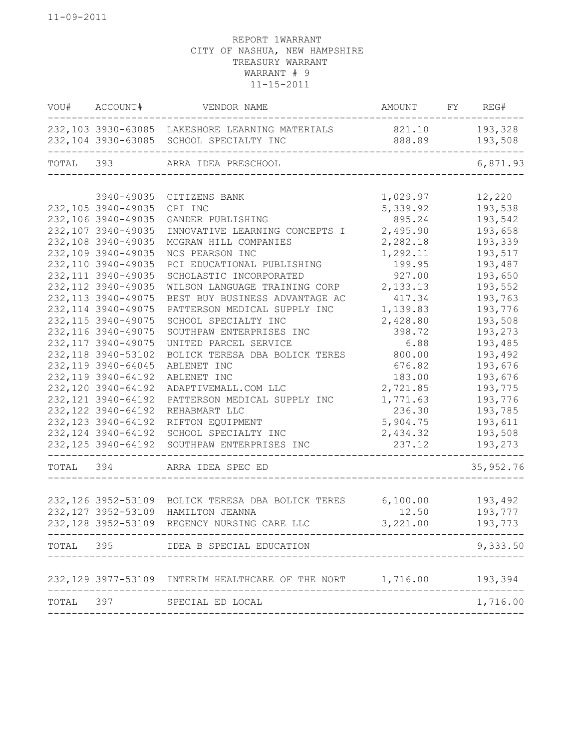| VOU# ACCOUNT#       | VENDOR NAME                                                                                | AMOUNT FY REG#                    |                    |
|---------------------|--------------------------------------------------------------------------------------------|-----------------------------------|--------------------|
|                     | 232,103 3930-63085 LAKESHORE LEARNING MATERIALS<br>232,104 3930-63085 SCHOOL SPECIALTY INC | 821.10<br>888.89                  | 193,328<br>193,508 |
| TOTAL 393           | ARRA IDEA PRESCHOOL                                                                        |                                   | 6,871.93           |
|                     |                                                                                            |                                   |                    |
| 3940-49035          | CITIZENS BANK                                                                              | 1,029.97                          | 12,220             |
| 232, 105 3940-49035 | CPI INC                                                                                    | 5,339.92                          | 193,538            |
| 232,106 3940-49035  | GANDER PUBLISHING                                                                          | 895.24                            | 193,542            |
| 232,107 3940-49035  | INNOVATIVE LEARNING CONCEPTS I                                                             | 2,495.90                          | 193,658            |
| 232,108 3940-49035  | MCGRAW HILL COMPANIES                                                                      | 2,282.18                          | 193,339            |
| 232,109 3940-49035  | NCS PEARSON INC                                                                            | 1,292.11                          | 193,517            |
| 232,110 3940-49035  | PCI EDUCATIONAL PUBLISHING                                                                 | 199.95                            | 193,487            |
| 232, 111 3940-49035 | SCHOLASTIC INCORPORATED                                                                    | 927.00                            | 193,650            |
| 232, 112 3940-49035 | WILSON LANGUAGE TRAINING CORP                                                              | 2,133.13                          | 193,552            |
| 232, 113 3940-49075 | BEST BUY BUSINESS ADVANTAGE AC                                                             | 417.34                            | 193,763            |
| 232, 114 3940-49075 | PATTERSON MEDICAL SUPPLY INC                                                               | 1,139.83                          | 193,776            |
| 232, 115 3940-49075 | SCHOOL SPECIALTY INC                                                                       | 2,428.80                          | 193,508            |
| 232, 116 3940-49075 | SOUTHPAW ENTERPRISES INC                                                                   | 398.72                            | 193,273            |
| 232, 117 3940-49075 | UNITED PARCEL SERVICE                                                                      | 6.88                              | 193,485            |
| 232, 118 3940-53102 | BOLICK TERESA DBA BOLICK TERES                                                             | 800.00                            | 193,492            |
| 232, 119 3940-64045 | ABLENET INC                                                                                | 676.82                            | 193,676            |
| 232, 119 3940-64192 | ABLENET INC                                                                                | 183.00                            | 193,676            |
| 232, 120 3940-64192 | ADAPTIVEMALL.COM LLC                                                                       | 2,721.85                          | 193,775            |
| 232, 121 3940-64192 | PATTERSON MEDICAL SUPPLY INC                                                               | 1,771.63                          | 193,776            |
| 232, 122 3940-64192 | REHABMART LLC                                                                              | 236.30                            | 193,785            |
| 232, 123 3940-64192 | RIFTON EQUIPMENT                                                                           | 5,904.75                          | 193,611            |
| 232, 124 3940-64192 | SCHOOL SPECIALTY INC                                                                       | 2,434.32                          | 193,508            |
| 232, 125 3940-64192 | SOUTHPAW ENTERPRISES INC                                                                   | 237.12                            | 193,273            |
|                     | TOTAL 394 ARRA IDEA SPEC ED                                                                | --------------------------------- | 35, 952.76         |
|                     |                                                                                            |                                   |                    |
|                     | 232,126 3952-53109 BOLICK TERESA DBA BOLICK TERES 6,100.00 193,492                         |                                   |                    |
| 232, 127 3952-53109 | HAMILTON JEANNA                                                                            | 12.50                             | 193,777            |
| 232, 128 3952-53109 | REGENCY NURSING CARE LLC                                                                   | 3,221.00                          | 193,773            |
|                     | TOTAL 395 IDEA B SPECIAL EDUCATION                                                         |                                   | 9,333.50           |
|                     | 232,129 3977-53109 INTERIM HEALTHCARE OF THE NORT 1,716.00 193,394                         |                                   |                    |
|                     |                                                                                            |                                   |                    |
|                     | TOTAL 397 SPECIAL ED LOCAL                                                                 |                                   | 1,716.00           |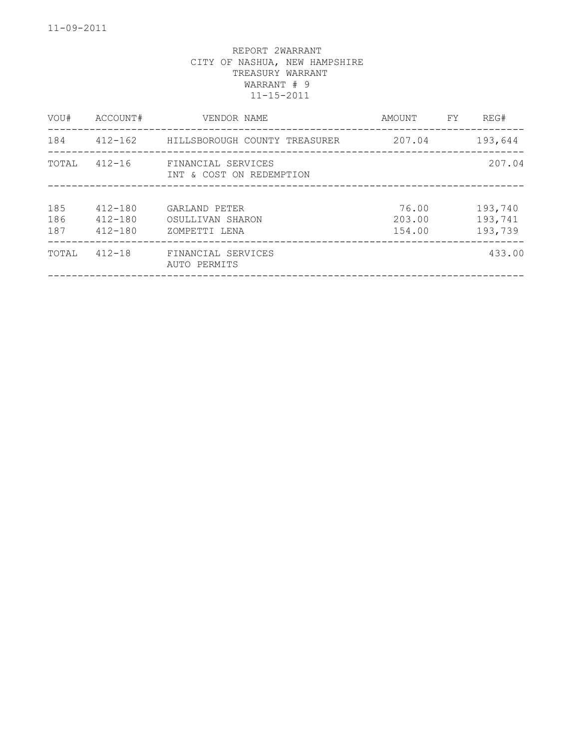| VOU#              | ACCOUNT#                                  | VENDOR NAME                                        | AMOUNT                    | FY. | REG#                          |
|-------------------|-------------------------------------------|----------------------------------------------------|---------------------------|-----|-------------------------------|
| 184               | 412-162                                   | HILLSBOROUGH COUNTY TREASURER                      | 207.04                    |     | 193,644                       |
| TOTAL             | $412 - 16$                                | FINANCIAL SERVICES<br>INT & COST ON REDEMPTION     |                           |     | 207.04                        |
| 185<br>186<br>187 | $412 - 180$<br>$412 - 180$<br>$412 - 180$ | GARLAND PETER<br>OSULLIVAN SHARON<br>ZOMPETTI LENA | 76.00<br>203.00<br>154.00 |     | 193,740<br>193,741<br>193,739 |
| TOTAL             | $412 - 18$                                | FINANCIAL SERVICES<br>AUTO PERMITS                 |                           |     | 433.00                        |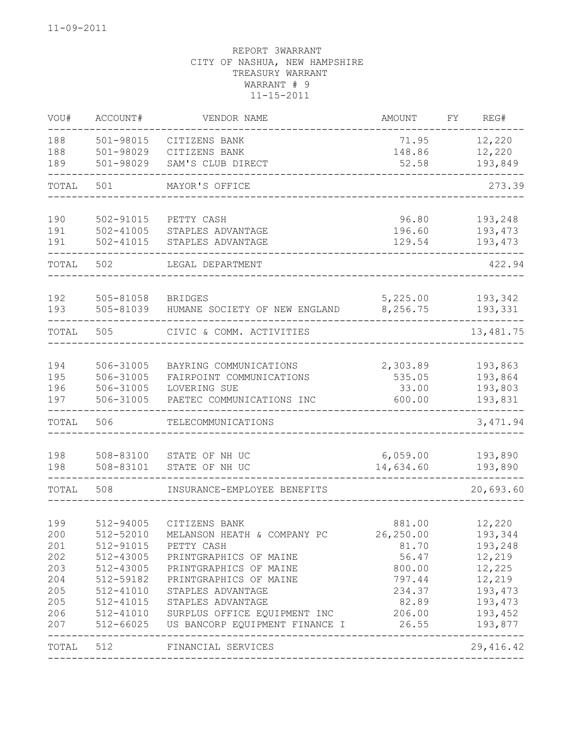| VOU#       | ACCOUNT#               | VENDOR NAME                               | <b>AMOUNT</b>      | FΥ | REG#               |
|------------|------------------------|-------------------------------------------|--------------------|----|--------------------|
| 188        | 501-98015              | CITIZENS BANK                             | 71.95              |    | 12,220             |
| 188        | 501-98029              | CITIZENS BANK                             | 148.86             |    | 12,220             |
| 189        | 501-98029              | SAM'S CLUB DIRECT                         | 52.58              |    | 193,849            |
| TOTAL      | 501                    | MAYOR'S OFFICE                            |                    |    | 273.39             |
| 190        | 502-91015              | PETTY CASH                                | 96.80              |    | 193,248            |
| 191        | $502 - 41005$          | STAPLES ADVANTAGE                         | 196.60             |    | 193,473            |
| 191        | 502-41015              | STAPLES ADVANTAGE                         | 129.54             |    | 193,473            |
| TOTAL      | 502                    | LEGAL DEPARTMENT                          |                    |    | 422.94             |
| 192        | 505-81058              | <b>BRIDGES</b>                            | 5,225.00           |    | 193,342            |
| 193        | 505-81039              | HUMANE SOCIETY OF NEW ENGLAND             | 8,256.75           |    | 193,331            |
| TOTAL      | 505                    | CIVIC & COMM. ACTIVITIES                  |                    |    | 13,481.75          |
|            |                        |                                           |                    |    |                    |
| 194        | 506-31005              | BAYRING COMMUNICATIONS                    | 2,303.89           |    | 193,863            |
| 195        | 506-31005              | FAIRPOINT COMMUNICATIONS                  | 535.05             |    | 193,864            |
| 196        | 506-31005              | LOVERING SUE                              | 33.00              |    | 193,803            |
| 197        | 506-31005              | PAETEC COMMUNICATIONS INC                 | 600.00             |    | 193,831            |
| TOTAL      | 506                    | TELECOMMUNICATIONS                        |                    |    | 3, 471.94          |
| 198        | 508-83100              | STATE OF NH UC                            | 6,059.00           |    | 193,890            |
| 198        | 508-83101              | STATE OF NH UC                            | 14,634.60          |    | 193,890            |
| TOTAL      | 508                    | INSURANCE-EMPLOYEE BENEFITS               |                    |    | 20,693.60          |
|            |                        |                                           |                    |    |                    |
| 199        | 512-94005              | CITIZENS BANK                             | 881.00             |    | 12,220             |
| 200<br>201 | 512-52010<br>512-91015 | MELANSON HEATH & COMPANY PC<br>PETTY CASH | 26,250.00<br>81.70 |    | 193,344<br>193,248 |
| 202        | 512-43005              | PRINTGRAPHICS OF MAINE                    | 56.47              |    | 12,219             |
| 203        | 512-43005              | PRINTGRAPHICS OF MAINE                    | 800.00             |    | 12,225             |
| 204        | 512-59182              | PRINTGRAPHICS OF MAINE                    | 797.44             |    | 12,219             |
| 205        | 512-41010              | STAPLES ADVANTAGE                         | 234.37             |    | 193,473            |
| 205        | 512-41015              | STAPLES ADVANTAGE                         | 82.89              |    | 193,473            |
| 206        | 512-41010              | SURPLUS OFFICE EQUIPMENT INC              | 206.00             |    | 193,452            |
| 207        | 512-66025              | US BANCORP EQUIPMENT FINANCE I 26.55      | __________________ |    | 193,877<br>------- |
| TOTAL 512  |                        | FINANCIAL SERVICES                        |                    |    | 29, 416.42         |
|            |                        |                                           |                    |    |                    |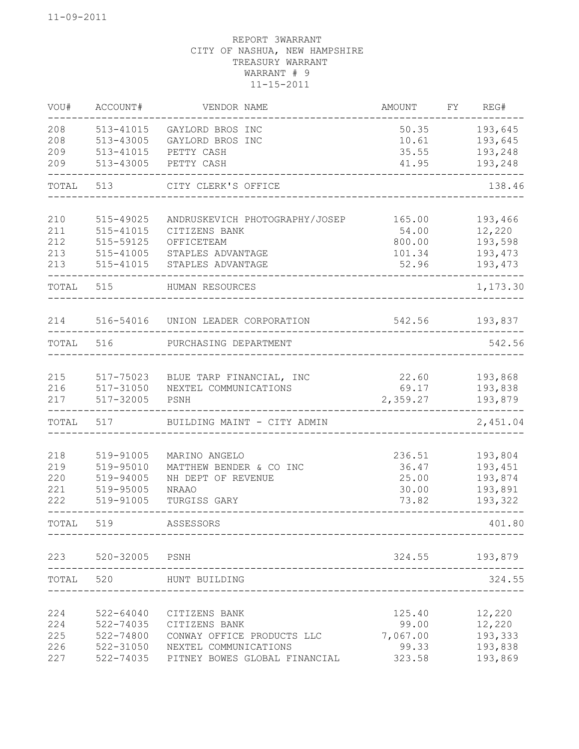| VOU#  | ACCOUNT#  | VENDOR NAME                                       | <b>AMOUNT</b>                   | FY REG#             |
|-------|-----------|---------------------------------------------------|---------------------------------|---------------------|
| 208   | 513-41015 | GAYLORD BROS INC                                  | 50.35                           | 193,645             |
| 208   | 513-43005 | GAYLORD BROS INC                                  | 10.61                           | 193,645             |
| 209   | 513-41015 | PETTY CASH                                        | 35.55                           | 193,248             |
| 209   | 513-43005 | PETTY CASH                                        | 41.95                           | 193,248             |
| TOTAL | 513       | CITY CLERK'S OFFICE                               |                                 | 138.46              |
| 210   | 515-49025 | ANDRUSKEVICH PHOTOGRAPHY/JOSEP                    | 165.00                          | 193,466             |
| 211   | 515-41015 | CITIZENS BANK                                     | 54.00                           | 12,220              |
| 212   | 515-59125 | OFFICETEAM                                        | 800.00                          | 193,598             |
| 213   | 515-41005 | STAPLES ADVANTAGE                                 | 101.34                          | 193,473             |
| 213   | 515-41015 | STAPLES ADVANTAGE                                 | 52.96                           | 193,473             |
| TOTAL | 515       | HUMAN RESOURCES<br>______________________________ |                                 | -------<br>1,173.30 |
| 214   |           | 516-54016 UNION LEADER CORPORATION                | 542.56 193,837                  |                     |
| TOTAL | 516       | PURCHASING DEPARTMENT                             |                                 | 542.56              |
|       |           |                                                   |                                 |                     |
| 215   |           | 517-75023 BLUE TARP FINANCIAL, INC                | 22.60 193,868                   |                     |
| 216   | 517-31050 | NEXTEL COMMUNICATIONS                             | 69.17                           | 193,838             |
| 217   | 517-32005 | PSNH                                              | 2,359.27                        | 193,879             |
| TOTAL | 517       | BUILDING MAINT - CITY ADMIN                       | _______________________________ | 2,451.04            |
| 218   | 519-91005 | MARINO ANGELO                                     | 236.51                          | 193,804             |
| 219   | 519-95010 | MATTHEW BENDER & CO INC                           | 36.47                           | 193,451             |
| 220   | 519-94005 | NH DEPT OF REVENUE                                | 25.00                           | 193,874             |
| 221   | 519-95005 | <b>NRAAO</b>                                      | 30.00                           | 193,891             |
| 222   | 519-91005 | TURGISS GARY                                      | 73.82                           | 193,322             |
| TOTAL | 519       | ASSESSORS                                         |                                 | 401.80              |
| 223   | 520-32005 | PSNH                                              | 324.55                          | 193,879             |
| TOTAL | 520       | HUNT BUILDING                                     |                                 | 324.55              |
|       |           |                                                   |                                 |                     |
| 224   | 522-64040 | CITIZENS BANK                                     | 125.40                          | 12,220              |
| 224   | 522-74035 | CITIZENS BANK                                     | 99.00                           | 12,220              |
| 225   | 522-74800 | CONWAY OFFICE PRODUCTS LLC                        | 7,067.00                        | 193,333             |
| 226   | 522-31050 | NEXTEL COMMUNICATIONS                             | 99.33                           | 193,838             |
| 227   | 522-74035 | PITNEY BOWES GLOBAL FINANCIAL                     | 323.58                          | 193,869             |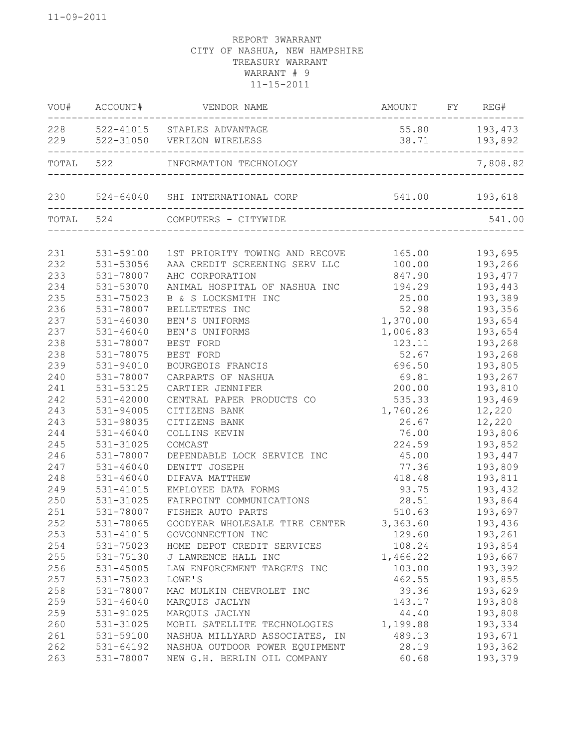| VOU#      | ACCOUNT#  | VENDOR NAME                                                | AMOUNT FY REG#            |          |
|-----------|-----------|------------------------------------------------------------|---------------------------|----------|
|           |           | 228 522-41015 STAPLES ADVANTAGE                            | 55.80                     | 193,473  |
|           |           | 229 522-31050 VERIZON WIRELESS                             | 38.71                     | 193,892  |
| TOTAL 522 |           | INFORMATION TECHNOLOGY                                     |                           | 7,808.82 |
|           |           | 230 524-64040 SHI INTERNATIONAL CORP 541.00 541.00 193,618 |                           |          |
|           | TOTAL 524 | COMPUTERS - CITYWIDE                                       | _________________________ | 541.00   |
|           |           |                                                            |                           |          |
| 231       |           | 531-59100 1ST PRIORITY TOWING AND RECOVE                   | 165.00                    | 193,695  |
| 232       | 531-53056 | AAA CREDIT SCREENING SERV LLC                              | 100.00                    | 193,266  |
| 233       | 531-78007 | AHC CORPORATION                                            | 847.90                    | 193,477  |
| 234       | 531-53070 | ANIMAL HOSPITAL OF NASHUA INC                              | 194.29                    | 193,443  |
| 235       | 531-75023 | B & S LOCKSMITH INC                                        | 25.00                     | 193,389  |
| 236       | 531-78007 | BELLETETES INC                                             | 52.98                     | 193,356  |
| 237       | 531-46030 | BEN'S UNIFORMS                                             | 1,370.00                  | 193,654  |
| 237       | 531-46040 | BEN'S UNIFORMS                                             | 1,006.83                  | 193,654  |
| 238       | 531-78007 | BEST FORD                                                  | 123.11                    | 193,268  |
| 238       | 531-78075 | BEST FORD                                                  | 52.67                     | 193,268  |
| 239       | 531-94010 | BOURGEOIS FRANCIS                                          | 696.50                    | 193,805  |
| 240       | 531-78007 | CARPARTS OF NASHUA                                         | 69.81                     | 193,267  |
| 241       | 531-53125 | CARTIER JENNIFER                                           | 200.00                    | 193,810  |
| 242       | 531-42000 | CENTRAL PAPER PRODUCTS CO                                  | 535.33                    | 193,469  |
| 243       | 531-94005 | CITIZENS BANK                                              | 1,760.26                  | 12,220   |
| 243       | 531-98035 | CITIZENS BANK                                              | 26.67                     | 12,220   |
| 244       | 531-46040 | COLLINS KEVIN                                              | 76.00                     | 193,806  |
| 245       | 531-31025 | COMCAST                                                    | 224.59                    | 193,852  |
| 246       | 531-78007 | DEPENDABLE LOCK SERVICE INC                                | 45.00                     | 193,447  |
| 247       | 531-46040 | DEWITT JOSEPH                                              | 77.36                     | 193,809  |
| 248       | 531-46040 | DIFAVA MATTHEW                                             | 418.48                    | 193,811  |
| 249       | 531-41015 | EMPLOYEE DATA FORMS                                        | 93.75                     | 193,432  |
| 250       | 531-31025 | FAIRPOINT COMMUNICATIONS                                   | 28.51                     | 193,864  |
| 251       | 531-78007 | FISHER AUTO PARTS                                          | 510.63                    | 193,697  |
| 252       | 531-78065 | GOODYEAR WHOLESALE TIRE CENTER                             | 3,363.60                  | 193,436  |
| 253       | 531-41015 | GOVCONNECTION INC                                          | 129.60                    | 193,261  |
| 254       | 531-75023 | HOME DEPOT CREDIT SERVICES                                 | 108.24                    | 193,854  |
| 255       | 531-75130 | J LAWRENCE HALL INC                                        | 1,466.22                  | 193,667  |
| 256       | 531-45005 | LAW ENFORCEMENT TARGETS INC                                | 103.00                    | 193,392  |
| 257       | 531-75023 | LOWE'S                                                     | 462.55                    | 193,855  |
| 258       | 531-78007 | MAC MULKIN CHEVROLET INC                                   | 39.36                     | 193,629  |
| 259       | 531-46040 | MARQUIS JACLYN                                             | 143.17                    | 193,808  |
| 259       | 531-91025 | MARQUIS JACLYN                                             | 44.40                     | 193,808  |
| 260       | 531-31025 | MOBIL SATELLITE TECHNOLOGIES                               | 1,199.88                  | 193,334  |
| 261       | 531-59100 | NASHUA MILLYARD ASSOCIATES, IN                             | 489.13                    | 193,671  |
| 262       | 531-64192 | NASHUA OUTDOOR POWER EQUIPMENT                             | 28.19                     | 193,362  |
| 263       | 531-78007 | NEW G.H. BERLIN OIL COMPANY                                | 60.68                     | 193,379  |
|           |           |                                                            |                           |          |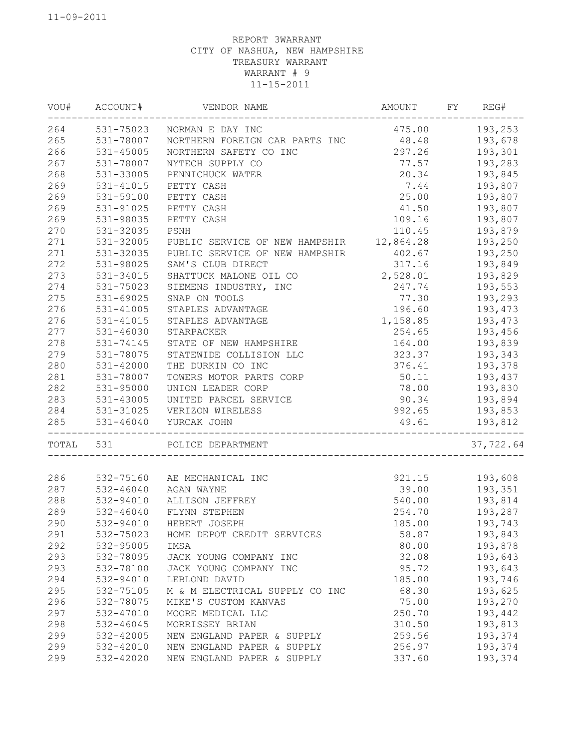| VOU#      | ACCOUNT#  | VENDOR NAME                    | <b>AMOUNT</b>  | FY | REG#          |
|-----------|-----------|--------------------------------|----------------|----|---------------|
| 264       |           | 531-75023 NORMAN E DAY INC     | 475.00 193,253 |    |               |
| 265       | 531-78007 | NORTHERN FOREIGN CAR PARTS INC | 48.48          |    | 193,678       |
| 266       | 531-45005 | NORTHERN SAFETY CO INC         | 297.26         |    | 193,301       |
| 267       | 531-78007 | NYTECH SUPPLY CO               | 77.57          |    | 193,283       |
| 268       | 531-33005 | PENNICHUCK WATER               | 20.34          |    | 193,845       |
| 269       | 531-41015 | PETTY CASH                     | 7.44           |    | 193,807       |
| 269       | 531-59100 | PETTY CASH                     | 25.00          |    | 193,807       |
| 269       | 531-91025 | PETTY CASH                     | 41.50          |    | 193,807       |
| 269       | 531-98035 | PETTY CASH                     | 109.16         |    | 193,807       |
| 270       | 531-32035 | PSNH                           | 110.45         |    | 193,879       |
| 271       | 531-32005 | PUBLIC SERVICE OF NEW HAMPSHIR | 12,864.28      |    | 193,250       |
| 271       | 531-32035 | PUBLIC SERVICE OF NEW HAMPSHIR | 402.67         |    | 193,250       |
| 272       | 531-98025 | SAM'S CLUB DIRECT              | 317.16         |    | 193,849       |
| 273       | 531-34015 | SHATTUCK MALONE OIL CO         | 2,528.01       |    | 193,829       |
| 274       | 531-75023 | SIEMENS INDUSTRY, INC          | 247.74         |    | 193,553       |
| 275       | 531-69025 | SNAP ON TOOLS                  | 77.30          |    | 193,293       |
| 276       | 531-41005 | STAPLES ADVANTAGE              | 196.60         |    | 193,473       |
| 276       | 531-41015 | STAPLES ADVANTAGE              | 1,158.85       |    | 193,473       |
| 277       | 531-46030 | STARPACKER                     | 254.65         |    | 193,456       |
| 278       | 531-74145 | STATE OF NEW HAMPSHIRE         | 164.00         |    | 193,839       |
| 279       | 531-78075 | STATEWIDE COLLISION LLC        | 323.37         |    | 193,343       |
| 280       | 531-42000 | THE DURKIN CO INC              | 376.41         |    | 193,378       |
| 281       | 531-78007 | TOWERS MOTOR PARTS CORP        | 50.11          |    | 193,437       |
| 282       | 531-95000 | UNION LEADER CORP              |                |    | 78.00 193,830 |
| 283       | 531-43005 | UNITED PARCEL SERVICE          | 90.34 193,894  |    |               |
| 284       | 531-31025 | VERIZON WIRELESS               | 992.65         |    | 193,853       |
| 285       |           | 531-46040 YURCAK JOHN          | 49.61          |    | 193,812       |
| TOTAL 531 |           | POLICE DEPARTMENT              |                |    | 37,722.64     |
|           |           |                                |                |    |               |
| 286       | 532-75160 | AE MECHANICAL INC              | 921.15         |    | 193,608       |
| 287       | 532-46040 | AGAN WAYNE                     | 39.00          |    | 193,351       |
| 288       | 532-94010 | ALLISON JEFFREY                | 540.00         |    | 193,814       |
| 289       | 532-46040 | FLYNN STEPHEN                  | 254.70         |    | 193,287       |
| 290       | 532-94010 | HEBERT JOSEPH                  | 185.00         |    | 193,743       |
| 291       | 532-75023 | HOME DEPOT CREDIT SERVICES     | 58.87          |    | 193,843       |
| 292       | 532-95005 | IMSA                           | 80.00          |    | 193,878       |
| 293       | 532-78095 | JACK YOUNG COMPANY INC         | 32.08          |    | 193,643       |
| 293       | 532-78100 | JACK YOUNG COMPANY INC         | 95.72          |    | 193,643       |
| 294       | 532-94010 | LEBLOND DAVID                  | 185.00         |    | 193,746       |
| 295       | 532-75105 | M & M ELECTRICAL SUPPLY CO INC | 68.30          |    | 193,625       |
| 296       | 532-78075 | MIKE'S CUSTOM KANVAS           | 75.00          |    | 193,270       |
| 297       | 532-47010 | MOORE MEDICAL LLC              | 250.70         |    | 193,442       |
| 298       | 532-46045 | MORRISSEY BRIAN                | 310.50         |    | 193,813       |
| 299       | 532-42005 | NEW ENGLAND PAPER & SUPPLY     | 259.56         |    | 193,374       |
| 299       | 532-42010 | NEW ENGLAND PAPER & SUPPLY     | 256.97         |    | 193,374       |
| 299       | 532-42020 | NEW ENGLAND PAPER & SUPPLY     | 337.60         |    | 193,374       |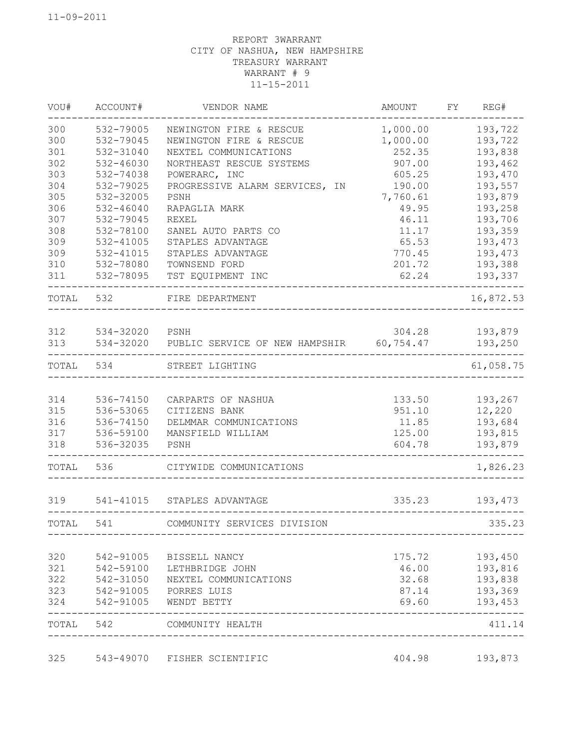| VOU#       | ACCOUNT#                   | VENDOR NAME                                        | AMOUNT            | FY | REG#               |
|------------|----------------------------|----------------------------------------------------|-------------------|----|--------------------|
| 300        | 532-79005                  | NEWINGTON FIRE & RESCUE                            | 1,000.00          |    | 193,722            |
| 300        | 532-79045                  | NEWINGTON FIRE & RESCUE                            | 1,000.00          |    | 193,722            |
| 301        | 532-31040                  | NEXTEL COMMUNICATIONS                              | 252.35            |    | 193,838            |
| 302        | 532-46030                  | NORTHEAST RESCUE SYSTEMS                           | 907.00            |    | 193,462            |
| 303        | 532-74038                  | POWERARC, INC                                      | 605.25            |    | 193,470            |
| 304        | 532-79025                  | PROGRESSIVE ALARM SERVICES,<br>ΙN                  | 190.00            |    | 193,557            |
| 305        | 532-32005<br>$532 - 46040$ | PSNH<br>RAPAGLIA MARK                              | 7,760.61<br>49.95 |    | 193,879            |
| 306<br>307 | 532-79045                  | <b>REXEL</b>                                       | 46.11             |    | 193,258<br>193,706 |
| 308        | 532-78100                  | SANEL AUTO PARTS CO                                | 11.17             |    | 193,359            |
| 309        | 532-41005                  | STAPLES ADVANTAGE                                  | 65.53             |    | 193,473            |
| 309        | 532-41015                  | STAPLES ADVANTAGE                                  | 770.45            |    | 193,473            |
| 310        | 532-78080                  | TOWNSEND FORD                                      | 201.72            |    | 193,388            |
| 311        | 532-78095                  | TST EQUIPMENT INC                                  | 62.24             |    | 193,337            |
| TOTAL      | 532                        | FIRE DEPARTMENT                                    |                   |    | 16,872.53          |
| 312        | 534-32020                  | PSNH                                               | 304.28            |    | 193,879            |
| 313        |                            | 534-32020 PUBLIC SERVICE OF NEW HAMPSHIR 60,754.47 |                   |    | 193,250            |
| TOTAL      | 534                        | STREET LIGHTING                                    |                   |    | 61,058.75          |
|            |                            |                                                    |                   |    |                    |
| 314<br>315 | 536-74150<br>536-53065     | CARPARTS OF NASHUA<br>CITIZENS BANK                | 133.50<br>951.10  |    | 193,267<br>12,220  |
| 316        | 536-74150                  | DELMMAR COMMUNICATIONS                             | 11.85             |    | 193,684            |
| 317        | 536-59100                  | MANSFIELD WILLIAM                                  | 125.00            |    | 193,815            |
| 318        | 536-32035                  | PSNH                                               | 604.78            |    | 193,879            |
| TOTAL      | 536                        | CITYWIDE COMMUNICATIONS                            |                   |    | 1,826.23           |
| 319        |                            | 541-41015 STAPLES ADVANTAGE                        | 335.23            |    | 193,473            |
| TOTAL      | 541                        | COMMUNITY SERVICES DIVISION                        |                   |    | 335.23             |
|            |                            |                                                    |                   |    |                    |
| 320        | 542-91005                  | BISSELL NANCY                                      | 175.72            |    | 193,450            |
| 321        | 542-59100                  | LETHBRIDGE JOHN                                    | 46.00             |    | 193,816            |
| 322<br>323 | 542-31050                  | NEXTEL COMMUNICATIONS                              | 32.68             |    | 193,838<br>193,369 |
| 324        | 542-91005                  | 542-91005 PORRES LUIS<br>WENDT BETTY               | 87.14<br>69.60    |    | 193,453            |
| TOTAL 542  |                            | COMMUNITY HEALTH                                   |                   |    | 411.14             |
| 325        | 543-49070                  | FISHER SCIENTIFIC                                  | 404.98            |    | 193,873            |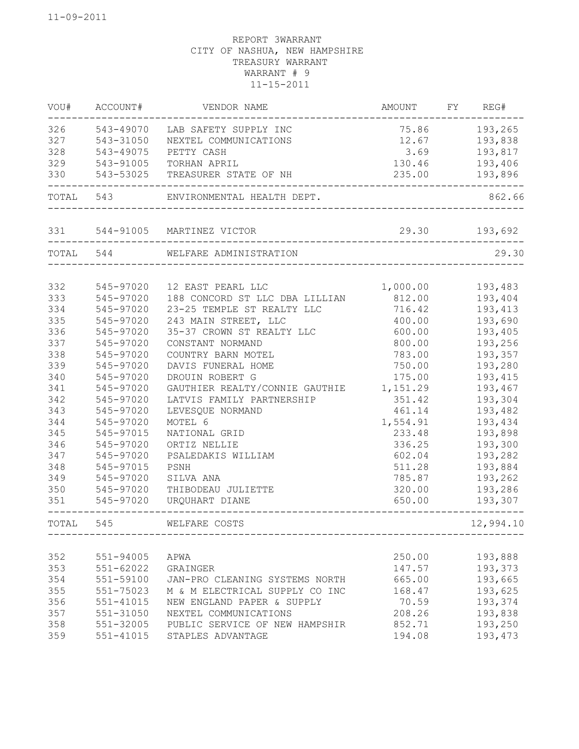| WOU#   | ACCOUNT#  | VENDOR NAME                    | AMOUNT   | FY | REG#      |
|--------|-----------|--------------------------------|----------|----|-----------|
| 326    | 543-49070 | LAB SAFETY SUPPLY INC          | 75.86    |    | 193,265   |
| 327    | 543-31050 | NEXTEL COMMUNICATIONS          | 12.67    |    | 193,838   |
| 328    | 543-49075 | PETTY CASH                     | 3.69     |    | 193,817   |
| 329    | 543-91005 | TORHAN APRIL                   | 130.46   |    | 193,406   |
| 330    | 543-53025 | TREASURER STATE OF NH          | 235.00   |    | 193,896   |
|        | TOTAL 543 | ENVIRONMENTAL HEALTH DEPT.     |          |    | 862.66    |
| 331    |           | 544-91005 MARTINEZ VICTOR      | 29.30    |    | 193,692   |
|        | TOTAL 544 | WELFARE ADMINISTRATION         |          |    | 29.30     |
| 332    | 545-97020 | 12 EAST PEARL LLC              | 1,000.00 |    | 193,483   |
| 333    | 545-97020 | 188 CONCORD ST LLC DBA LILLIAN | 812.00   |    | 193,404   |
| 334    | 545-97020 | 23-25 TEMPLE ST REALTY LLC     | 716.42   |    | 193,413   |
| 335    | 545-97020 | 243 MAIN STREET, LLC           | 400.00   |    | 193,690   |
| 336    | 545-97020 | 35-37 CROWN ST REALTY LLC      | 600.00   |    | 193,405   |
| 337    | 545-97020 | CONSTANT NORMAND               | 800.00   |    | 193,256   |
| 338    | 545-97020 | COUNTRY BARN MOTEL             | 783.00   |    | 193,357   |
| 339    | 545-97020 | DAVIS FUNERAL HOME             | 750.00   |    | 193,280   |
| 340    | 545-97020 | DROUIN ROBERT G                | 175.00   |    | 193,415   |
| 341    | 545-97020 | GAUTHIER REALTY/CONNIE GAUTHIE | 1,151.29 |    | 193,467   |
| 342    | 545-97020 | LATVIS FAMILY PARTNERSHIP      | 351.42   |    | 193,304   |
| 343    | 545-97020 | LEVESQUE NORMAND               | 461.14   |    | 193,482   |
| 344    | 545-97020 | MOTEL 6                        | 1,554.91 |    | 193,434   |
| 345    | 545-97015 | NATIONAL GRID                  | 233.48   |    | 193,898   |
| 346    | 545-97020 | ORTIZ NELLIE                   | 336.25   |    | 193,300   |
| 347    | 545-97020 | PSALEDAKIS WILLIAM             | 602.04   |    | 193,282   |
| 348    | 545-97015 | PSNH                           | 511.28   |    | 193,884   |
| 349    | 545-97020 | SILVA ANA                      | 785.87   |    | 193,262   |
| 350    | 545-97020 | THIBODEAU JULIETTE             | 320.00   |    | 193,286   |
| 351    | 545-97020 | URQUHART DIANE                 | 650.00   |    | 193,307   |
| TOTAL. | 545       | WELFARE COSTS                  |          |    | 12,994.10 |
|        |           |                                |          |    |           |
| 352    | 551-94005 | APWA                           | 250.00   |    | 193,888   |
| 353    | 551-62022 | GRAINGER                       | 147.57   |    | 193,373   |
| 354    | 551-59100 | JAN-PRO CLEANING SYSTEMS NORTH | 665.00   |    | 193,665   |
| 355    | 551-75023 | M & M ELECTRICAL SUPPLY CO INC | 168.47   |    | 193,625   |
| 356    | 551-41015 | NEW ENGLAND PAPER & SUPPLY     | 70.59    |    | 193,374   |
| 357    | 551-31050 | NEXTEL COMMUNICATIONS          | 208.26   |    | 193,838   |
| 358    | 551-32005 | PUBLIC SERVICE OF NEW HAMPSHIR | 852.71   |    | 193,250   |
| 359    | 551-41015 | STAPLES ADVANTAGE              | 194.08   |    | 193,473   |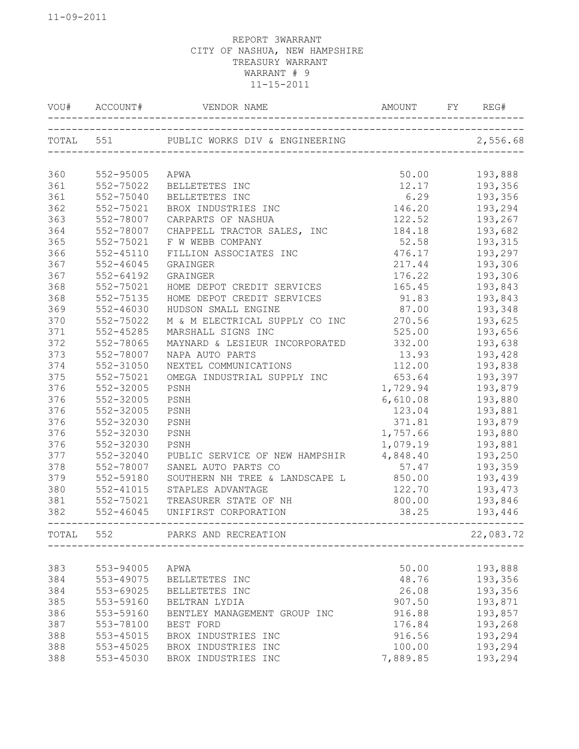| VOU#      | ACCOUNT#  | VENDOR NAME                    | <b>AMOUNT</b><br>-------------------------------- | REG#<br>FY |
|-----------|-----------|--------------------------------|---------------------------------------------------|------------|
| TOTAL 551 |           | PUBLIC WORKS DIV & ENGINEERING |                                                   | 2,556.68   |
|           |           |                                |                                                   |            |
| 360       | 552-95005 | APWA                           | 50.00                                             | 193,888    |
| 361       | 552-75022 | BELLETETES INC                 | 12.17                                             | 193,356    |
| 361       | 552-75040 | BELLETETES INC                 | 6.29                                              | 193,356    |
| 362       | 552-75021 | BROX INDUSTRIES INC            | 146.20                                            | 193,294    |
| 363       | 552-78007 | CARPARTS OF NASHUA             | 122.52                                            | 193,267    |
| 364       | 552-78007 | CHAPPELL TRACTOR SALES,<br>INC | 184.18                                            | 193,682    |
| 365       | 552-75021 | F W WEBB COMPANY               | 52.58                                             | 193,315    |
| 366       | 552-45110 | FILLION ASSOCIATES INC         | 476.17                                            | 193,297    |
| 367       | 552-46045 | GRAINGER                       | 217.44                                            | 193,306    |
| 367       | 552-64192 | GRAINGER                       | 176.22                                            | 193,306    |
| 368       | 552-75021 | HOME DEPOT CREDIT SERVICES     | 165.45                                            | 193,843    |
| 368       | 552-75135 | HOME DEPOT CREDIT SERVICES     | 91.83                                             | 193,843    |
| 369       | 552-46030 | HUDSON SMALL ENGINE            | 87.00                                             | 193,348    |
| 370       | 552-75022 | M & M ELECTRICAL SUPPLY CO INC | 270.56                                            | 193,625    |
| 371       | 552-45285 | MARSHALL SIGNS INC             | 525.00                                            | 193,656    |
| 372       | 552-78065 | MAYNARD & LESIEUR INCORPORATED | 332.00                                            | 193,638    |
| 373       | 552-78007 | NAPA AUTO PARTS                | 13.93                                             | 193,428    |
| 374       | 552-31050 | NEXTEL COMMUNICATIONS          | 112.00                                            | 193,838    |
| 375       | 552-75021 | OMEGA INDUSTRIAL SUPPLY INC    | 653.64                                            | 193,397    |
| 376       | 552-32005 | PSNH                           | 1,729.94                                          | 193,879    |
| 376       | 552-32005 | PSNH                           | 6,610.08                                          | 193,880    |
| 376       | 552-32005 | PSNH                           | 123.04                                            | 193,881    |
| 376       | 552-32030 | PSNH                           | 371.81                                            | 193,879    |
| 376       | 552-32030 | PSNH                           | 1,757.66                                          | 193,880    |
| 376       | 552-32030 | PSNH                           | 1,079.19                                          | 193,881    |
| 377       | 552-32040 | PUBLIC SERVICE OF NEW HAMPSHIR | 4,848.40                                          | 193,250    |
| 378       | 552-78007 | SANEL AUTO PARTS CO            | 57.47                                             | 193,359    |
| 379       | 552-59180 | SOUTHERN NH TREE & LANDSCAPE L | 850.00                                            | 193,439    |
| 380       | 552-41015 | STAPLES ADVANTAGE              | 122.70                                            | 193,473    |
| 381       | 552-75021 | TREASURER STATE OF NH          | 800.00                                            | 193,846    |
| 382       | 552-46045 | UNIFIRST CORPORATION           | 38.25                                             | 193,446    |
| TOTAL     | 552       | PARKS AND RECREATION           |                                                   | 22,083.72  |
|           |           |                                |                                                   |            |
| 383       | 553-94005 | APWA                           | 50.00                                             | 193,888    |
| 384       | 553-49075 | BELLETETES INC                 | 48.76                                             | 193,356    |
| 384       | 553-69025 | BELLETETES INC                 | 26.08                                             | 193,356    |
| 385       | 553-59160 | BELTRAN LYDIA                  | 907.50                                            | 193,871    |
| 386       | 553-59160 | BENTLEY MANAGEMENT GROUP INC   | 916.88                                            | 193,857    |
| 387       | 553-78100 | BEST FORD                      | 176.84                                            | 193,268    |
| 388       | 553-45015 | BROX INDUSTRIES INC            | 916.56                                            | 193,294    |
| 388       | 553-45025 | BROX INDUSTRIES INC            | 100.00                                            | 193,294    |
| 388       | 553-45030 | BROX INDUSTRIES INC            | 7,889.85                                          | 193,294    |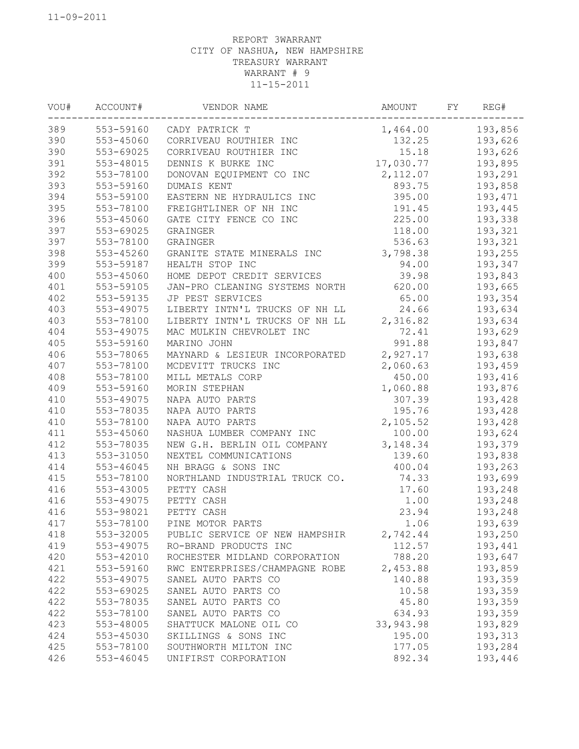| VOU#       | ACCOUNT#  | VENDOR NAME                                  | AMOUNT           | FY | REG#    |
|------------|-----------|----------------------------------------------|------------------|----|---------|
| 389        |           | 553-59160 CADY PATRICK T                     | 1,464.00         |    | 193,856 |
| 390        | 553-45060 | CORRIVEAU ROUTHIER INC                       | 132.25           |    | 193,626 |
| 390        | 553-69025 | CORRIVEAU ROUTHIER INC                       | 15.18            |    | 193,626 |
| 391        | 553-48015 | DENNIS K BURKE INC                           | 17,030.77        |    | 193,895 |
| 392        | 553-78100 | DONOVAN EQUIPMENT CO INC                     | 2,112.07         |    | 193,291 |
| 393        | 553-59160 | DUMAIS KENT                                  | 893.75           |    | 193,858 |
| 394        | 553-59100 | EASTERN NE HYDRAULICS INC                    | 395.00           |    | 193,471 |
| 395        | 553-78100 | FREIGHTLINER OF NH INC                       | 191.45           |    | 193,445 |
| 396        | 553-45060 | GATE CITY FENCE CO INC                       | 225.00           |    | 193,338 |
| 397        | 553-69025 | GRAINGER                                     | 118.00           |    | 193,321 |
| 397        | 553-78100 | GRAINGER                                     | 536.63           |    | 193,321 |
| 398        | 553-45260 | GRANITE STATE MINERALS INC                   | 3,798.38         |    | 193,255 |
| 399        | 553-59187 | HEALTH STOP INC                              | 94.00            |    | 193,347 |
| 400        | 553-45060 | HOME DEPOT CREDIT SERVICES                   | 39.98            |    | 193,843 |
| 401        | 553-59105 | JAN-PRO CLEANING SYSTEMS NORTH               | 620.00           |    | 193,665 |
| 402        | 553-59135 | JP PEST SERVICES                             | 65.00            |    | 193,354 |
| 403        | 553-49075 | LIBERTY INTN'L TRUCKS OF NH LL               | 24.66            |    | 193,634 |
| 403        | 553-78100 | LIBERTY INTN'L TRUCKS OF NH LL               | 2,316.82         |    | 193,634 |
| 404        | 553-49075 | MAC MULKIN CHEVROLET INC                     | 72.41            |    | 193,629 |
| 405        | 553-59160 | MARINO JOHN                                  | 991.88           |    | 193,847 |
| 406        | 553-78065 | MAYNARD & LESIEUR INCORPORATED               | 2,927.17         |    | 193,638 |
| 407        | 553-78100 | MCDEVITT TRUCKS INC                          | 2,060.63         |    | 193,459 |
| 408        | 553-78100 | MILL METALS CORP                             | 450.00           |    | 193,416 |
| 409        | 553-59160 | MORIN STEPHAN                                | 1,060.88         |    | 193,876 |
| 410        | 553-49075 | NAPA AUTO PARTS                              | 307.39           |    | 193,428 |
| 410        | 553-78035 | NAPA AUTO PARTS                              | 195.76           |    | 193,428 |
| 410        | 553-78100 | NAPA AUTO PARTS                              | 2,105.52         |    | 193,428 |
| 411        | 553-45060 | NASHUA LUMBER COMPANY INC                    | 100.00           |    | 193,624 |
| 412        | 553-78035 | NEW G.H. BERLIN OIL COMPANY                  | 3, 148.34        |    | 193,379 |
|            | 553-31050 |                                              |                  |    |         |
| 413<br>414 | 553-46045 | NEXTEL COMMUNICATIONS<br>NH BRAGG & SONS INC | 139.60<br>400.04 |    | 193,838 |
|            | 553-78100 |                                              |                  |    | 193,263 |
| 415        |           | NORTHLAND INDUSTRIAL TRUCK CO.               | 74.33            |    | 193,699 |
| 416        | 553-43005 | PETTY CASH                                   | 17.60            |    | 193,248 |
| 416        | 553-49075 | PETTY CASH                                   | 1.00             |    | 193,248 |
| 416        | 553-98021 | PETTY CASH                                   | 23.94            |    | 193,248 |
| 417        | 553-78100 | PINE MOTOR PARTS                             | 1.06             |    | 193,639 |
| 418        | 553-32005 | PUBLIC SERVICE OF NEW HAMPSHIR               | 2,742.44         |    | 193,250 |
| 419        | 553-49075 | RO-BRAND PRODUCTS INC                        | 112.57           |    | 193,441 |
| 420        | 553-42010 | ROCHESTER MIDLAND CORPORATION                | 788.20           |    | 193,647 |
| 421        | 553-59160 | RWC ENTERPRISES/CHAMPAGNE ROBE               | 2,453.88         |    | 193,859 |
| 422        | 553-49075 | SANEL AUTO PARTS CO                          | 140.88           |    | 193,359 |
| 422        | 553-69025 | SANEL AUTO PARTS CO                          | 10.58            |    | 193,359 |
| 422        | 553-78035 | SANEL AUTO PARTS CO                          | 45.80            |    | 193,359 |
| 422        | 553-78100 | SANEL AUTO PARTS CO                          | 634.93           |    | 193,359 |
| 423        | 553-48005 | SHATTUCK MALONE OIL CO                       | 33, 943. 98      |    | 193,829 |
| 424        | 553-45030 | SKILLINGS & SONS INC                         | 195.00           |    | 193,313 |
| 425        | 553-78100 | SOUTHWORTH MILTON INC                        | 177.05           |    | 193,284 |
| 426        | 553-46045 | UNIFIRST CORPORATION                         | 892.34           |    | 193,446 |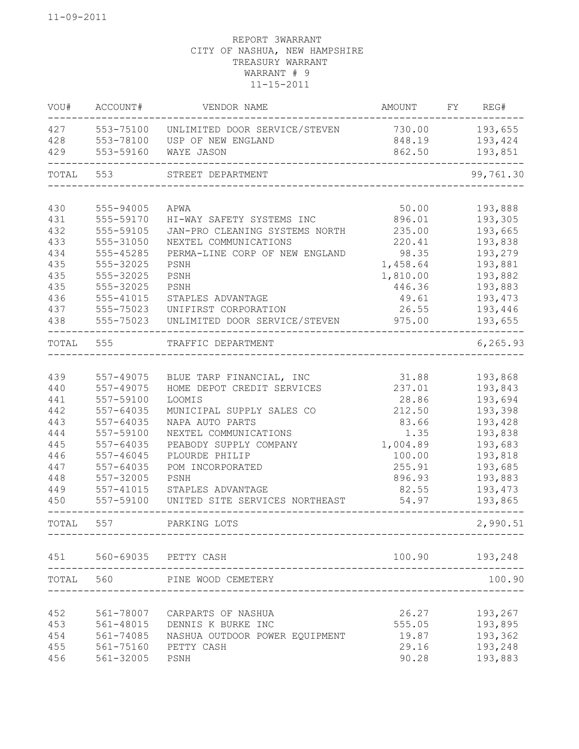| VOU#  | ACCOUNT#  | VENDOR NAME                                                     | AMOUNT                       | FY | REG#           |
|-------|-----------|-----------------------------------------------------------------|------------------------------|----|----------------|
| 427   | 553-75100 | UNLIMITED DOOR SERVICE/STEVEN                                   | 730.00                       |    | 193,655        |
| 428   | 553-78100 | USP OF NEW ENGLAND                                              | 848.19                       |    | 193,424        |
| 429   | 553-59160 | WAYE JASON                                                      | 862.50                       |    | 193,851        |
| TOTAL | 553       | STREET DEPARTMENT                                               |                              |    | 99,761.30      |
| 430   | 555-94005 | APWA                                                            | 50.00                        |    | 193,888        |
| 431   | 555-59170 | HI-WAY SAFETY SYSTEMS INC                                       | 896.01                       |    | 193,305        |
| 432   | 555-59105 | JAN-PRO CLEANING SYSTEMS NORTH                                  | 235.00                       |    | 193,665        |
| 433   | 555-31050 | NEXTEL COMMUNICATIONS                                           | 220.41                       |    | 193,838        |
| 434   | 555-45285 | PERMA-LINE CORP OF NEW ENGLAND                                  | 98.35                        |    | 193,279        |
| 435   | 555-32025 | PSNH                                                            | 1,458.64                     |    | 193,881        |
| 435   | 555-32025 | PSNH                                                            | 1,810.00                     |    | 193,882        |
| 435   | 555-32025 | PSNH                                                            | 446.36                       |    | 193,883        |
| 436   | 555-41015 | STAPLES ADVANTAGE                                               | 49.61                        |    | 193,473        |
| 437   | 555-75023 | UNIFIRST CORPORATION                                            | 26.55                        |    | 193,446        |
| 438   | 555-75023 | UNLIMITED DOOR SERVICE/STEVEN                                   | 975.00                       |    | 193,655        |
| TOTAL | 555       | TRAFFIC DEPARTMENT                                              |                              |    | 6, 265.93      |
|       |           |                                                                 |                              |    |                |
| 439   | 557-49075 | BLUE TARP FINANCIAL, INC                                        | 31.88                        |    | 193,868        |
| 440   | 557-49075 | HOME DEPOT CREDIT SERVICES                                      | 237.01                       |    | 193,843        |
| 441   | 557-59100 | LOOMIS                                                          | 28.86                        |    | 193,694        |
| 442   | 557-64035 | MUNICIPAL SUPPLY SALES CO                                       | 212.50                       |    | 193,398        |
| 443   | 557-64035 | NAPA AUTO PARTS                                                 | 83.66                        |    | 193,428        |
| 444   | 557-59100 | NEXTEL COMMUNICATIONS                                           | 1.35                         |    | 193,838        |
| 445   | 557-64035 | PEABODY SUPPLY COMPANY                                          | 1,004.89                     |    | 193,683        |
| 446   | 557-46045 | PLOURDE PHILIP                                                  | 100.00                       |    | 193,818        |
| 447   | 557-64035 | POM INCORPORATED                                                | 255.91                       |    | 193,685        |
| 448   | 557-32005 | PSNH                                                            | 896.93                       |    | 193,883        |
| 449   | 557-41015 | STAPLES ADVANTAGE                                               | 82.55                        |    | 193,473        |
| 450   | 557-59100 | UNITED SITE SERVICES NORTHEAST                                  | 54.97                        |    | 193,865        |
| TOTAL | 557       | PARKING LOTS                                                    |                              |    | 2,990.51       |
|       |           | 451 560-69035 PETTY CASH                                        |                              |    | 100.90 193,248 |
|       |           | _______________________________<br>TOTAL 560 PINE WOOD CEMETERY |                              |    | 100.90         |
|       |           |                                                                 | ____________________________ |    |                |
| 452   | 561-78007 | CARPARTS OF NASHUA                                              | 26.27                        |    | 193,267        |
| 453   | 561-48015 | DENNIS K BURKE INC                                              | 555.05                       |    | 193,895        |
| 454   | 561-74085 | NASHUA OUTDOOR POWER EQUIPMENT                                  | 19.87                        |    | 193,362        |
| 455   | 561-75160 | PETTY CASH                                                      | 29.16                        |    | 193,248        |
| 456   | 561-32005 | PSNH                                                            | 90.28                        |    | 193,883        |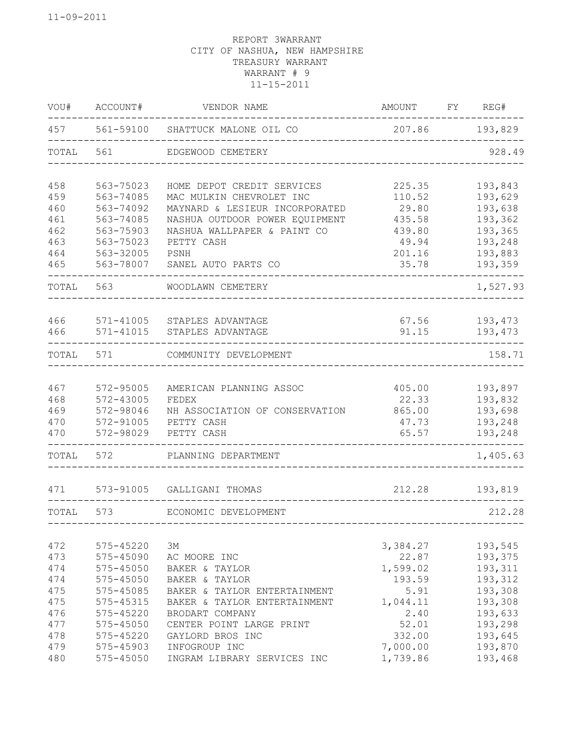| WOU#  | ACCOUNT#      | VENDOR NAME                      | AMOUNT   | FY | REG#     |
|-------|---------------|----------------------------------|----------|----|----------|
| 457   |               | 561-59100 SHATTUCK MALONE OIL CO | 207.86   |    | 193,829  |
| TOTAL | 561           | EDGEWOOD CEMETERY                |          |    | 928.49   |
| 458   | 563-75023     | HOME DEPOT CREDIT SERVICES       | 225.35   |    | 193,843  |
| 459   | 563-74085     | MAC MULKIN CHEVROLET INC         | 110.52   |    | 193,629  |
| 460   | 563-74092     | MAYNARD & LESIEUR INCORPORATED   | 29.80    |    | 193,638  |
| 461   | 563-74085     | NASHUA OUTDOOR POWER EQUIPMENT   | 435.58   |    | 193,362  |
| 462   | 563-75903     | NASHUA WALLPAPER & PAINT CO      | 439.80   |    | 193,365  |
| 463   | 563-75023     | PETTY CASH                       | 49.94    |    | 193,248  |
| 464   | 563-32005     | PSNH                             | 201.16   |    | 193,883  |
| 465   | 563-78007     | SANEL AUTO PARTS CO              | 35.78    |    | 193,359  |
| TOTAL | 563           | WOODLAWN CEMETERY                |          |    | 1,527.93 |
|       |               |                                  |          |    |          |
| 466   | 571-41005     | STAPLES ADVANTAGE                | 67.56    |    | 193,473  |
| 466   | 571-41015     | STAPLES ADVANTAGE                | 91.15    |    | 193,473  |
| TOTAL | 571           | COMMUNITY DEVELOPMENT            |          |    | 158.71   |
|       |               |                                  |          |    |          |
| 467   | 572-95005     | AMERICAN PLANNING ASSOC          | 405.00   |    | 193,897  |
| 468   | 572-43005     | FEDEX                            | 22.33    |    | 193,832  |
| 469   | 572-98046     | NH ASSOCIATION OF CONSERVATION   | 865.00   |    | 193,698  |
| 470   | 572-91005     | PETTY CASH                       | 47.73    |    | 193,248  |
| 470   | 572-98029     | PETTY CASH                       | 65.57    |    | 193,248  |
| TOTAL | 572           | PLANNING DEPARTMENT              |          |    | 1,405.63 |
| 471   | 573-91005     | GALLIGANI THOMAS                 | 212.28   |    | 193,819  |
| TOTAL | 573           | ECONOMIC DEVELOPMENT             |          |    | 212.28   |
|       |               |                                  |          |    |          |
| 472   | 575-45220     | 3M                               | 3,384.27 |    | 193,545  |
| 473   | 575-45090     | AC MOORE INC                     | 22.87    |    | 193,375  |
| 474   | 575-45050     | BAKER & TAYLOR                   | 1,599.02 |    | 193,311  |
| 474   | 575-45050     | BAKER & TAYLOR                   | 193.59   |    | 193,312  |
| 475   | 575-45085     | BAKER & TAYLOR ENTERTAINMENT     | 5.91     |    | 193,308  |
| 475   | 575-45315     | BAKER & TAYLOR ENTERTAINMENT     | 1,044.11 |    | 193,308  |
| 476   | 575-45220     | BRODART COMPANY                  | 2.40     |    | 193,633  |
| 477   | $575 - 45050$ | CENTER POINT LARGE PRINT         | 52.01    |    | 193,298  |
| 478   | 575-45220     | GAYLORD BROS INC                 | 332.00   |    | 193,645  |
| 479   | 575-45903     | INFOGROUP INC                    | 7,000.00 |    | 193,870  |
| 480   | $575 - 45050$ | INGRAM LIBRARY SERVICES INC      | 1,739.86 |    | 193,468  |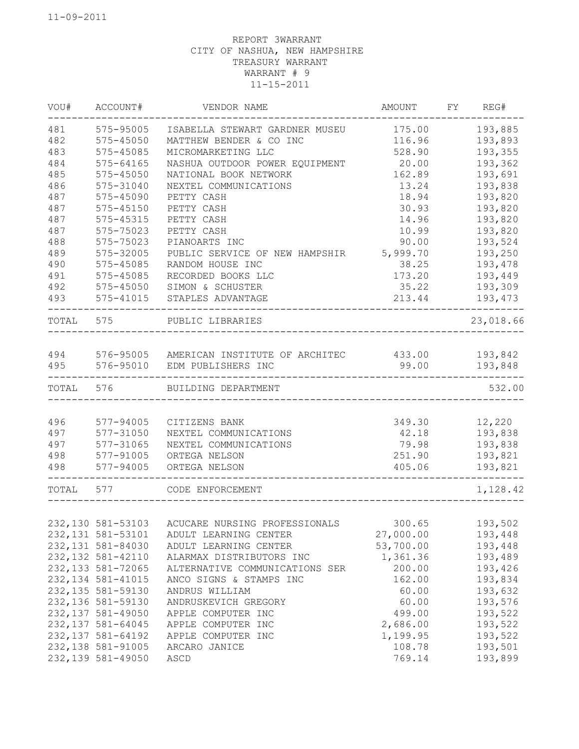| WOU#      | ACCOUNT#           | VENDOR NAME                                       | AMOUNT    | FY REG#   |
|-----------|--------------------|---------------------------------------------------|-----------|-----------|
| 481       | 575-95005          | ISABELLA STEWART GARDNER MUSEU                    | 175.00    | 193,885   |
| 482       | 575-45050          | MATTHEW BENDER & CO INC                           | 116.96    | 193,893   |
| 483       | 575-45085          | MICROMARKETING LLC                                | 528.90    | 193,355   |
| 484       | 575-64165          | NASHUA OUTDOOR POWER EQUIPMENT                    | 20.00     | 193,362   |
| 485       | 575-45050          | NATIONAL BOOK NETWORK                             | 162.89    | 193,691   |
| 486       | 575-31040          | NEXTEL COMMUNICATIONS                             | 13.24     | 193,838   |
| 487       | 575-45090          | PETTY CASH                                        | 18.94     | 193,820   |
| 487       | 575-45150          | PETTY CASH                                        | 30.93     | 193,820   |
| 487       | 575-45315          | PETTY CASH                                        | 14.96     | 193,820   |
| 487       | 575-75023          | PETTY CASH                                        | 10.99     | 193,820   |
| 488       | 575-75023          | PIANOARTS INC                                     | 90.00     | 193,524   |
| 489       | 575-32005          | PUBLIC SERVICE OF NEW HAMPSHIR                    | 5,999.70  | 193,250   |
| 490       | 575-45085          | RANDOM HOUSE INC                                  | 38.25     | 193,478   |
| 491       | 575-45085          | RECORDED BOOKS LLC                                | 173.20    | 193,449   |
| 492       | 575-45050          | SIMON & SCHUSTER                                  | 35.22     | 193,309   |
| 493       | 575-41015          | STAPLES ADVANTAGE                                 | 213.44    | 193,473   |
| TOTAL 575 |                    | PUBLIC LIBRARIES                                  |           | 23,018.66 |
|           |                    |                                                   |           |           |
| 494       |                    | 576-95005 AMERICAN INSTITUTE OF ARCHITEC          | 433.00    | 193,842   |
| 495       | 576-95010          | EDM PUBLISHERS INC                                | 99.00     | 193,848   |
| TOTAL     | 576                | BUILDING DEPARTMENT                               |           | 532.00    |
|           |                    |                                                   |           |           |
| 496       | 577-94005          | CITIZENS BANK                                     | 349.30    | 12,220    |
| 497       | 577-31050          | NEXTEL COMMUNICATIONS                             | 42.18     | 193,838   |
| 497       | 577-31065          | NEXTEL COMMUNICATIONS                             | 79.98     | 193,838   |
| 498       | 577-91005          | ORTEGA NELSON                                     | 251.90    | 193,821   |
| 498       | 577-94005          | ORTEGA NELSON                                     | 405.06    | 193,821   |
| TOTAL     | 577                | CODE ENFORCEMENT                                  |           | 1,128.42  |
|           |                    |                                                   |           |           |
|           |                    | 232,130  581-53103  ACUCARE NURSING PROFESSIONALS | 300.65    | 193,502   |
|           | 232, 131 581-53101 | ADULT LEARNING CENTER                             | 27,000.00 | 193,448   |
|           | 232, 131 581-84030 | ADULT LEARNING CENTER                             | 53,700.00 | 193,448   |
|           | 232, 132 581-42110 | ALARMAX DISTRIBUTORS INC                          | 1,361.36  | 193,489   |
|           | 232, 133 581-72065 | ALTERNATIVE COMMUNICATIONS SER                    | 200.00    | 193,426   |
|           | 232, 134 581-41015 | ANCO SIGNS & STAMPS INC                           | 162.00    | 193,834   |
|           | 232, 135 581-59130 | ANDRUS WILLIAM                                    | 60.00     | 193,632   |
|           | 232, 136 581-59130 | ANDRUSKEVICH GREGORY                              | 60.00     | 193,576   |
|           | 232, 137 581-49050 | APPLE COMPUTER INC                                | 499.00    | 193,522   |
|           | 232, 137 581-64045 | APPLE COMPUTER INC                                | 2,686.00  | 193,522   |
|           | 232, 137 581-64192 | APPLE COMPUTER INC                                | 1,199.95  | 193,522   |
|           | 232, 138 581-91005 | ARCARO JANICE                                     | 108.78    | 193,501   |
|           | 232, 139 581-49050 | ASCD                                              | 769.14    | 193,899   |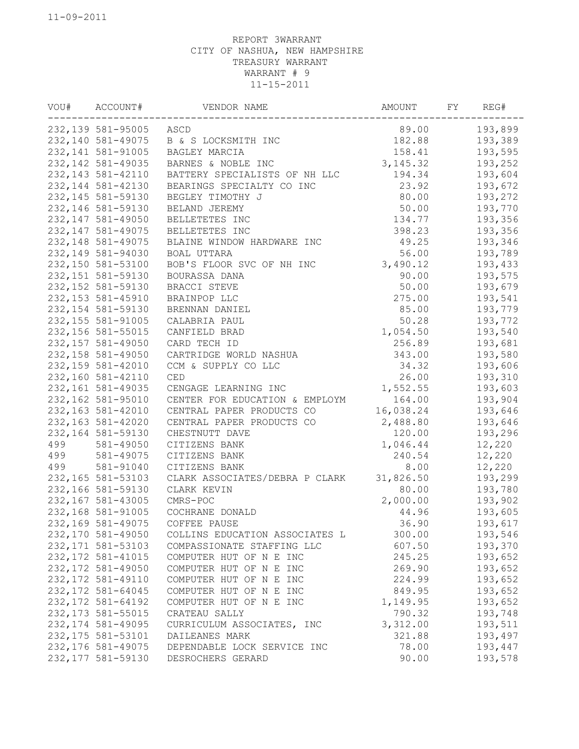| VOU# | ACCOUNT#           | VENDOR NAME                    | AMOUNT    | FY | REG#    |
|------|--------------------|--------------------------------|-----------|----|---------|
|      | 232,139 581-95005  | ASCD                           | 89.00     |    | 193,899 |
|      | 232, 140 581-49075 | B & S LOCKSMITH INC            | 182.88    |    | 193,389 |
|      | 232, 141 581-91005 | BAGLEY MARCIA                  | 158.41    |    | 193,595 |
|      | 232, 142 581-49035 | BARNES & NOBLE INC             | 3, 145.32 |    | 193,252 |
|      | 232, 143 581-42110 | BATTERY SPECIALISTS OF NH LLC  | 194.34    |    | 193,604 |
|      | 232, 144 581-42130 | BEARINGS SPECIALTY CO INC      | 23.92     |    | 193,672 |
|      | 232, 145 581-59130 | BEGLEY TIMOTHY J               | 80.00     |    | 193,272 |
|      | 232, 146 581-59130 | BELAND JEREMY                  | 50.00     |    | 193,770 |
|      | 232, 147 581-49050 | BELLETETES INC                 | 134.77    |    | 193,356 |
|      | 232, 147 581-49075 | BELLETETES INC                 | 398.23    |    | 193,356 |
|      | 232, 148 581-49075 | BLAINE WINDOW HARDWARE INC     | 49.25     |    | 193,346 |
|      | 232, 149 581-94030 | BOAL UTTARA                    | 56.00     |    | 193,789 |
|      | 232,150 581-53100  | BOB'S FLOOR SVC OF NH INC      | 3,490.12  |    | 193,433 |
|      | 232, 151 581-59130 | BOURASSA DANA                  | 90.00     |    | 193,575 |
|      | 232, 152 581-59130 | BRACCI STEVE                   | 50.00     |    | 193,679 |
|      | 232, 153 581-45910 | BRAINPOP LLC                   | 275.00    |    | 193,541 |
|      | 232, 154 581-59130 | BRENNAN DANIEL                 | 85.00     |    | 193,779 |
|      | 232, 155 581-91005 | CALABRIA PAUL                  | 50.28     |    | 193,772 |
|      | 232, 156 581-55015 | CANFIELD BRAD                  | 1,054.50  |    | 193,540 |
|      | 232, 157 581-49050 | CARD TECH ID                   | 256.89    |    | 193,681 |
|      | 232, 158 581-49050 | CARTRIDGE WORLD NASHUA         | 343.00    |    | 193,580 |
|      |                    | CCM & SUPPLY CO LLC            | 34.32     |    | 193,606 |
|      | 232, 159 581-42010 | CED                            | 26.00     |    |         |
|      | 232,160 581-42110  |                                |           |    | 193,310 |
|      | 232, 161 581-49035 | CENGAGE LEARNING INC           | 1,552.55  |    | 193,603 |
|      | 232,162 581-95010  | CENTER FOR EDUCATION & EMPLOYM | 164.00    |    | 193,904 |
|      | 232, 163 581-42010 | CENTRAL PAPER PRODUCTS CO      | 16,038.24 |    | 193,646 |
|      | 232, 163 581-42020 | CENTRAL PAPER PRODUCTS CO      | 2,488.80  |    | 193,646 |
|      | 232, 164 581-59130 | CHESTNUTT DAVE                 | 120.00    |    | 193,296 |
| 499  | 581-49050          | CITIZENS BANK                  | 1,046.44  |    | 12,220  |
| 499  | 581-49075          | CITIZENS BANK                  | 240.54    |    | 12,220  |
| 499  | 581-91040          | CITIZENS BANK                  | 8.00      |    | 12,220  |
|      | 232, 165 581-53103 | CLARK ASSOCIATES/DEBRA P CLARK | 31,826.50 |    | 193,299 |
|      | 232,166 581-59130  | CLARK KEVIN                    | 80.00     |    | 193,780 |
|      | 232, 167 581-43005 | CMRS-POC                       | 2,000.00  |    | 193,902 |
|      | 232,168 581-91005  | COCHRANE DONALD                | 44.96     |    | 193,605 |
|      | 232,169 581-49075  | COFFEE PAUSE                   | 36.90     |    | 193,617 |
|      | 232,170 581-49050  | COLLINS EDUCATION ASSOCIATES L | 300.00    |    | 193,546 |
|      | 232, 171 581-53103 | COMPASSIONATE STAFFING LLC     | 607.50    |    | 193,370 |
|      | 232, 172 581-41015 | COMPUTER HUT OF N E INC        | 245.25    |    | 193,652 |
|      | 232, 172 581-49050 | COMPUTER HUT OF N E INC        | 269.90    |    | 193,652 |
|      | 232, 172 581-49110 | COMPUTER HUT OF N E INC        | 224.99    |    | 193,652 |
|      | 232, 172 581-64045 | COMPUTER HUT OF N E INC        | 849.95    |    | 193,652 |
|      | 232, 172 581-64192 | COMPUTER HUT OF N E INC        | 1,149.95  |    | 193,652 |
|      | 232, 173 581-55015 | CRATEAU SALLY                  | 790.32    |    | 193,748 |
|      | 232, 174 581-49095 | CURRICULUM ASSOCIATES, INC     | 3,312.00  |    | 193,511 |
|      | 232, 175 581-53101 | DAILEANES MARK                 | 321.88    |    | 193,497 |
|      | 232, 176 581-49075 | DEPENDABLE LOCK SERVICE INC    | 78.00     |    | 193,447 |
|      | 232, 177 581-59130 | DESROCHERS GERARD              | 90.00     |    | 193,578 |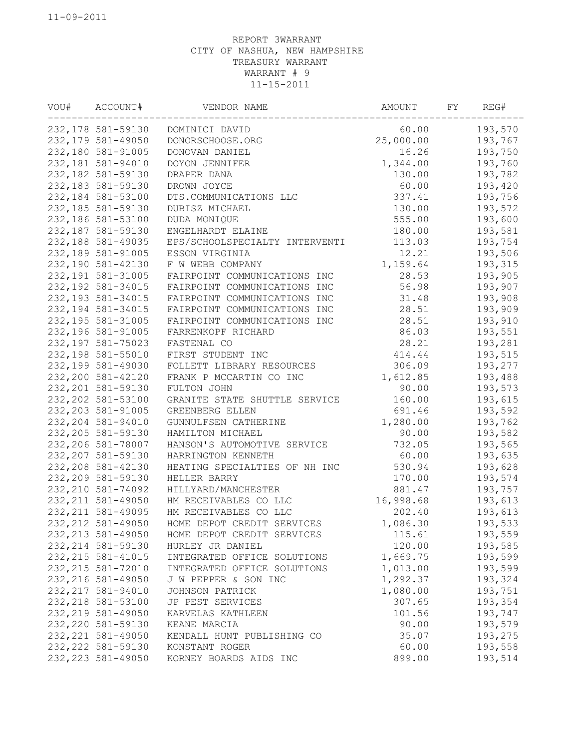| VOU# | ACCOUNT#           | VENDOR NAME                    | AMOUNT    | FΥ | REG#    |
|------|--------------------|--------------------------------|-----------|----|---------|
|      | 232,178 581-59130  | DOMINICI DAVID                 | 60.00     |    | 193,570 |
|      | 232, 179 581-49050 | DONORSCHOOSE.ORG               | 25,000.00 |    | 193,767 |
|      | 232,180 581-91005  | DONOVAN DANIEL                 | 16.26     |    | 193,750 |
|      | 232, 181 581-94010 | DOYON JENNIFER                 | 1,344.00  |    | 193,760 |
|      | 232, 182 581-59130 | DRAPER DANA                    | 130.00    |    | 193,782 |
|      | 232, 183 581-59130 | DROWN JOYCE                    | 60.00     |    | 193,420 |
|      | 232,184 581-53100  | DTS.COMMUNICATIONS LLC         | 337.41    |    | 193,756 |
|      | 232, 185 581-59130 | DUBISZ MICHAEL                 | 130.00    |    | 193,572 |
|      | 232,186 581-53100  | DUDA MONIQUE                   | 555.00    |    | 193,600 |
|      | 232, 187 581-59130 | ENGELHARDT ELAINE              | 180.00    |    | 193,581 |
|      | 232, 188 581-49035 | EPS/SCHOOLSPECIALTY INTERVENTI | 113.03    |    | 193,754 |
|      | 232,189 581-91005  | ESSON VIRGINIA                 | 12.21     |    | 193,506 |
|      | 232,190 581-42130  | F W WEBB COMPANY               | 1,159.64  |    | 193,315 |
|      | 232, 191 581-31005 | FAIRPOINT COMMUNICATIONS INC   | 28.53     |    | 193,905 |
|      | 232, 192 581-34015 | FAIRPOINT COMMUNICATIONS INC   | 56.98     |    | 193,907 |
|      | 232, 193 581-34015 | FAIRPOINT COMMUNICATIONS INC   | 31.48     |    | 193,908 |
|      | 232, 194 581-34015 | FAIRPOINT COMMUNICATIONS INC   | 28.51     |    | 193,909 |
|      | 232, 195 581-31005 | FAIRPOINT COMMUNICATIONS INC   | 28.51     |    | 193,910 |
|      | 232, 196 581-91005 | FARRENKOPF RICHARD             | 86.03     |    | 193,551 |
|      | 232, 197 581-75023 | FASTENAL CO                    | 28.21     |    | 193,281 |
|      | 232,198 581-55010  | FIRST STUDENT INC              | 414.44    |    | 193,515 |
|      | 232, 199 581-49030 | FOLLETT LIBRARY RESOURCES      | 306.09    |    | 193,277 |
|      | 232,200 581-42120  | FRANK P MCCARTIN CO INC        | 1,612.85  |    | 193,488 |
|      | 232, 201 581-59130 | FULTON JOHN                    | 90.00     |    | 193,573 |
|      | 232, 202 581-53100 | GRANITE STATE SHUTTLE SERVICE  | 160.00    |    | 193,615 |
|      | 232, 203 581-91005 | GREENBERG ELLEN                | 691.46    |    | 193,592 |
|      | 232, 204 581-94010 | GUNNULFSEN CATHERINE           | 1,280.00  |    | 193,762 |
|      | 232, 205 581-59130 | HAMILTON MICHAEL               | 90.00     |    | 193,582 |
|      | 232,206 581-78007  | HANSON'S AUTOMOTIVE SERVICE    | 732.05    |    | 193,565 |
|      | 232, 207 581-59130 | HARRINGTON KENNETH             | 60.00     |    | 193,635 |
|      | 232, 208 581-42130 | HEATING SPECIALTIES OF NH INC  | 530.94    |    | 193,628 |
|      | 232, 209 581-59130 | HELLER BARRY                   | 170.00    |    | 193,574 |
|      | 232, 210 581-74092 | HILLYARD/MANCHESTER            | 881.47    |    | 193,757 |
|      | 232, 211 581-49050 | HM RECEIVABLES CO LLC          | 16,998.68 |    | 193,613 |
|      | 232, 211 581-49095 | HM RECEIVABLES CO LLC          | 202.40    |    | 193,613 |
|      | 232, 212 581-49050 | HOME DEPOT CREDIT SERVICES     | 1,086.30  |    | 193,533 |
|      | 232, 213 581-49050 | HOME DEPOT CREDIT SERVICES     | 115.61    |    | 193,559 |
|      | 232, 214 581-59130 | HURLEY JR DANIEL               | 120.00    |    | 193,585 |
|      | 232, 215 581-41015 | INTEGRATED OFFICE SOLUTIONS    | 1,669.75  |    | 193,599 |
|      | 232, 215 581-72010 | INTEGRATED OFFICE SOLUTIONS    | 1,013.00  |    | 193,599 |
|      | 232, 216 581-49050 | J W PEPPER & SON INC           | 1,292.37  |    | 193,324 |
|      | 232, 217 581-94010 | JOHNSON PATRICK                | 1,080.00  |    | 193,751 |
|      | 232, 218 581-53100 | JP PEST SERVICES               | 307.65    |    | 193,354 |
|      | 232, 219 581-49050 | KARVELAS KATHLEEN              | 101.56    |    | 193,747 |
|      | 232, 220 581-59130 | KEANE MARCIA                   | 90.00     |    | 193,579 |
|      | 232, 221 581-49050 | KENDALL HUNT PUBLISHING CO     | 35.07     |    | 193,275 |
|      | 232, 222 581-59130 | KONSTANT ROGER                 | 60.00     |    | 193,558 |
|      | 232, 223 581-49050 | KORNEY BOARDS AIDS INC         | 899.00    |    | 193,514 |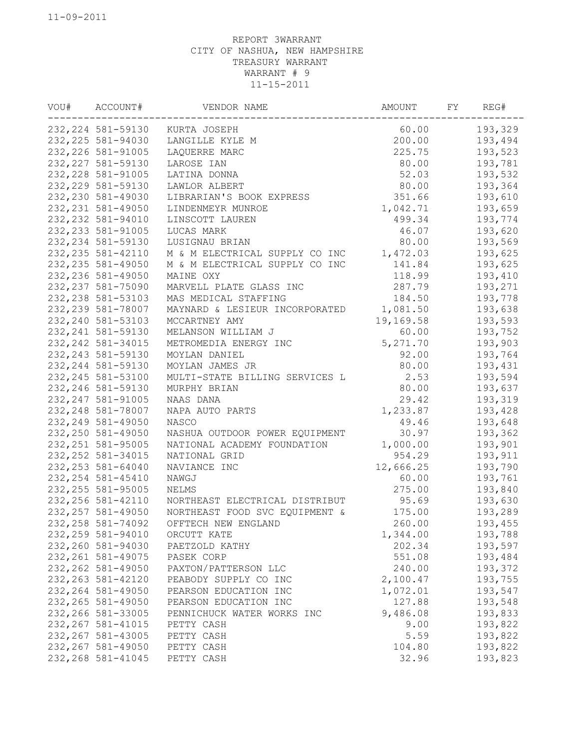| VOU# | ACCOUNT#           | VENDOR NAME                    | AMOUNT    | FY | REG#    |
|------|--------------------|--------------------------------|-----------|----|---------|
|      | 232, 224 581-59130 | KURTA JOSEPH                   | 60.00     |    | 193,329 |
|      | 232, 225 581-94030 | LANGILLE KYLE M                | 200.00    |    | 193,494 |
|      | 232, 226 581-91005 | 225.75<br>LAQUERRE MARC        |           |    | 193,523 |
|      | 232, 227 581-59130 | LAROSE IAN                     | 80.00     |    | 193,781 |
|      | 232, 228 581-91005 | LATINA DONNA                   | 52.03     |    | 193,532 |
|      | 232, 229 581-59130 | LAWLOR ALBERT                  | 80.00     |    | 193,364 |
|      | 232, 230 581-49030 | LIBRARIAN'S BOOK EXPRESS       | 351.66    |    | 193,610 |
|      | 232, 231 581-49050 | LINDENMEYR MUNROE              | 1,042.71  |    | 193,659 |
|      | 232, 232 581-94010 | LINSCOTT LAUREN                | 499.34    |    | 193,774 |
|      | 232, 233 581-91005 | LUCAS MARK                     | 46.07     |    | 193,620 |
|      | 232, 234 581-59130 | LUSIGNAU BRIAN                 | 80.00     |    | 193,569 |
|      | 232, 235 581-42110 | M & M ELECTRICAL SUPPLY CO INC | 1,472.03  |    | 193,625 |
|      | 232, 235 581-49050 | M & M ELECTRICAL SUPPLY CO INC | 141.84    |    | 193,625 |
|      | 232, 236 581-49050 | MAINE OXY                      | 118.99    |    | 193,410 |
|      | 232, 237 581-75090 | MARVELL PLATE GLASS INC        | 287.79    |    | 193,271 |
|      | 232, 238 581-53103 | MAS MEDICAL STAFFING           | 184.50    |    | 193,778 |
|      | 232, 239 581-78007 | MAYNARD & LESIEUR INCORPORATED | 1,081.50  |    | 193,638 |
|      | 232, 240 581-53103 | MCCARTNEY AMY                  | 19,169.58 |    | 193,593 |
|      | 232, 241 581-59130 | MELANSON WILLIAM J             | 60.00     |    | 193,752 |
|      | 232, 242 581-34015 | METROMEDIA ENERGY INC          | 5, 271.70 |    | 193,903 |
|      | 232, 243 581-59130 | MOYLAN DANIEL                  | 92.00     |    | 193,764 |
|      | 232, 244 581-59130 | MOYLAN JAMES JR                | 80.00     |    | 193,431 |
|      | 232, 245 581-53100 | MULTI-STATE BILLING SERVICES L | 2.53      |    | 193,594 |
|      | 232, 246 581-59130 | MURPHY BRIAN                   | 80.00     |    | 193,637 |
|      | 232, 247 581-91005 | NAAS DANA                      | 29.42     |    | 193,319 |
|      | 232, 248 581-78007 | NAPA AUTO PARTS                | 1,233.87  |    | 193,428 |
|      | 232, 249 581-49050 | NASCO                          | 49.46     |    | 193,648 |
|      | 232, 250 581-49050 | NASHUA OUTDOOR POWER EQUIPMENT | 30.97     |    | 193,362 |
|      | 232, 251 581-95005 | NATIONAL ACADEMY FOUNDATION    | 1,000.00  |    | 193,901 |
|      | 232, 252 581-34015 | NATIONAL GRID                  | 954.29    |    | 193,911 |
|      | 232, 253 581-64040 | NAVIANCE INC                   | 12,666.25 |    | 193,790 |
|      | 232, 254 581-45410 | NAWGJ                          | 60.00     |    | 193,761 |
|      | 232, 255 581-95005 | NELMS                          | 275.00    |    | 193,840 |
|      | 232, 256 581-42110 | NORTHEAST ELECTRICAL DISTRIBUT | 95.69     |    | 193,630 |
|      | 232, 257 581-49050 | NORTHEAST FOOD SVC EQUIPMENT & | 175.00    |    | 193,289 |
|      | 232, 258 581-74092 | OFFTECH NEW ENGLAND            | 260.00    |    | 193,455 |
|      | 232, 259 581-94010 | ORCUTT KATE                    | 1,344.00  |    | 193,788 |
|      | 232,260 581-94030  | PAETZOLD KATHY                 | 202.34    |    | 193,597 |
|      | 232, 261 581-49075 | PASEK CORP                     | 551.08    |    | 193,484 |
|      | 232, 262 581-49050 | PAXTON/PATTERSON LLC           | 240.00    |    | 193,372 |
|      | 232, 263 581-42120 | PEABODY SUPPLY CO INC          | 2,100.47  |    | 193,755 |
|      | 232, 264 581-49050 | PEARSON EDUCATION INC          | 1,072.01  |    | 193,547 |
|      | 232, 265 581-49050 | PEARSON EDUCATION INC          | 127.88    |    | 193,548 |
|      | 232, 266 581-33005 | PENNICHUCK WATER WORKS INC     | 9,486.08  |    | 193,833 |
|      | 232, 267 581-41015 | PETTY CASH                     | 9.00      |    | 193,822 |
|      | 232, 267 581-43005 | PETTY CASH                     | 5.59      |    | 193,822 |
|      | 232, 267 581-49050 | PETTY CASH                     | 104.80    |    | 193,822 |
|      | 232, 268 581-41045 | PETTY CASH                     | 32.96     |    | 193,823 |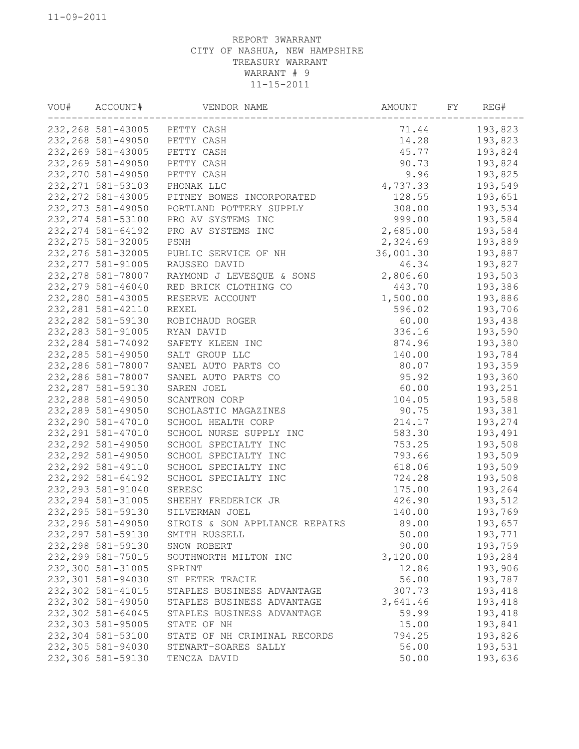| VOU# | ACCOUNT#<br>VENDOR NAME |                                | AMOUNT<br>FY |  | REG#    |  |
|------|-------------------------|--------------------------------|--------------|--|---------|--|
|      | 232, 268 581-43005      | PETTY CASH                     | 71.44        |  | 193,823 |  |
|      | 232, 268 581-49050      | PETTY CASH                     | 14.28        |  | 193,823 |  |
|      | 232, 269 581-43005      | PETTY CASH                     | 193,824      |  |         |  |
|      | 232, 269 581-49050      | PETTY CASH                     | 90.73        |  | 193,824 |  |
|      | 232, 270 581-49050      | PETTY CASH                     | 9.96         |  | 193,825 |  |
|      | 232, 271 581-53103      | PHONAK LLC                     | 4,737.33     |  | 193,549 |  |
|      | 232, 272 581-43005      | PITNEY BOWES INCORPORATED      | 128.55       |  | 193,651 |  |
|      | 232, 273 581-49050      | PORTLAND POTTERY SUPPLY        | 308.00       |  | 193,534 |  |
|      | 232, 274 581-53100      | PRO AV SYSTEMS INC             | 999.00       |  | 193,584 |  |
|      | 232, 274 581-64192      | PRO AV SYSTEMS INC             | 2,685.00     |  | 193,584 |  |
|      | 232, 275 581-32005      | PSNH                           | 2,324.69     |  | 193,889 |  |
|      | 232, 276 581-32005      | PUBLIC SERVICE OF NH           | 36,001.30    |  | 193,887 |  |
|      | 232, 277 581-91005      | RAUSSEO DAVID                  | 46.34        |  | 193,827 |  |
|      | 232, 278 581-78007      | RAYMOND J LEVESQUE & SONS      | 2,806.60     |  | 193,503 |  |
|      | 232, 279 581-46040      | RED BRICK CLOTHING CO          | 443.70       |  | 193,386 |  |
|      | 232,280 581-43005       | RESERVE ACCOUNT                | 1,500.00     |  | 193,886 |  |
|      | 232, 281 581-42110      | REXEL                          | 596.02       |  | 193,706 |  |
|      | 232, 282 581-59130      | ROBICHAUD ROGER                | 60.00        |  | 193,438 |  |
|      | 232, 283 581-91005      | RYAN DAVID                     | 336.16       |  | 193,590 |  |
|      | 232, 284 581-74092      | SAFETY KLEEN INC               | 874.96       |  | 193,380 |  |
|      | 232, 285 581-49050      | SALT GROUP LLC                 | 140.00       |  | 193,784 |  |
|      | 232, 286 581-78007      | SANEL AUTO PARTS CO            | 80.07        |  | 193,359 |  |
|      | 232, 286 581-78007      | SANEL AUTO PARTS CO            | 95.92        |  | 193,360 |  |
|      | 232, 287 581-59130      | SAREN JOEL                     | 60.00        |  | 193,251 |  |
|      | 232, 288 581-49050      | SCANTRON CORP                  | 104.05       |  | 193,588 |  |
|      | 232, 289 581-49050      | SCHOLASTIC MAGAZINES           | 90.75        |  | 193,381 |  |
|      | 232, 290 581-47010      | SCHOOL HEALTH CORP             | 214.17       |  | 193,274 |  |
|      | 232, 291 581-47010      | SCHOOL NURSE SUPPLY INC        | 583.30       |  | 193,491 |  |
|      | 232, 292 581-49050      | SCHOOL SPECIALTY INC           | 753.25       |  | 193,508 |  |
|      | 232, 292 581-49050      | SCHOOL SPECIALTY INC           | 793.66       |  | 193,509 |  |
|      | 232, 292 581-49110      | SCHOOL SPECIALTY INC           | 618.06       |  | 193,509 |  |
|      | 232, 292 581-64192      | SCHOOL SPECIALTY INC           | 724.28       |  | 193,508 |  |
|      | 232, 293 581-91040      | SERESC                         | 175.00       |  | 193,264 |  |
|      | 232, 294 581-31005      | SHEEHY FREDERICK JR            | 426.90       |  | 193,512 |  |
|      | 232, 295 581-59130      | SILVERMAN JOEL                 | 140.00       |  | 193,769 |  |
|      | 232, 296 581-49050      | SIROIS & SON APPLIANCE REPAIRS | 89.00        |  | 193,657 |  |
|      | 232, 297 581-59130      | SMITH RUSSELL                  | 50.00        |  | 193,771 |  |
|      | 232, 298 581-59130      | SNOW ROBERT                    | 90.00        |  | 193,759 |  |
|      | 232, 299 581-75015      | SOUTHWORTH MILTON INC          | 3,120.00     |  | 193,284 |  |
|      | 232,300 581-31005       | SPRINT                         | 12.86        |  | 193,906 |  |
|      | 232,301 581-94030       | ST PETER TRACIE                | 56.00        |  | 193,787 |  |
|      | 232,302 581-41015       | STAPLES BUSINESS ADVANTAGE     | 307.73       |  | 193,418 |  |
|      | 232,302 581-49050       | STAPLES BUSINESS ADVANTAGE     | 3,641.46     |  | 193,418 |  |
|      | 232,302 581-64045       | STAPLES BUSINESS ADVANTAGE     | 59.99        |  | 193,418 |  |
|      | 232,303 581-95005       | STATE OF NH                    | 15.00        |  | 193,841 |  |
|      | 232,304 581-53100       | STATE OF NH CRIMINAL RECORDS   | 794.25       |  | 193,826 |  |
|      | 232,305 581-94030       | STEWART-SOARES SALLY           | 56.00        |  | 193,531 |  |
|      | 232,306 581-59130       | TENCZA DAVID                   | 50.00        |  | 193,636 |  |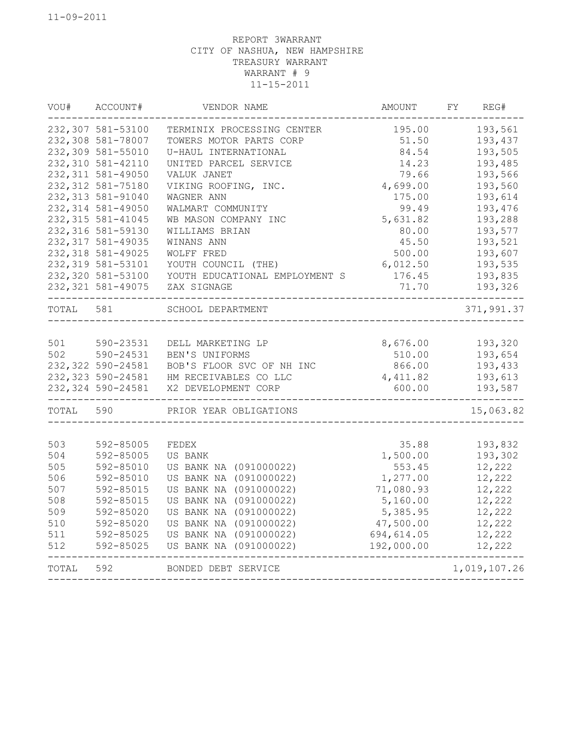| WOU#  | ACCOUNT#               | VENDOR NAME                         | AMOUNT           | REG#<br>FY         |
|-------|------------------------|-------------------------------------|------------------|--------------------|
|       | 232,307 581-53100      | TERMINIX PROCESSING CENTER          | 195.00           | 193,561            |
|       | 232,308 581-78007      | TOWERS MOTOR PARTS CORP             | 51.50            | 193,437            |
|       | 232,309 581-55010      | U-HAUL INTERNATIONAL                | 84.54            | 193,505            |
|       | 232,310 581-42110      | UNITED PARCEL SERVICE               | 14.23            | 193,485            |
|       | 232, 311 581-49050     | VALUK JANET                         | 79.66            | 193,566            |
|       | 232, 312 581-75180     | VIKING ROOFING, INC.                | 4,699.00         | 193,560            |
|       | 232, 313 581-91040     | WAGNER ANN                          | 175.00           | 193,614            |
|       | 232,314 581-49050      | WALMART COMMUNITY                   | 99.49            | 193,476            |
|       | 232, 315 581-41045     | WB MASON COMPANY INC                | 5,631.82         | 193,288            |
|       | 232,316 581-59130      | WILLIAMS BRIAN                      | 80.00            | 193,577            |
|       | 232, 317 581-49035     | WINANS ANN                          | 45.50            | 193,521            |
|       | 232, 318 581-49025     | WOLFF FRED                          | 500.00           | 193,607            |
|       | 232, 319 581-53101     | YOUTH COUNCIL (THE)                 | 6,012.50         | 193,535            |
|       | 232,320 581-53100      | YOUTH EDUCATIONAL EMPLOYMENT S      | 176.45           | 193,835            |
|       | 232, 321 581-49075     | ZAX SIGNAGE                         | 71.70            | 193,326            |
| TOTAL | 581                    | SCHOOL DEPARTMENT                   |                  | 371,991.37         |
| 501   |                        |                                     |                  |                    |
| 502   | 590-23531<br>590-24531 | DELL MARKETING LP<br>BEN'S UNIFORMS | 8,676.00         | 193,320<br>193,654 |
|       | 232,322 590-24581      | BOB'S FLOOR SVC OF NH INC           | 510.00<br>866.00 | 193,433            |
|       | 232, 323 590-24581     | HM RECEIVABLES CO LLC               | 4, 411.82        | 193,613            |
|       | 232, 324 590-24581     | X2 DEVELOPMENT CORP                 | 600.00           | 193,587            |
| TOTAL | 590                    | PRIOR YEAR OBLIGATIONS              |                  | 15,063.82          |
|       |                        |                                     |                  |                    |
| 503   | 592-85005              | FEDEX                               | 35.88            | 193,832            |
| 504   | 592-85005              | US BANK                             | 1,500.00         | 193,302            |
| 505   | 592-85010              | US BANK NA (091000022)              | 553.45           | 12,222             |
| 506   | 592-85010              | US BANK NA (091000022)              | 1,277.00         | 12,222             |
| 507   | 592-85015              | US BANK NA (091000022)              | 71,080.93        | 12,222             |
| 508   | 592-85015              | US BANK NA (091000022)              | 5,160.00         | 12,222             |
| 509   | 592-85020              | US BANK NA (091000022)              | 5,385.95         | 12,222             |
| 510   | 592-85020              | US BANK NA (091000022)              | 47,500.00        | 12,222             |
| 511   | 592-85025              | US BANK NA (091000022)              | 694,614.05       | 12,222             |
| 512   | 592-85025              | US BANK NA (091000022)              | 192,000.00       | 12,222             |
| TOTAL | 592                    | BONDED DEBT SERVICE                 |                  | 1,019,107.26       |
|       |                        |                                     |                  |                    |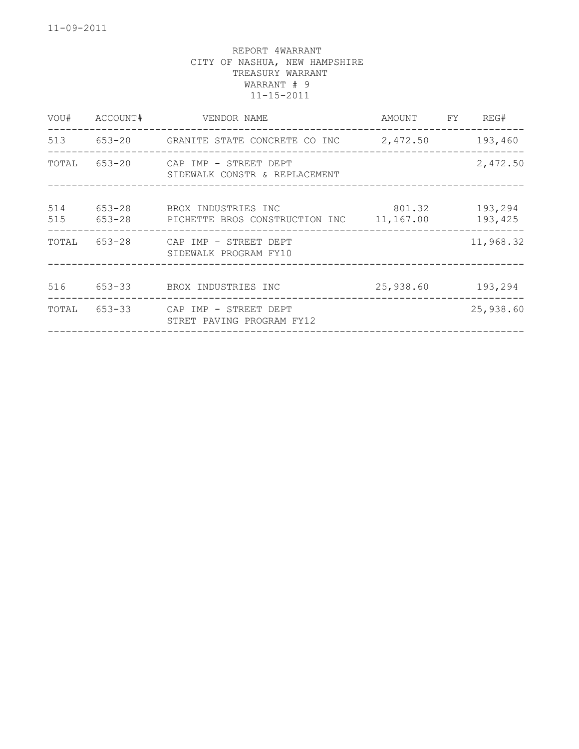| VENDOR NAME                            |                                                                                                                                              | FY                                                    | REG#                                      |
|----------------------------------------|----------------------------------------------------------------------------------------------------------------------------------------------|-------------------------------------------------------|-------------------------------------------|
|                                        |                                                                                                                                              |                                                       | 193,460                                   |
| SIDEWALK CONSTR & REPLACEMENT          |                                                                                                                                              |                                                       | 2,472.50                                  |
|                                        |                                                                                                                                              |                                                       | 193,294<br>193,425                        |
| SIDEWALK PROGRAM FY10                  |                                                                                                                                              |                                                       | 11,968.32                                 |
|                                        |                                                                                                                                              |                                                       | 193,294                                   |
| STRET PAVING PROGRAM FY12              |                                                                                                                                              |                                                       | 25,938.60                                 |
| ACCOUNT#<br>653-28<br>653-28<br>653-33 | 653-20 CAP IMP - STREET DEPT<br>BROX INDUSTRIES INC<br>PICHETTE BROS CONSTRUCTION INC<br>653-28 CAP IMP - STREET DEPT<br>BROX INDUSTRIES INC | 513 653-20 GRANITE STATE CONCRETE CO INC<br>11,167.00 | AMOUNT<br>2,472.50<br>801.32<br>25,938.60 |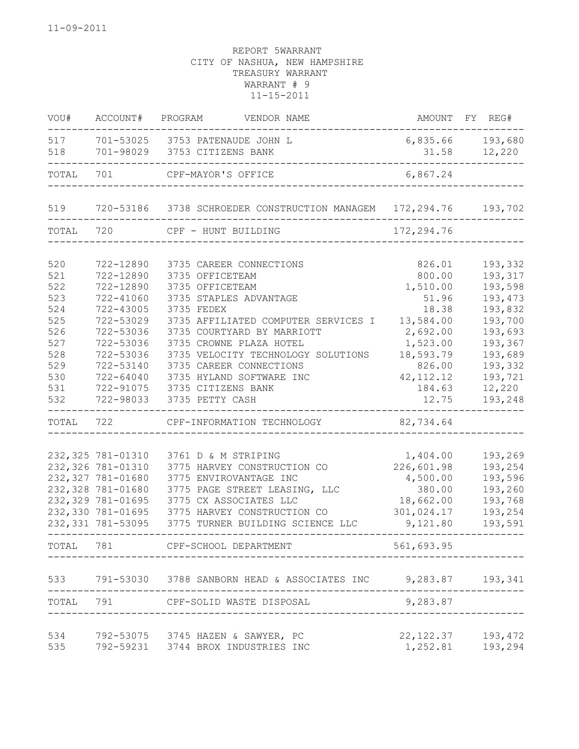| VOU#      | ACCOUNT#           | PROGRAM<br>VENDOR NAME                                           |             | AMOUNT FY REG#   |
|-----------|--------------------|------------------------------------------------------------------|-------------|------------------|
| 517       |                    | 701-53025 3753 PATENAUDE JOHN L                                  |             | 6,835.66 193,680 |
| 518       |                    | 701-98029 3753 CITIZENS BANK                                     | 31.58       | 12,220           |
| TOTAL     | 701                | CPF-MAYOR'S OFFICE                                               | 6,867.24    |                  |
|           |                    |                                                                  |             |                  |
| 519       |                    | 720-53186 3738 SCHROEDER CONSTRUCTION MANAGEM 172,294.76 193,702 |             |                  |
| TOTAL 720 |                    | CPF - HUNT BUILDING                                              | 172, 294.76 |                  |
| 520       | 722-12890          | 3735 CAREER CONNECTIONS                                          | 826.01      | 193,332          |
| 521       | 722-12890          | 3735 OFFICETEAM                                                  | 800.00      | 193,317          |
| 522       | 722-12890          | 3735 OFFICETEAM                                                  | 1,510.00    | 193,598          |
| 523       | 722-41060          | 3735 STAPLES ADVANTAGE                                           | 51.96       | 193, 473         |
| 524       | 722-43005          | 3735 FEDEX                                                       | 18.38       | 193,832          |
| 525       | 722-53029          | 3735 AFFILIATED COMPUTER SERVICES I                              | 13,584.00   | 193,700          |
| 526       | 722-53036          | 3735 COURTYARD BY MARRIOTT                                       | 2,692.00    | 193,693          |
| 527       | 722-53036          | 3735 CROWNE PLAZA HOTEL                                          | 1,523.00    | 193,367          |
| 528       | 722-53036          | 3735 VELOCITY TECHNOLOGY SOLUTIONS                               | 18,593.79   | 193,689          |
| 529       | 722-53140          | 3735 CAREER CONNECTIONS                                          | 826.00      | 193,332          |
| 530       | $722 - 64040$      | 3735 HYLAND SOFTWARE INC                                         | 42, 112.12  | 193,721          |
| 531       | 722-91075          | 3735 CITIZENS BANK                                               | 184.63      | 12,220           |
| 532       | 722-98033          | 3735 PETTY CASH                                                  | 12.75       | 193,248          |
| TOTAL     | 722                | CPF-INFORMATION TECHNOLOGY                                       | 82,734.64   |                  |
|           |                    |                                                                  |             |                  |
|           | 232,325 781-01310  | 3761 D & M STRIPING                                              | 1,404.00    | 193,269          |
|           | 232,326 781-01310  | 3775 HARVEY CONSTRUCTION CO                                      | 226,601.98  | 193,254          |
|           | 232,327 781-01680  | 3775 ENVIROVANTAGE INC                                           | 4,500.00    | 193,596          |
|           | 232,328 781-01680  | 3775 PAGE STREET LEASING, LLC                                    | 380.00      | 193,260          |
|           | 232,329 781-01695  | 3775 CX ASSOCIATES LLC                                           | 18,662.00   | 193,768          |
|           | 232,330 781-01695  | 3775 HARVEY CONSTRUCTION CO                                      | 301,024.17  | 193,254          |
|           | 232, 331 781-53095 | 3775 TURNER BUILDING SCIENCE LLC                                 | 9,121.80    | 193,591          |
| TOTAL     | 781                | --------------<br>CPF-SCHOOL DEPARTMENT                          | 561,693.95  |                  |
| 533       |                    | 791-53030 3788 SANBORN HEAD & ASSOCIATES INC 9,283.87 193,341    |             |                  |
| TOTAL     | 791                | CPF-SOLID WASTE DISPOSAL                                         | 9,283.87    |                  |
|           |                    |                                                                  |             |                  |
| 534       |                    | 792-53075 3745 HAZEN & SAWYER, PC                                | 22, 122.37  | 193, 472         |
| 535       |                    | 792-59231 3744 BROX INDUSTRIES INC                               | 1,252.81    | 193,294          |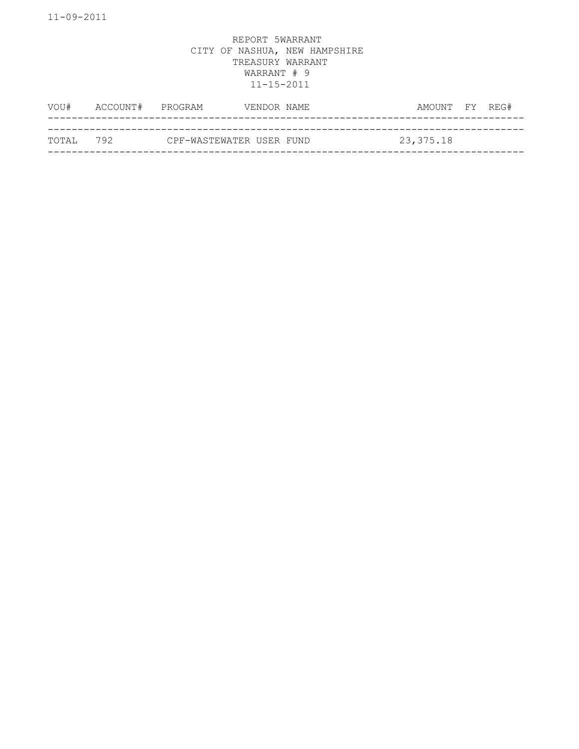| VOU#       | ACCOUNT# PROGRAM |                          | VENDOR NAME | AMOUNT FY REG# |  |
|------------|------------------|--------------------------|-------------|----------------|--|
|            |                  |                          |             |                |  |
| тотат. 792 |                  | CPF-WASTEWATER USER FUND |             | 23,375.18      |  |
|            |                  |                          |             |                |  |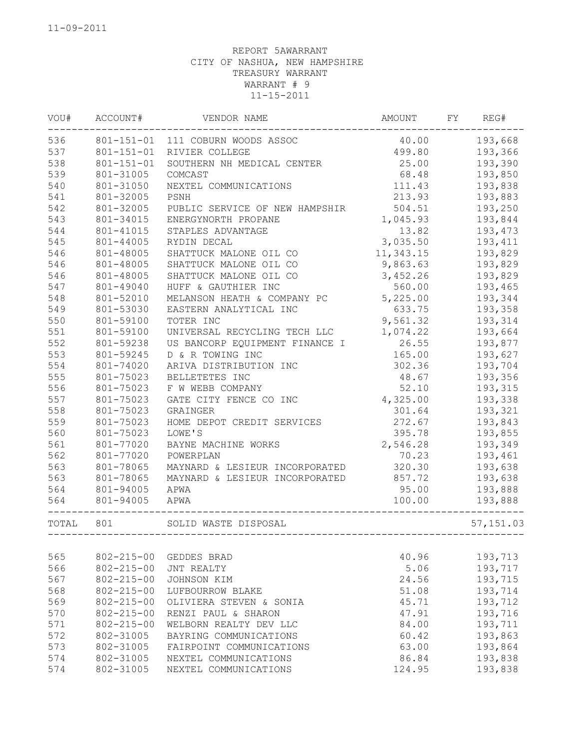| VOU#  | ACCOUNT#         | VENDOR NAME                         |           | FY | REG#       |
|-------|------------------|-------------------------------------|-----------|----|------------|
| 536   |                  | 801-151-01 111 COBURN WOODS ASSOC   | 40.00     |    | 193,668    |
| 537   | $801 - 151 - 01$ | 499.80<br>RIVIER COLLEGE            |           |    | 193,366    |
| 538   | $801 - 151 - 01$ | 25.00<br>SOUTHERN NH MEDICAL CENTER |           |    | 193,390    |
| 539   | 801-31005        | COMCAST                             | 68.48     |    | 193,850    |
| 540   | 801-31050        | NEXTEL COMMUNICATIONS               | 111.43    |    | 193,838    |
| 541   | 801-32005        | PSNH                                | 213.93    |    | 193,883    |
| 542   | 801-32005        | PUBLIC SERVICE OF NEW HAMPSHIR      | 504.51    |    | 193,250    |
| 543   | 801-34015        | ENERGYNORTH PROPANE                 | 1,045.93  |    | 193,844    |
| 544   | 801-41015        | STAPLES ADVANTAGE                   | 13.82     |    | 193,473    |
| 545   | 801-44005        | RYDIN DECAL                         | 3,035.50  |    | 193,411    |
| 546   | 801-48005        | SHATTUCK MALONE OIL CO              | 11,343.15 |    | 193,829    |
| 546   | 801-48005        | SHATTUCK MALONE OIL CO              | 9,863.63  |    | 193,829    |
| 546   | 801-48005        | SHATTUCK MALONE OIL CO              | 3,452.26  |    | 193,829    |
| 547   | 801-49040        | HUFF & GAUTHIER INC                 | 560.00    |    | 193,465    |
| 548   | 801-52010        | MELANSON HEATH & COMPANY PC         | 5,225.00  |    | 193,344    |
| 549   | 801-53030        | EASTERN ANALYTICAL INC              | 633.75    |    | 193,358    |
| 550   | 801-59100        | TOTER INC                           | 9,561.32  |    | 193,314    |
| 551   | 801-59100        | UNIVERSAL RECYCLING TECH LLC        | 1,074.22  |    | 193,664    |
| 552   | 801-59238        | US BANCORP EQUIPMENT FINANCE I      | 26.55     |    | 193,877    |
| 553   | 801-59245        | D & R TOWING INC                    | 165.00    |    | 193,627    |
| 554   | 801-74020        | ARIVA DISTRIBUTION INC              | 302.36    |    | 193,704    |
| 555   | 801-75023        | BELLETETES INC                      | 48.67     |    | 193,356    |
| 556   | 801-75023        | F W WEBB COMPANY                    | 52.10     |    | 193,315    |
| 557   | 801-75023        | GATE CITY FENCE CO INC              | 4,325.00  |    | 193,338    |
| 558   | 801-75023        | GRAINGER                            | 301.64    |    | 193,321    |
| 559   | 801-75023        | HOME DEPOT CREDIT SERVICES          | 272.67    |    | 193,843    |
| 560   | 801-75023        | LOWE'S                              | 395.78    |    | 193,855    |
| 561   | 801-77020        | BAYNE MACHINE WORKS                 | 2,546.28  |    | 193,349    |
| 562   | 801-77020        | POWERPLAN                           | 70.23     |    | 193,461    |
| 563   | 801-78065        | MAYNARD & LESIEUR INCORPORATED      | 320.30    |    | 193,638    |
| 563   | 801-78065        | MAYNARD & LESIEUR INCORPORATED      | 857.72    |    | 193,638    |
| 564   | 801-94005        | APWA                                | 95.00     |    | 193,888    |
| 564   | 801-94005        | APWA                                | 100.00    |    | 193,888    |
| TOTAL | 801              | SOLID WASTE DISPOSAL                |           |    | 57, 151.03 |
|       |                  |                                     |           |    |            |
| 565   | $802 - 215 - 00$ | GEDDES BRAD                         | 40.96     |    | 193,713    |
| 566   | $802 - 215 - 00$ | JNT REALTY                          | 5.06      |    | 193,717    |
| 567   | $802 - 215 - 00$ | JOHNSON KIM                         | 24.56     |    | 193,715    |
| 568   | $802 - 215 - 00$ | LUFBOURROW BLAKE                    | 51.08     |    | 193,714    |
| 569   | $802 - 215 - 00$ | OLIVIERA STEVEN & SONIA             | 45.71     |    | 193,712    |
| 570   | $802 - 215 - 00$ | RENZI PAUL & SHARON                 | 47.91     |    | 193,716    |
| 571   | $802 - 215 - 00$ | WELBORN REALTY DEV LLC              | 84.00     |    | 193,711    |
| 572   | 802-31005        | BAYRING COMMUNICATIONS              | 60.42     |    | 193,863    |
| 573   | 802-31005        | FAIRPOINT COMMUNICATIONS            | 63.00     |    | 193,864    |
| 574   | 802-31005        | NEXTEL COMMUNICATIONS               | 86.84     |    | 193,838    |
| 574   | 802-31005        | NEXTEL COMMUNICATIONS               | 124.95    |    | 193,838    |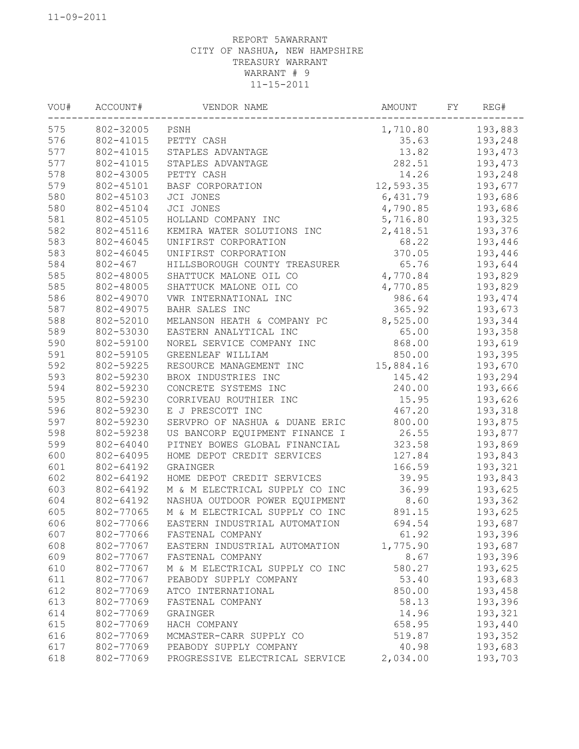| VOU# | VENDOR NAME<br>ACCOUNT# |                                | AMOUNT<br>FY |  | REG#    |  |
|------|-------------------------|--------------------------------|--------------|--|---------|--|
| 575  | 802-32005               | PSNH                           | 1,710.80     |  | 193,883 |  |
| 576  | 802-41015               | PETTY CASH                     | 193,248      |  |         |  |
| 577  | 802-41015               | 13.82<br>STAPLES ADVANTAGE     |              |  | 193,473 |  |
| 577  | 802-41015               | STAPLES ADVANTAGE              | 282.51       |  | 193,473 |  |
| 578  | 802-43005               | PETTY CASH                     | 14.26        |  | 193,248 |  |
| 579  | 802-45101               | BASF CORPORATION               | 12,593.35    |  | 193,677 |  |
| 580  | 802-45103               | JCI JONES                      | 6,431.79     |  | 193,686 |  |
| 580  | 802-45104               | JCI JONES                      | 4,790.85     |  | 193,686 |  |
| 581  | 802-45105               | HOLLAND COMPANY INC            | 5,716.80     |  | 193,325 |  |
| 582  | 802-45116               | KEMIRA WATER SOLUTIONS INC     | 2,418.51     |  | 193,376 |  |
| 583  | 802-46045               | UNIFIRST CORPORATION           | 68.22        |  | 193,446 |  |
| 583  | 802-46045               | UNIFIRST CORPORATION           | 370.05       |  | 193,446 |  |
| 584  | $802 - 467$             | HILLSBOROUGH COUNTY TREASURER  | 65.76        |  | 193,644 |  |
| 585  | 802-48005               | SHATTUCK MALONE OIL CO         | 4,770.84     |  | 193,829 |  |
| 585  | 802-48005               | SHATTUCK MALONE OIL CO         | 4,770.85     |  | 193,829 |  |
| 586  | 802-49070               | VWR INTERNATIONAL INC          | 986.64       |  | 193,474 |  |
| 587  | 802-49075               | BAHR SALES INC                 | 365.92       |  | 193,673 |  |
| 588  | 802-52010               | MELANSON HEATH & COMPANY PC    | 8,525.00     |  | 193,344 |  |
| 589  | 802-53030               | EASTERN ANALYTICAL INC         | 65.00        |  | 193,358 |  |
| 590  | 802-59100               | NOREL SERVICE COMPANY INC      | 868.00       |  | 193,619 |  |
| 591  | 802-59105               | GREENLEAF WILLIAM              | 850.00       |  | 193,395 |  |
| 592  | 802-59225               | RESOURCE MANAGEMENT INC        | 15,884.16    |  | 193,670 |  |
| 593  | 802-59230               | BROX INDUSTRIES INC            | 145.42       |  | 193,294 |  |
| 594  | 802-59230               | CONCRETE SYSTEMS INC           | 240.00       |  | 193,666 |  |
| 595  | 802-59230               | CORRIVEAU ROUTHIER INC         | 15.95        |  | 193,626 |  |
| 596  | 802-59230               | E J PRESCOTT INC               | 467.20       |  | 193,318 |  |
| 597  | 802-59230               | SERVPRO OF NASHUA & DUANE ERIC | 800.00       |  | 193,875 |  |
| 598  | 802-59238               | US BANCORP EQUIPMENT FINANCE I | 26.55        |  | 193,877 |  |
| 599  | 802-64040               | PITNEY BOWES GLOBAL FINANCIAL  | 323.58       |  | 193,869 |  |
| 600  | 802-64095               | HOME DEPOT CREDIT SERVICES     | 127.84       |  | 193,843 |  |
| 601  | 802-64192               | GRAINGER                       | 166.59       |  | 193,321 |  |
| 602  | 802-64192               | HOME DEPOT CREDIT SERVICES     | 39.95        |  | 193,843 |  |
| 603  | 802-64192               | M & M ELECTRICAL SUPPLY CO INC | 36.99        |  | 193,625 |  |
| 604  | 802-64192               | NASHUA OUTDOOR POWER EQUIPMENT | 8.60         |  | 193,362 |  |
| 605  | 802-77065               | M & M ELECTRICAL SUPPLY CO INC | 891.15       |  | 193,625 |  |
| 606  | 802-77066               | EASTERN INDUSTRIAL AUTOMATION  | 694.54       |  | 193,687 |  |
| 607  | 802-77066               | FASTENAL COMPANY               | 61.92        |  | 193,396 |  |
| 608  | 802-77067               | EASTERN INDUSTRIAL AUTOMATION  | 1,775.90     |  | 193,687 |  |
| 609  | 802-77067               | FASTENAL COMPANY               | 8.67         |  | 193,396 |  |
| 610  | 802-77067               | M & M ELECTRICAL SUPPLY CO INC | 580.27       |  | 193,625 |  |
| 611  | 802-77067               | PEABODY SUPPLY COMPANY         | 53.40        |  | 193,683 |  |
| 612  | 802-77069               | ATCO INTERNATIONAL             | 850.00       |  | 193,458 |  |
| 613  | 802-77069               | FASTENAL COMPANY               | 58.13        |  | 193,396 |  |
| 614  | 802-77069               | GRAINGER                       | 14.96        |  | 193,321 |  |
| 615  | 802-77069               | HACH COMPANY                   | 658.95       |  | 193,440 |  |
| 616  | 802-77069               | MCMASTER-CARR SUPPLY CO        | 519.87       |  | 193,352 |  |
| 617  | 802-77069               | PEABODY SUPPLY COMPANY         | 40.98        |  | 193,683 |  |
| 618  | 802-77069               | PROGRESSIVE ELECTRICAL SERVICE | 2,034.00     |  | 193,703 |  |
|      |                         |                                |              |  |         |  |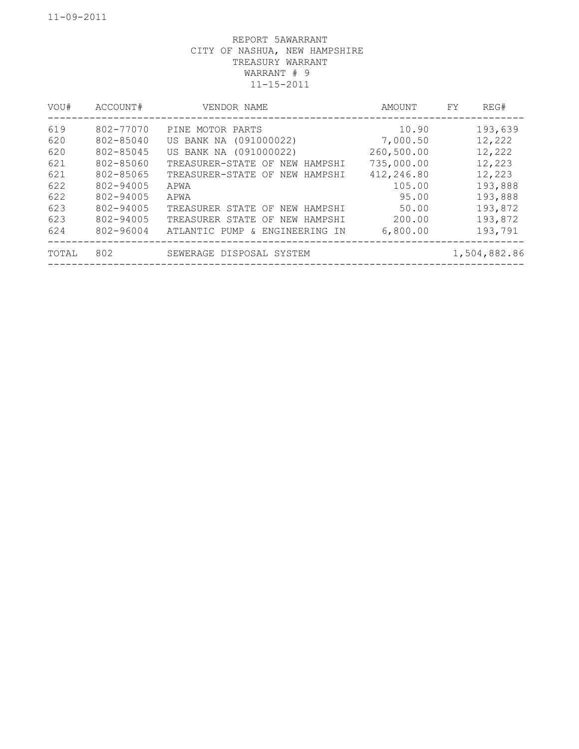| VOU#  | ACCOUNT#  | VENDOR NAME                       | AMOUNT     | REG#<br>FY   |
|-------|-----------|-----------------------------------|------------|--------------|
| 619   | 802-77070 | PINE MOTOR PARTS                  | 10.90      | 193,639      |
| 620   | 802-85040 | US BANK NA (091000022)            | 7,000.50   | 12,222       |
| 620   | 802-85045 | US BANK NA (091000022)            | 260,500.00 | 12,222       |
| 621   | 802-85060 | TREASURER-STATE OF NEW<br>HAMPSHI | 735,000.00 | 12,223       |
| 621   | 802-85065 | TREASURER-STATE OF NEW<br>HAMPSHI | 412,246.80 | 12,223       |
| 622   | 802-94005 | APWA                              | 105.00     | 193,888      |
| 622   | 802-94005 | APWA                              | 95.00      | 193,888      |
| 623   | 802-94005 | TREASURER STATE OF NEW HAMPSHI    | 50.00      | 193,872      |
| 623   | 802-94005 | TREASURER STATE OF NEW HAMPSHI    | 200.00     | 193,872      |
| 624   | 802-96004 | ATLANTIC PUMP & ENGINEERING IN    | 6,800.00   | 193,791      |
| TOTAL | 802       | SEWERAGE DISPOSAL SYSTEM          |            | 1,504,882.86 |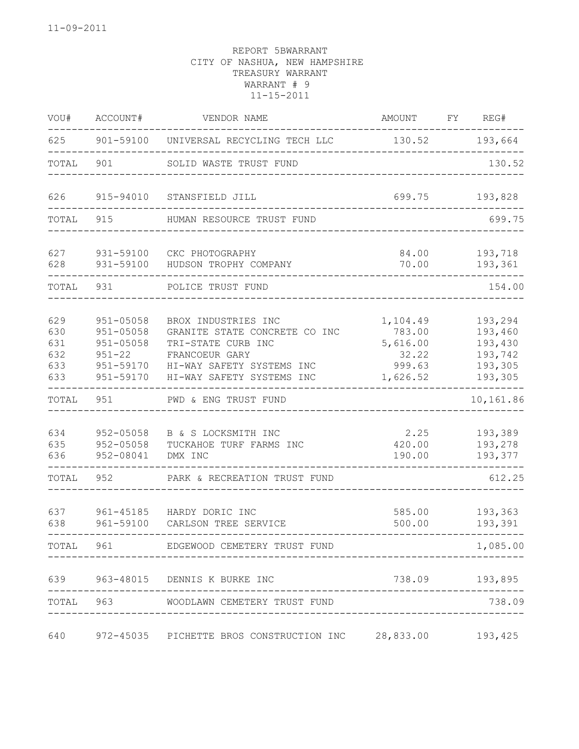| VOU#                                   | ACCOUNT#<br>VENDOR NAME                                                                 |                                                                                                                                                        | FY<br>AMOUNT                                                  |  | REG#                                                           |  |
|----------------------------------------|-----------------------------------------------------------------------------------------|--------------------------------------------------------------------------------------------------------------------------------------------------------|---------------------------------------------------------------|--|----------------------------------------------------------------|--|
| 625                                    | 901-59100                                                                               | UNIVERSAL RECYCLING TECH LLC                                                                                                                           | 130.52                                                        |  | 193,664                                                        |  |
| TOTAL                                  | 901                                                                                     | SOLID WASTE TRUST FUND                                                                                                                                 |                                                               |  | 130.52                                                         |  |
| 626                                    | 915-94010                                                                               | STANSFIELD JILL                                                                                                                                        | 699.75                                                        |  |                                                                |  |
| TOTAL                                  | 915                                                                                     | HUMAN RESOURCE TRUST FUND                                                                                                                              |                                                               |  | 699.75                                                         |  |
| 627<br>628                             | 931-59100<br>931-59100                                                                  | CKC PHOTOGRAPHY<br>HUDSON TROPHY COMPANY                                                                                                               | 84.00<br>70.00                                                |  | 193,718<br>193,361                                             |  |
| TOTAL                                  | 931                                                                                     | POLICE TRUST FUND                                                                                                                                      |                                                               |  | 154.00                                                         |  |
| 629<br>630<br>631<br>632<br>633<br>633 | $951 - 05058$<br>$951 - 05058$<br>$951 - 05058$<br>$951 - 22$<br>951-59170<br>951-59170 | BROX INDUSTRIES INC<br>GRANITE STATE CONCRETE CO INC<br>TRI-STATE CURB INC<br>FRANCOEUR GARY<br>HI-WAY SAFETY SYSTEMS INC<br>HI-WAY SAFETY SYSTEMS INC | 1,104.49<br>783.00<br>5,616.00<br>32.22<br>999.63<br>1,626.52 |  | 193,294<br>193,460<br>193,430<br>193,742<br>193,305<br>193,305 |  |
| TOTAL                                  | 951                                                                                     | PWD & ENG TRUST FUND                                                                                                                                   |                                                               |  | 10,161.86                                                      |  |
| 634<br>635<br>636                      | 952-05058<br>952-05058<br>952-08041                                                     | B & S LOCKSMITH INC<br>TUCKAHOE TURF FARMS INC<br>DMX INC                                                                                              | 2.25<br>420.00<br>190.00                                      |  | 193,389<br>193,278<br>193,377                                  |  |
| TOTAL                                  | 952                                                                                     | PARK & RECREATION TRUST FUND                                                                                                                           |                                                               |  | 612.25                                                         |  |
| 637<br>638                             | 961-45185<br>961-59100                                                                  | HARDY DORIC INC<br>CARLSON TREE SERVICE                                                                                                                | 585.00<br>500.00                                              |  | 193,363<br>193,391                                             |  |
|                                        |                                                                                         | TOTAL 961 EDGEWOOD CEMETERY TRUST FUND                                                                                                                 |                                                               |  | $\qquad \qquad - - - - -$<br>1,085.00                          |  |
|                                        |                                                                                         | 639 963-48015 DENNIS K BURKE INC                                                                                                                       | 738.09 193,895                                                |  |                                                                |  |
|                                        |                                                                                         | TOTAL 963 WOODLAWN CEMETERY TRUST FUND                                                                                                                 |                                                               |  | 738.09                                                         |  |
|                                        |                                                                                         | 640 972-45035 PICHETTE BROS CONSTRUCTION INC 28,833.00 193,425                                                                                         |                                                               |  |                                                                |  |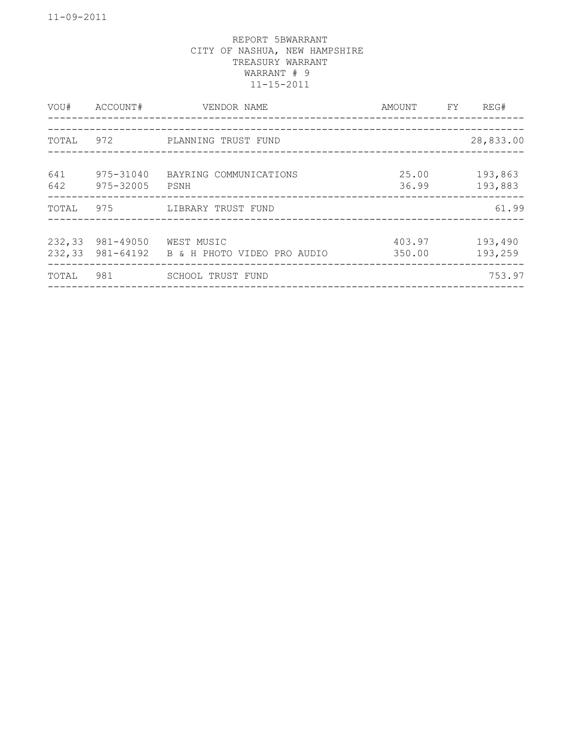| VOU#             | ACCOUNT#               | VENDOR NAME                                         | <b>FY</b><br>AMOUNT | REG#               |
|------------------|------------------------|-----------------------------------------------------|---------------------|--------------------|
| TOTAL            | 972                    | --------------------<br>PLANNING TRUST FUND         |                     | 28,833.00          |
| 641<br>642       | 975-31040<br>975-32005 | BAYRING COMMUNICATIONS<br>PSNH                      | 25.00<br>36.99      | 193,863<br>193,883 |
| TOTAL            | 975                    | LIBRARY TRUST FUND                                  |                     | 61.99              |
| 232,33<br>232,33 | 981-49050              | WEST MUSIC<br>981-64192 B & H PHOTO VIDEO PRO AUDIO | 403.97<br>350.00    | 193,490<br>193,259 |
| TOTAL            | 981                    | SCHOOL TRUST FUND                                   |                     | 753.97             |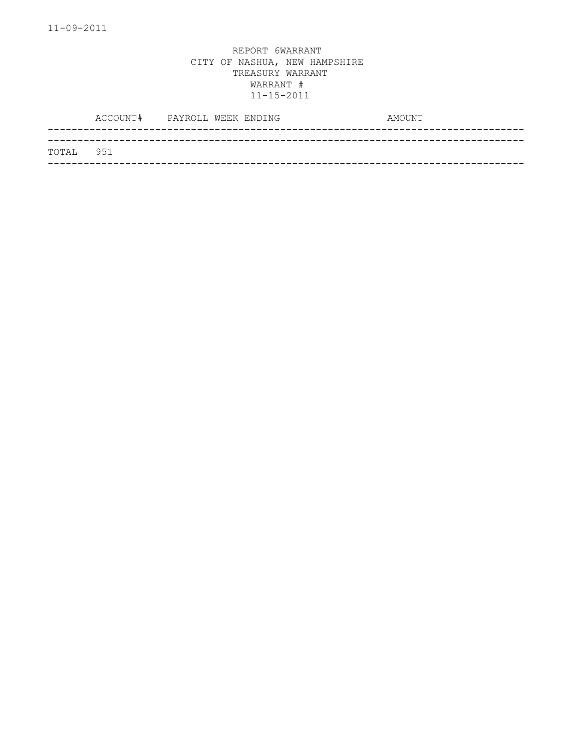|           | ACCOUNT# PAYROLL WEEK ENDING |  | AMOUNT |
|-----------|------------------------------|--|--------|
|           |                              |  |        |
| TOTAL 951 |                              |  |        |
|           |                              |  |        |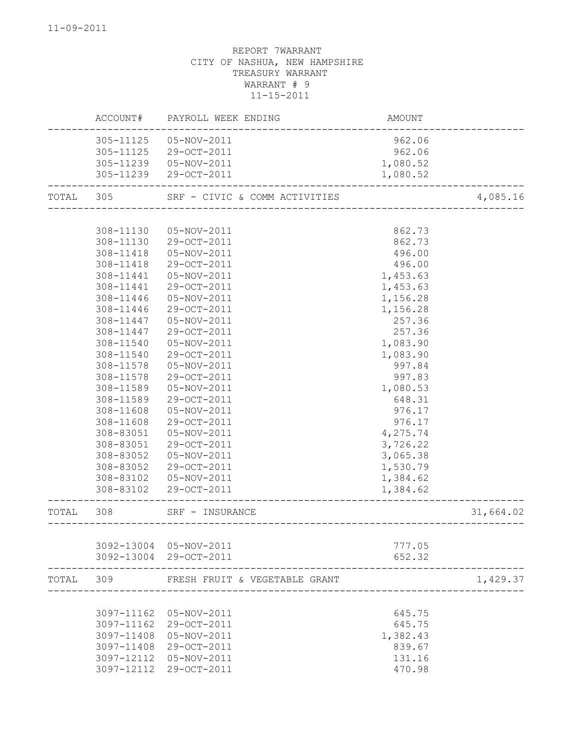|       | ACCOUNT#   | PAYROLL WEEK ENDING           | AMOUNT   |           |
|-------|------------|-------------------------------|----------|-----------|
|       | 305-11125  | 05-NOV-2011                   | 962.06   |           |
|       | 305-11125  | 29-OCT-2011                   | 962.06   |           |
|       | 305-11239  | 05-NOV-2011                   | 1,080.52 |           |
|       | 305-11239  | 29-OCT-2011                   | 1,080.52 |           |
| TOTAL | 305        | SRF - CIVIC & COMM ACTIVITIES |          | 4,085.16  |
|       |            |                               |          |           |
|       | 308-11130  | 05-NOV-2011                   | 862.73   |           |
|       | 308-11130  | 29-OCT-2011                   | 862.73   |           |
|       | 308-11418  | 05-NOV-2011                   | 496.00   |           |
|       | 308-11418  | 29-OCT-2011                   | 496.00   |           |
|       | 308-11441  | 05-NOV-2011                   | 1,453.63 |           |
|       | 308-11441  | 29-OCT-2011                   | 1,453.63 |           |
|       | 308-11446  | 05-NOV-2011                   | 1,156.28 |           |
|       | 308-11446  | 29-OCT-2011                   | 1,156.28 |           |
|       | 308-11447  | 05-NOV-2011                   | 257.36   |           |
|       | 308-11447  | 29-OCT-2011                   | 257.36   |           |
|       | 308-11540  | 05-NOV-2011                   | 1,083.90 |           |
|       | 308-11540  | 29-OCT-2011                   | 1,083.90 |           |
|       | 308-11578  | 05-NOV-2011                   | 997.84   |           |
|       | 308-11578  | 29-OCT-2011                   | 997.83   |           |
|       | 308-11589  | 05-NOV-2011                   | 1,080.53 |           |
|       | 308-11589  | 29-OCT-2011                   | 648.31   |           |
|       | 308-11608  | 05-NOV-2011                   | 976.17   |           |
|       | 308-11608  | 29-OCT-2011                   | 976.17   |           |
|       | 308-83051  | 05-NOV-2011                   | 4,275.74 |           |
|       | 308-83051  | 29-OCT-2011                   | 3,726.22 |           |
|       | 308-83052  | 05-NOV-2011                   |          |           |
|       | 308-83052  | 29-OCT-2011                   | 3,065.38 |           |
|       |            |                               | 1,530.79 |           |
|       | 308-83102  | 05-NOV-2011                   | 1,384.62 |           |
|       | 308-83102  | 29-OCT-2011                   | 1,384.62 |           |
| TOTAL | 308        | SRF - INSURANCE               |          | 31,664.02 |
|       |            |                               |          |           |
|       | 3092-13004 | 05-NOV-2011                   | 777.05   |           |
|       |            | 3092-13004 29-OCT-2011        | 652.32   |           |
| TOTAL | 309        | FRESH FRUIT & VEGETABLE GRANT |          | 1,429.37  |
|       |            |                               |          |           |
|       | 3097-11162 | 05-NOV-2011                   | 645.75   |           |
|       | 3097-11162 | 29-OCT-2011                   | 645.75   |           |
|       | 3097-11408 | 05-NOV-2011                   | 1,382.43 |           |
|       | 3097-11408 | 29-OCT-2011                   | 839.67   |           |
|       | 3097-12112 | 05-NOV-2011                   | 131.16   |           |
|       | 3097-12112 | 29-OCT-2011                   | 470.98   |           |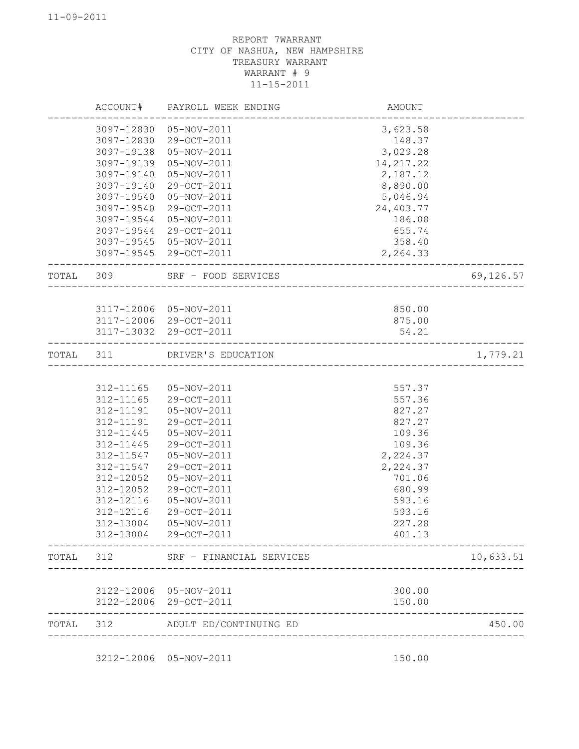|           |            | ACCOUNT# PAYROLL WEEK ENDING | AMOUNT                                 |           |
|-----------|------------|------------------------------|----------------------------------------|-----------|
|           | 3097-12830 | 05-NOV-2011                  | 3,623.58                               |           |
|           | 3097-12830 | 29-OCT-2011                  | 148.37                                 |           |
|           | 3097-19138 | 05-NOV-2011                  | 3,029.28                               |           |
|           | 3097-19139 | 05-NOV-2011                  | 14, 217.22                             |           |
|           | 3097-19140 | 05-NOV-2011                  | 2,187.12                               |           |
|           | 3097-19140 | 29-OCT-2011                  | 8,890.00                               |           |
|           | 3097-19540 | 05-NOV-2011                  | 5,046.94                               |           |
|           | 3097-19540 | 29-OCT-2011                  | 24,403.77                              |           |
|           | 3097-19544 | 05-NOV-2011                  | 186.08                                 |           |
|           | 3097-19544 | 29-OCT-2011                  | 655.74                                 |           |
|           | 3097-19545 | 05-NOV-2011                  | 358.40                                 |           |
|           |            | 3097-19545 29-OCT-2011       | 2,264.33                               |           |
| TOTAL 309 |            | SRF - FOOD SERVICES          | ___________________________________    | 69,126.57 |
|           |            |                              |                                        |           |
|           |            | 3117-12006 05-NOV-2011       | 850.00                                 |           |
|           |            | 3117-12006 29-OCT-2011       | 875.00                                 |           |
|           |            | 3117-13032 29-OCT-2011       | 54.21                                  |           |
| TOTAL 311 |            | DRIVER'S EDUCATION           | ______________________________________ | 1,779.21  |
|           |            |                              |                                        |           |
|           | 312-11165  | 05-NOV-2011                  | 557.37                                 |           |
|           | 312-11165  | 29-OCT-2011                  | 557.36                                 |           |
|           | 312-11191  | 05-NOV-2011                  | 827.27                                 |           |
|           | 312-11191  | 29-OCT-2011                  | 827.27                                 |           |
|           | 312-11445  | 05-NOV-2011                  | 109.36                                 |           |
|           | 312-11445  | 29-OCT-2011                  | 109.36                                 |           |
|           | 312-11547  | 05-NOV-2011                  | 2,224.37                               |           |
|           | 312-11547  | 29-OCT-2011                  | 2,224.37                               |           |
|           | 312-12052  | 05-NOV-2011                  | 701.06                                 |           |
|           | 312-12052  | 29-OCT-2011                  | 680.99                                 |           |
|           | 312-12116  | 05-NOV-2011                  | 593.16                                 |           |
|           | 312-12116  | 29-OCT-2011                  | 593.16                                 |           |
|           | 312-13004  | 05-NOV-2011                  | 227.28                                 |           |
|           | 312-13004  | 29-OCT-2011                  | 401.13                                 |           |
| TOTAL     | 312        | SRF - FINANCIAL SERVICES     |                                        | 10,633.51 |
|           |            |                              |                                        |           |
|           | 3122-12006 | 05-NOV-2011                  | 300.00                                 |           |
|           | 3122-12006 | 29-OCT-2011                  | 150.00                                 |           |
| TOTAL     | 312        | ADULT ED/CONTINUING ED       |                                        | 450.00    |

3212-12006 05-NOV-2011 150.00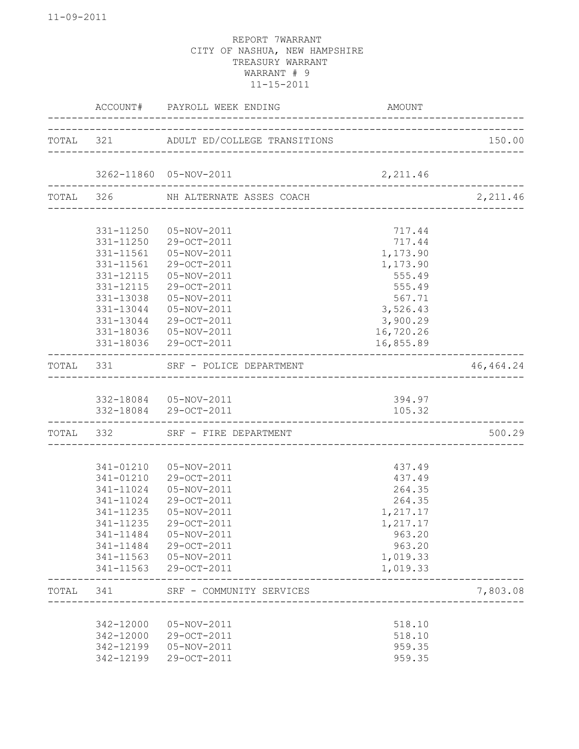|           |           | ACCOUNT# PAYROLL WEEK ENDING           | AMOUNT                               |            |
|-----------|-----------|----------------------------------------|--------------------------------------|------------|
|           |           | TOTAL 321 ADULT ED/COLLEGE TRANSITIONS | ____________________________________ | 150.00     |
|           |           | 3262-11860 05-NOV-2011                 | 2,211.46                             |            |
|           |           | TOTAL 326 NH ALTERNATE ASSES COACH     |                                      | 2,211.46   |
|           |           |                                        |                                      |            |
|           | 331-11250 | 05-NOV-2011                            | 717.44                               |            |
|           | 331-11250 | 29-OCT-2011                            | 717.44                               |            |
|           | 331-11561 | 05-NOV-2011                            | 1,173.90                             |            |
|           | 331-11561 | 29-OCT-2011                            | 1,173.90                             |            |
|           | 331-12115 | 05-NOV-2011                            | 555.49                               |            |
|           | 331-12115 | 29-OCT-2011                            | 555.49                               |            |
|           | 331-13038 | 05-NOV-2011                            | 567.71                               |            |
|           | 331-13044 | 05-NOV-2011                            | 3,526.43                             |            |
|           | 331-13044 | 29-OCT-2011                            | 3,900.29                             |            |
|           | 331-18036 | 05-NOV-2011                            | 16,720.26                            |            |
|           | 331-18036 | 29-OCT-2011                            | 16,855.89                            |            |
| TOTAL     | 331       | SRF - POLICE DEPARTMENT                |                                      | 46, 464.24 |
|           |           | 332-18084  05-NOV-2011                 | 394.97                               |            |
|           |           | 332-18084 29-OCT-2011                  | 105.32                               |            |
| TOTAL 332 |           | SRF - FIRE DEPARTMENT                  |                                      | 500.29     |
|           |           |                                        |                                      |            |
|           | 341-01210 | 05-NOV-2011                            | 437.49                               |            |
|           |           | 341-01210 29-OCT-2011                  | 437.49                               |            |
|           | 341-11024 | 05-NOV-2011                            | 264.35                               |            |
|           | 341-11024 | 29-OCT-2011                            | 264.35                               |            |
|           | 341-11235 | 05-NOV-2011                            | 1,217.17                             |            |
|           | 341-11235 | 29-OCT-2011                            | 1,217.17                             |            |
|           | 341-11484 | 05-NOV-2011                            | 963.20                               |            |
|           | 341-11484 | 29-OCT-2011                            | 963.20                               |            |
|           | 341-11563 | 05-NOV-2011                            | 1,019.33                             |            |
|           | 341-11563 | 29-OCT-2011                            | 1,019.33                             |            |
| TOTAL     | 341       | SRF - COMMUNITY SERVICES               |                                      | 7,803.08   |
|           |           |                                        |                                      |            |
|           | 342-12000 | 05-NOV-2011                            | 518.10                               |            |
|           | 342-12000 | 29-OCT-2011                            | 518.10                               |            |
|           | 342-12199 | 05-NOV-2011                            | 959.35                               |            |
|           | 342-12199 | 29-OCT-2011                            | 959.35                               |            |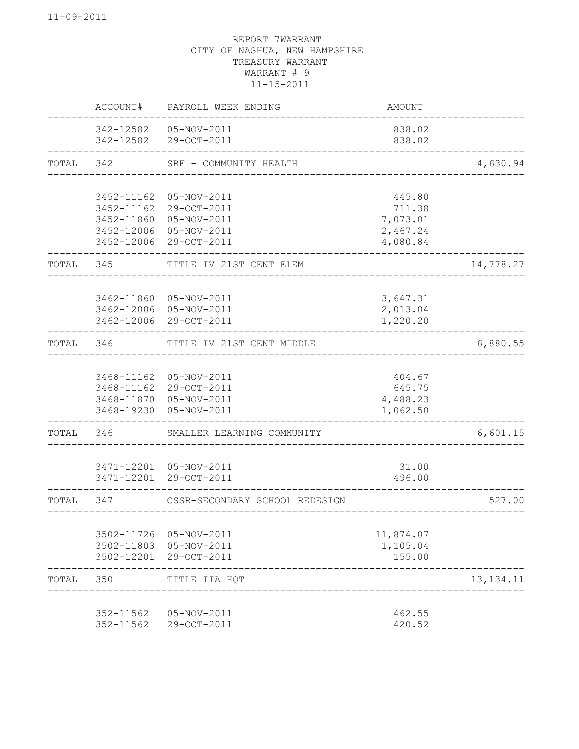|       | ACCOUNT#                                                           | PAYROLL WEEK ENDING                                                     | <b>AMOUNT</b>                                        |             |
|-------|--------------------------------------------------------------------|-------------------------------------------------------------------------|------------------------------------------------------|-------------|
|       | 342-12582                                                          | 342-12582  05-NOV-2011<br>29-OCT-2011                                   | 838.02<br>838.02                                     |             |
| TOTAL | 342                                                                | SRF - COMMUNITY HEALTH                                                  |                                                      | 4,630.94    |
|       | 3452-11162<br>3452-11162<br>3452-11860<br>3452-12006<br>3452-12006 | 05-NOV-2011<br>29-OCT-2011<br>05-NOV-2011<br>05-NOV-2011<br>29-OCT-2011 | 445.80<br>711.38<br>7,073.01<br>2,467.24<br>4,080.84 |             |
| TOTAL | 345                                                                | TITLE IV 21ST CENT ELEM                                                 |                                                      | 14,778.27   |
|       | 3462-11860<br>3462-12006<br>3462-12006                             | 05-NOV-2011<br>05-NOV-2011<br>29-OCT-2011                               | 3,647.31<br>2,013.04<br>1,220.20                     |             |
| TOTAL | 346                                                                | TITLE IV 21ST CENT MIDDLE                                               |                                                      | 6,880.55    |
|       | 3468-11162<br>3468-11162<br>3468-11870<br>3468-19230               | 05-NOV-2011<br>29-OCT-2011<br>05-NOV-2011<br>05-NOV-2011                | 404.67<br>645.75<br>4,488.23<br>1,062.50             |             |
| TOTAL | 346                                                                | SMALLER LEARNING COMMUNITY                                              |                                                      | 6,601.15    |
|       | 3471-12201<br>3471-12201                                           | 05-NOV-2011<br>29-OCT-2011                                              | 31.00<br>496.00                                      |             |
| TOTAL | 347                                                                | CSSR-SECONDARY SCHOOL REDESIGN                                          |                                                      | 527.00      |
|       | 3502-11726<br>3502-11803<br>3502-12201                             | 05-NOV-2011<br>05-NOV-2011<br>29-OCT-2011                               | 11,874.07<br>1,105.04<br>155.00                      |             |
| TOTAL | 350                                                                | TITLE IIA HQT                                                           |                                                      | 13, 134. 11 |
|       | 352-11562<br>352-11562                                             | 05-NOV-2011<br>29-OCT-2011                                              | 462.55<br>420.52                                     |             |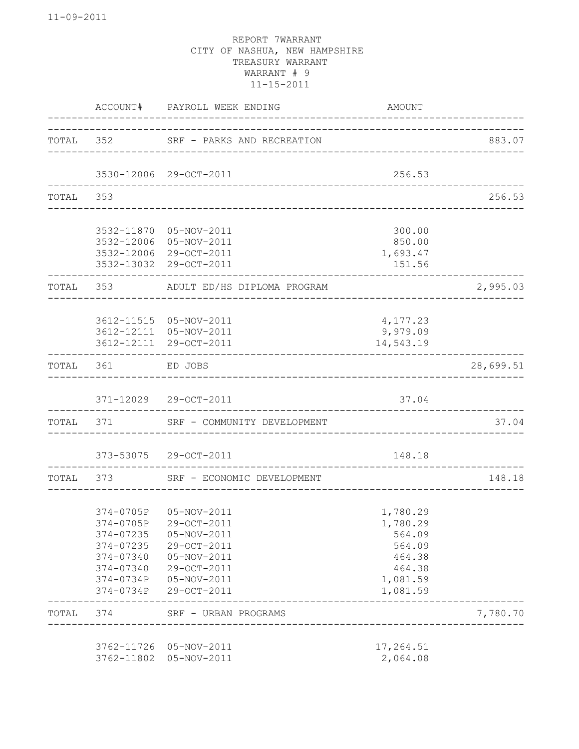|           | ACCOUNT#                 | PAYROLL WEEK ENDING                  | AMOUNT                            |           |
|-----------|--------------------------|--------------------------------------|-----------------------------------|-----------|
|           |                          | TOTAL 352 SRF - PARKS AND RECREATION | _________________________________ | 883.07    |
|           |                          | 3530-12006 29-OCT-2011               | 256.53                            |           |
| TOTAL     | 353                      |                                      |                                   | 256.53    |
|           |                          |                                      |                                   |           |
|           | 3532-11870               | 05-NOV-2011                          | 300.00                            |           |
|           | 3532-12006               | 05-NOV-2011                          | 850.00                            |           |
|           | 3532-12006               | 29-OCT-2011                          | 1,693.47                          |           |
|           |                          | 3532-13032 29-OCT-2011               | 151.56                            |           |
| TOTAL     | 353                      | ADULT ED/HS DIPLOMA PROGRAM          |                                   | 2,995.03  |
|           |                          |                                      |                                   |           |
|           |                          | 3612-11515  05-NOV-2011              | 4,177.23                          |           |
|           |                          | 3612-12111 05-NOV-2011               | 9,979.09                          |           |
|           |                          | 3612-12111 29-OCT-2011               | 14,543.19                         |           |
| TOTAL     | 361                      | ED JOBS                              |                                   | 28,699.51 |
|           |                          | 371-12029 29-OCT-2011                | 37.04                             |           |
| TOTAL 371 |                          | SRF - COMMUNITY DEVELOPMENT          |                                   | 37.04     |
|           |                          | 373-53075 29-OCT-2011                | 148.18                            |           |
|           | TOTAL 373                | SRF - ECONOMIC DEVELOPMENT           |                                   | 148.18    |
|           |                          |                                      |                                   |           |
|           |                          | 374-0705P 05-NOV-2011                | 1,780.29                          |           |
|           |                          | 374-0705P 29-OCT-2011                | 1,780.29                          |           |
|           | 374-07235                | 05-NOV-2011                          | 564.09                            |           |
|           | 374-07235                | 29-OCT-2011                          | 564.09                            |           |
|           | 374-07340                | 05-NOV-2011                          | 464.38                            |           |
|           | 374-07340                | 29-OCT-2011                          | 464.38                            |           |
|           | 374-0734P                | 05-NOV-2011                          | 1,081.59                          |           |
|           | 374-0734P                | 29-OCT-2011                          | 1,081.59                          |           |
| TOTAL     | 374                      | SRF - URBAN PROGRAMS                 |                                   | 7,780.70  |
|           |                          |                                      |                                   |           |
|           | 3762-11726<br>3762-11802 | 05-NOV-2011<br>05-NOV-2011           | 17,264.51<br>2,064.08             |           |
|           |                          |                                      |                                   |           |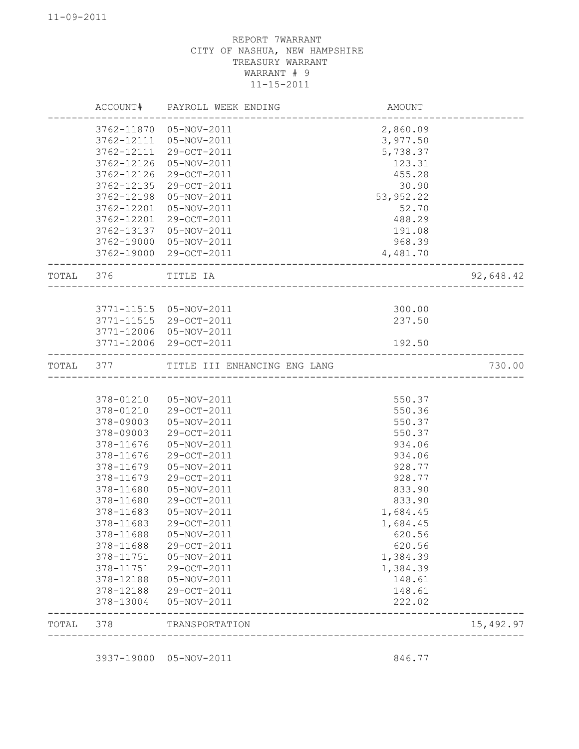|           |            | ACCOUNT# PAYROLL WEEK ENDING     | AMOUNT     |           |
|-----------|------------|----------------------------------|------------|-----------|
|           | 3762-11870 | 05-NOV-2011                      | 2,860.09   |           |
|           | 3762-12111 | 05-NOV-2011                      | 3,977.50   |           |
|           | 3762-12111 | 29-OCT-2011                      | 5,738.37   |           |
|           | 3762-12126 | 05-NOV-2011                      | 123.31     |           |
|           | 3762-12126 | 29-OCT-2011                      | 455.28     |           |
|           | 3762-12135 | 29-OCT-2011                      | 30.90      |           |
|           | 3762-12198 | 05-NOV-2011                      | 53, 952.22 |           |
|           | 3762-12201 | 05-NOV-2011                      | 52.70      |           |
|           | 3762-12201 | 29-OCT-2011                      | 488.29     |           |
|           | 3762-13137 | 05-NOV-2011                      | 191.08     |           |
|           | 3762-19000 | 05-NOV-2011                      | 968.39     |           |
|           | 3762-19000 | 29-OCT-2011                      | 4,481.70   |           |
| TOTAL 376 |            | TITLE IA                         |            | 92,648.42 |
|           |            |                                  |            |           |
|           |            | 3771-11515  05-NOV-2011          | 300.00     |           |
|           | 3771-11515 | 29-OCT-2011                      | 237.50     |           |
|           | 3771-12006 | 05-NOV-2011                      |            |           |
|           |            | 3771-12006 29-OCT-2011           | 192.50     |           |
| TOTAL     |            | 377 TITLE III ENHANCING ENG LANG |            | 730.00    |
|           |            |                                  |            |           |
|           | 378-01210  | 05-NOV-2011                      | 550.37     |           |
|           | 378-01210  | 29-OCT-2011                      | 550.36     |           |
|           | 378-09003  | 05-NOV-2011                      | 550.37     |           |
|           | 378-09003  | 29-OCT-2011                      | 550.37     |           |
|           | 378-11676  | 05-NOV-2011                      | 934.06     |           |
|           | 378-11676  | 29-OCT-2011                      | 934.06     |           |
|           | 378-11679  | 05-NOV-2011                      | 928.77     |           |
|           | 378-11679  | 29-OCT-2011                      | 928.77     |           |
|           | 378-11680  | 05-NOV-2011                      | 833.90     |           |
|           | 378-11680  | 29-OCT-2011                      | 833.90     |           |
|           | 378-11683  | 05-NOV-2011                      | 1,684.45   |           |
|           | 378-11683  | 29-OCT-2011                      | 1,684.45   |           |
|           | 378-11688  | 05-NOV-2011                      | 620.56     |           |
|           | 378-11688  | 29-OCT-2011                      | 620.56     |           |
|           | 378-11751  | 05-NOV-2011                      | 1,384.39   |           |
|           | 378-11751  | 29-OCT-2011                      | 1,384.39   |           |
|           | 378-12188  | 05-NOV-2011                      | 148.61     |           |
|           | 378-12188  | 29-OCT-2011                      | 148.61     |           |
|           | 378-13004  | 05-NOV-2011                      | 222.02     |           |
| TOTAL     | 378        | TRANSPORTATION                   |            | 15,492.97 |

3937-19000 05-NOV-2011 846.77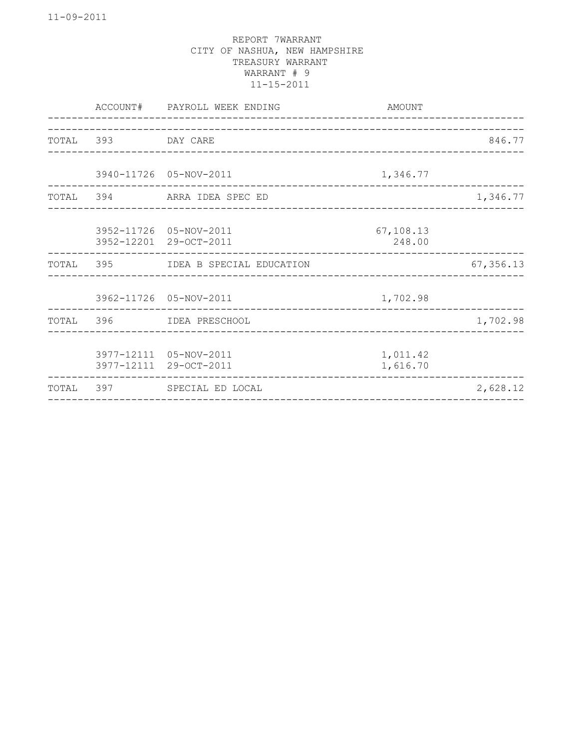| 846.77<br>TOTAL 393 DAY CARE<br>3940-11726 05-NOV-2011<br>1,346.77<br>1,346.77<br>TOTAL 394 ARRA IDEA SPEC ED<br>3952-11726 05-NOV-2011<br>67,108.13<br>3952-12201 29-OCT-2011<br>248.00<br>67, 356.13<br>TOTAL 395 IDEA B SPECIAL EDUCATION<br>3962-11726 05-NOV-2011<br>1,702.98<br>1,702.98<br>TOTAL 396 IDEA PRESCHOOL<br>3977-12111 05-NOV-2011<br>1,011.42<br>3977-12111 29-OCT-2011<br>1,616.70<br>TOTAL 397 SPECIAL ED LOCAL<br>2,628.12 |  | ACCOUNT# PAYROLL WEEK ENDING | AMOUNT |  |
|--------------------------------------------------------------------------------------------------------------------------------------------------------------------------------------------------------------------------------------------------------------------------------------------------------------------------------------------------------------------------------------------------------------------------------------------------|--|------------------------------|--------|--|
|                                                                                                                                                                                                                                                                                                                                                                                                                                                  |  |                              |        |  |
|                                                                                                                                                                                                                                                                                                                                                                                                                                                  |  |                              |        |  |
|                                                                                                                                                                                                                                                                                                                                                                                                                                                  |  |                              |        |  |
|                                                                                                                                                                                                                                                                                                                                                                                                                                                  |  |                              |        |  |
|                                                                                                                                                                                                                                                                                                                                                                                                                                                  |  |                              |        |  |
|                                                                                                                                                                                                                                                                                                                                                                                                                                                  |  |                              |        |  |
|                                                                                                                                                                                                                                                                                                                                                                                                                                                  |  |                              |        |  |
|                                                                                                                                                                                                                                                                                                                                                                                                                                                  |  |                              |        |  |
|                                                                                                                                                                                                                                                                                                                                                                                                                                                  |  |                              |        |  |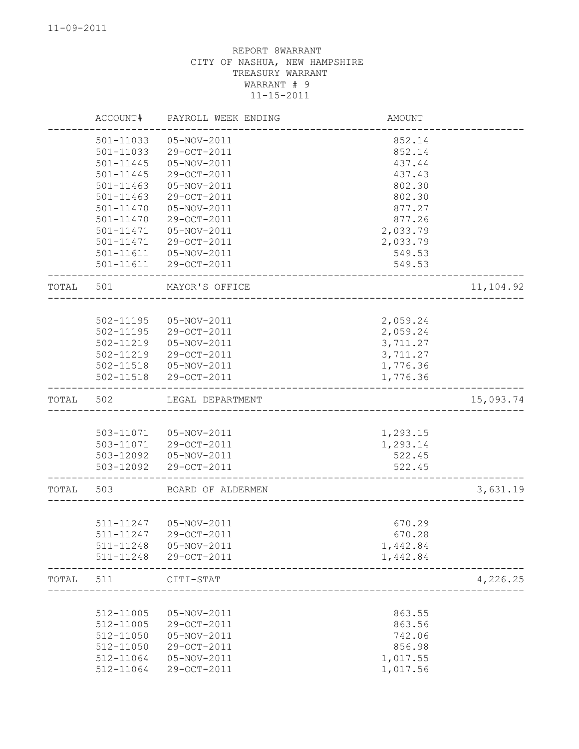|       | ACCOUNT#               | PAYROLL WEEK ENDING        | AMOUNT           |           |
|-------|------------------------|----------------------------|------------------|-----------|
|       | 501-11033              | 05-NOV-2011                | 852.14           |           |
|       | 501-11033              | 29-OCT-2011                | 852.14           |           |
|       | 501-11445              | 05-NOV-2011                | 437.44           |           |
|       | 501-11445              | 29-OCT-2011                | 437.43           |           |
|       | 501-11463              | 05-NOV-2011                | 802.30           |           |
|       | 501-11463              | 29-OCT-2011                | 802.30           |           |
|       | 501-11470              | 05-NOV-2011                | 877.27           |           |
|       | 501-11470              | 29-OCT-2011                | 877.26           |           |
|       | 501-11471              | 05-NOV-2011                | 2,033.79         |           |
|       | 501-11471              | 29-OCT-2011                | 2,033.79         |           |
|       | 501-11611<br>501-11611 | 05-NOV-2011<br>29-OCT-2011 | 549.53<br>549.53 |           |
|       |                        |                            |                  |           |
| TOTAL | 501                    | MAYOR'S OFFICE             |                  | 11,104.92 |
|       |                        |                            |                  |           |
|       | 502-11195              | 05-NOV-2011                | 2,059.24         |           |
|       | 502-11195              | 29-OCT-2011                | 2,059.24         |           |
|       | 502-11219              | 05-NOV-2011                | 3,711.27         |           |
|       | 502-11219              | 29-OCT-2011                | 3,711.27         |           |
|       |                        | 502-11518  05-NOV-2011     | 1,776.36         |           |
|       |                        | 502-11518 29-OCT-2011      | 1,776.36         |           |
| TOTAL | 502                    | LEGAL DEPARTMENT           |                  | 15,093.74 |
|       |                        |                            |                  |           |
|       |                        | 503-11071  05-NOV-2011     | 1,293.15         |           |
|       | 503-11071              | 29-OCT-2011                | 1,293.14         |           |
|       | 503-12092              | 05-NOV-2011                | 522.45           |           |
|       | 503-12092              | 29-OCT-2011                | 522.45           |           |
| TOTAL | 503                    | BOARD OF ALDERMEN          |                  | 3,631.19  |
|       |                        |                            |                  |           |
|       | 511-11247              | 05-NOV-2011                | 670.29           |           |
|       | 511-11247              | 29-OCT-2011                | 670.28           |           |
|       | 511-11248              | 05-NOV-2011                | 1,442.84         |           |
|       | 511-11248              | 29-OCT-2011                | 1,442.84         |           |
| TOTAL | 511                    | CITI-STAT                  |                  | 4,226.25  |
|       |                        |                            |                  |           |
|       | 512-11005              | 05-NOV-2011                | 863.55           |           |
|       | 512-11005              | 29-OCT-2011                | 863.56           |           |
|       | 512-11050              | 05-NOV-2011                | 742.06           |           |
|       | 512-11050              | 29-OCT-2011                | 856.98           |           |
|       | 512-11064              | 05-NOV-2011                | 1,017.55         |           |
|       | 512-11064              | 29-OCT-2011                | 1,017.56         |           |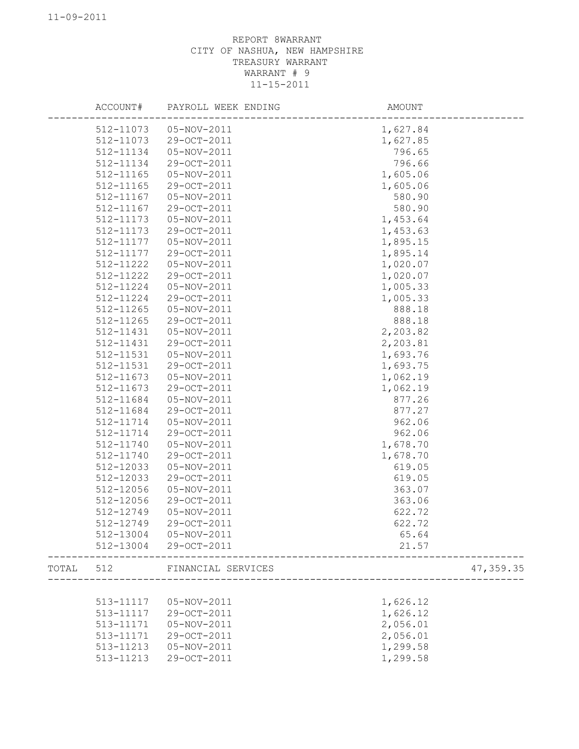|       |           | ACCOUNT# PAYROLL WEEK ENDING | AMOUNT   |            |
|-------|-----------|------------------------------|----------|------------|
|       |           | 512-11073  05-NOV-2011       | 1,627.84 |            |
|       | 512-11073 | 29-OCT-2011                  | 1,627.85 |            |
|       | 512-11134 | 05-NOV-2011                  | 796.65   |            |
|       | 512-11134 | 29-OCT-2011                  | 796.66   |            |
|       | 512-11165 | 05-NOV-2011                  | 1,605.06 |            |
|       | 512-11165 | 29-OCT-2011                  | 1,605.06 |            |
|       | 512-11167 | 05-NOV-2011                  | 580.90   |            |
|       | 512-11167 | 29-OCT-2011                  | 580.90   |            |
|       | 512-11173 | 05-NOV-2011                  | 1,453.64 |            |
|       | 512-11173 | 29-OCT-2011                  | 1,453.63 |            |
|       | 512-11177 | 05-NOV-2011                  | 1,895.15 |            |
|       | 512-11177 | 29-OCT-2011                  | 1,895.14 |            |
|       | 512-11222 | 05-NOV-2011                  | 1,020.07 |            |
|       | 512-11222 | 29-OCT-2011                  | 1,020.07 |            |
|       | 512-11224 | 05-NOV-2011                  | 1,005.33 |            |
|       | 512-11224 | 29-OCT-2011                  | 1,005.33 |            |
|       | 512-11265 | 05-NOV-2011                  | 888.18   |            |
|       | 512-11265 | 29-OCT-2011                  | 888.18   |            |
|       | 512-11431 | 05-NOV-2011                  | 2,203.82 |            |
|       | 512-11431 | 29-OCT-2011                  | 2,203.81 |            |
|       | 512-11531 | 05-NOV-2011                  | 1,693.76 |            |
|       | 512-11531 | 29-OCT-2011                  | 1,693.75 |            |
|       | 512-11673 | 05-NOV-2011                  | 1,062.19 |            |
|       | 512-11673 | 29-OCT-2011                  | 1,062.19 |            |
|       | 512-11684 | 05-NOV-2011                  | 877.26   |            |
|       | 512-11684 | 29-OCT-2011                  | 877.27   |            |
|       | 512-11714 | 05-NOV-2011                  | 962.06   |            |
|       | 512-11714 | 29-OCT-2011                  | 962.06   |            |
|       | 512-11740 | 05-NOV-2011                  | 1,678.70 |            |
|       | 512-11740 | 29-OCT-2011                  | 1,678.70 |            |
|       | 512-12033 | 05-NOV-2011                  | 619.05   |            |
|       | 512-12033 | 29-OCT-2011                  | 619.05   |            |
|       | 512-12056 | 05-NOV-2011                  | 363.07   |            |
|       | 512-12056 | 29-OCT-2011                  | 363.06   |            |
|       | 512-12749 | 05-NOV-2011                  | 622.72   |            |
|       | 512-12749 | 29-OCT-2011                  | 622.72   |            |
|       | 512-13004 | 05-NOV-2011                  | 65.64    |            |
|       | 512-13004 | 29-OCT-2011                  | 21.57    |            |
|       |           |                              |          |            |
| TOTAL | 512       | FINANCIAL SERVICES           |          | 47, 359.35 |
|       |           |                              |          |            |
|       | 513-11117 | 05-NOV-2011                  | 1,626.12 |            |
|       | 513-11117 | 29-OCT-2011                  | 1,626.12 |            |
|       | 513-11171 | 05-NOV-2011                  | 2,056.01 |            |
|       | 513-11171 | 29-OCT-2011                  | 2,056.01 |            |
|       | 513-11213 | 05-NOV-2011                  | 1,299.58 |            |
|       | 513-11213 | 29-OCT-2011                  | 1,299.58 |            |
|       |           |                              |          |            |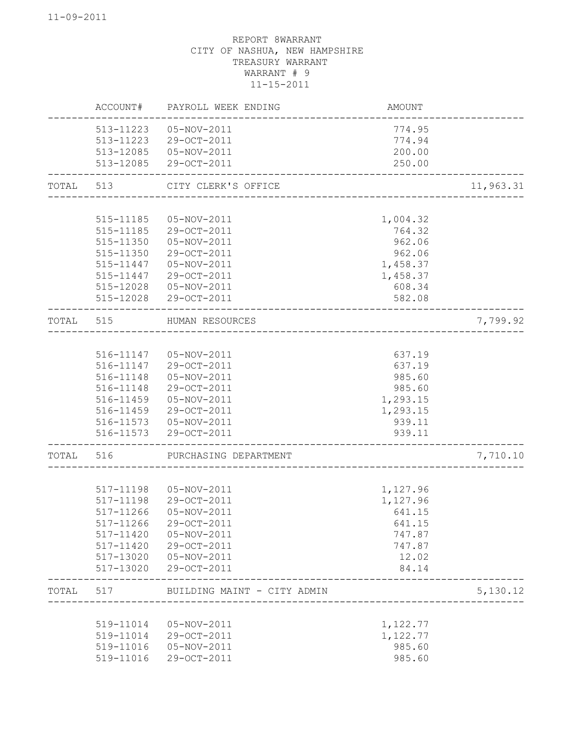|       | ACCOUNT#               | PAYROLL WEEK ENDING         | AMOUNT             |           |
|-------|------------------------|-----------------------------|--------------------|-----------|
|       | 513-11223              | 05-NOV-2011                 | 774.95             |           |
|       | 513-11223              | 29-OCT-2011                 | 774.94             |           |
|       | 513-12085              | 05-NOV-2011                 | 200.00             |           |
|       | 513-12085              | 29-OCT-2011                 | 250.00             |           |
| TOTAL | 513                    | CITY CLERK'S OFFICE         |                    | 11,963.31 |
|       |                        |                             |                    |           |
|       | 515-11185              | 05-NOV-2011                 | 1,004.32           |           |
|       | 515-11185              | 29-OCT-2011                 | 764.32             |           |
|       | 515-11350              | 05-NOV-2011                 | 962.06             |           |
|       | 515-11350              | 29-OCT-2011                 | 962.06             |           |
|       | 515-11447              | 05-NOV-2011                 | 1,458.37           |           |
|       | 515-11447              | 29-OCT-2011                 | 1,458.37           |           |
|       | 515-12028<br>515-12028 | 05-NOV-2011<br>29-OCT-2011  | 608.34<br>582.08   |           |
| TOTAL | 515                    | HUMAN RESOURCES             |                    | 7,799.92  |
|       |                        |                             |                    |           |
|       | 516-11147              | 05-NOV-2011                 | 637.19             |           |
|       | 516-11147              | 29-OCT-2011                 | 637.19             |           |
|       | 516-11148              | 05-NOV-2011                 | 985.60             |           |
|       | 516-11148              | 29-OCT-2011                 | 985.60             |           |
|       | 516-11459              | 05-NOV-2011                 | 1,293.15           |           |
|       | 516-11459              | 29-OCT-2011                 | 1,293.15           |           |
|       | 516-11573              | 05-NOV-2011                 | 939.11             |           |
|       | 516-11573              | 29-OCT-2011                 | 939.11             |           |
| TOTAL | 516                    | PURCHASING DEPARTMENT       |                    | 7,710.10  |
|       |                        |                             |                    |           |
|       | 517-11198              | 05-NOV-2011                 | 1,127.96           |           |
|       | 517-11198<br>517-11266 | 29-OCT-2011<br>05-NOV-2011  | 1,127.96<br>641.15 |           |
|       | 517-11266              | 29-OCT-2011                 | 641.15             |           |
|       | 517-11420              | 05-NOV-2011                 | 747.87             |           |
|       | 517-11420              | 29-OCT-2011                 | 747.87             |           |
|       | 517-13020              | 05-NOV-2011                 | 12.02              |           |
|       | 517-13020              | 29-OCT-2011                 | 84.14              |           |
| TOTAL | 517                    | BUILDING MAINT - CITY ADMIN |                    | 5,130.12  |
|       |                        |                             |                    |           |
|       | 519-11014              | 05-NOV-2011                 | 1,122.77           |           |
|       | 519-11014              | 29-OCT-2011                 | 1,122.77           |           |
|       | 519-11016              | 05-NOV-2011                 | 985.60             |           |
|       | 519-11016              | 29-OCT-2011                 | 985.60             |           |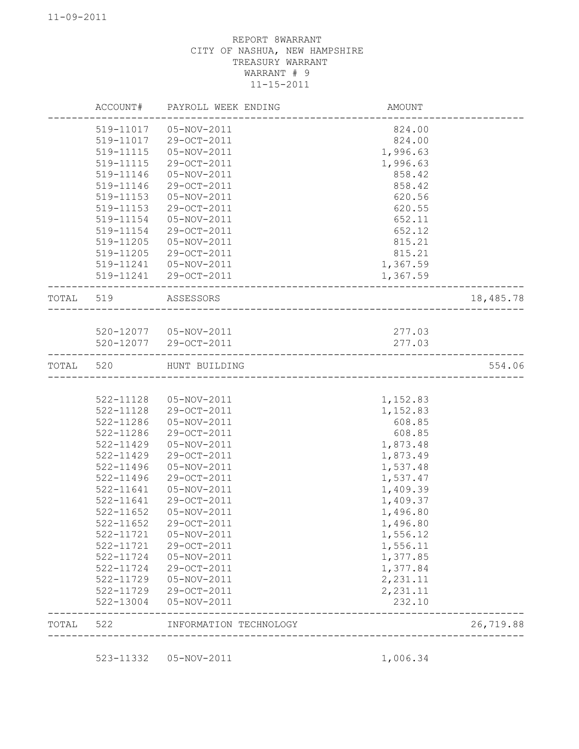| TOTAL     | 522                    | INFORMATION TECHNOLOGY     |                    | 26,719.88 |
|-----------|------------------------|----------------------------|--------------------|-----------|
|           | 522-13004              | 05-NOV-2011                | 232.10             |           |
|           | 522-11729              | 29-OCT-2011                | 2,231.11           |           |
|           | 522-11729              | 05-NOV-2011                | 2,231.11           |           |
|           | 522-11724              | 29-OCT-2011                | 1,377.84           |           |
|           | 522-11724              | 05-NOV-2011                | 1,377.85           |           |
|           | 522-11721              | 29-OCT-2011                | 1,556.11           |           |
|           | 522-11721              | 05-NOV-2011                | 1,556.12           |           |
|           | 522-11652              | 29-OCT-2011                | 1,496.80           |           |
|           | 522-11652              | 05-NOV-2011                | 1,496.80           |           |
|           | 522-11641              | 29-OCT-2011                | 1,409.37           |           |
|           | 522-11641              | 05-NOV-2011                | 1,409.39           |           |
|           | 522-11496              | 29-OCT-2011                | 1,537.47           |           |
|           | 522-11496              | 05-NOV-2011                | 1,537.48           |           |
|           | 522-11429              | 29-OCT-2011                | 1,873.49           |           |
|           | 522-11286<br>522-11429 | 29-OCT-2011<br>05-NOV-2011 | 608.85<br>1,873.48 |           |
|           | 522-11286              | 05-NOV-2011                | 608.85             |           |
|           | 522-11128              | 29-OCT-2011                | 1,152.83           |           |
|           | 522-11128              | 05-NOV-2011                | 1,152.83           |           |
| TOTAL 520 |                        | HUNT BUILDING              |                    | 554.06    |
|           |                        | 520-12077 29-OCT-2011      |                    |           |
|           |                        | 520-12077  05-NOV-2011     | 277.03<br>277.03   |           |
| TOTAL 519 |                        | ASSESSORS                  |                    | 18,485.78 |
|           |                        | 519-11241 29-OCT-2011      | 1,367.59           |           |
|           | 519-11241              | 05-NOV-2011                | 1,367.59           |           |
|           | 519-11205              | 29-OCT-2011                | 815.21             |           |
|           | 519-11205              | 05-NOV-2011                | 815.21             |           |
|           | 519-11154              | 29-OCT-2011                | 652.12             |           |
|           | 519-11154              | 05-NOV-2011                | 652.11             |           |
|           | 519-11153              | 05-NOV-2011<br>29-OCT-2011 | 620.56<br>620.55   |           |
|           | 519-11146<br>519-11153 | 29-OCT-2011                | 858.42             |           |
|           | 519-11146              | 05-NOV-2011                | 858.42             |           |
|           | 519-11115              | 29-OCT-2011                | 1,996.63           |           |
|           | 519-11115              | 05-NOV-2011                | 1,996.63           |           |
|           | 519-11017              | 29-OCT-2011                | 824.00             |           |
|           | 519-11017              | 05-NOV-2011                | 824.00             |           |
|           |                        |                            |                    |           |
|           | ACCOUNT#               | PAYROLL WEEK ENDING        | AMOUNT             |           |

523-11332 05-NOV-2011 1,006.34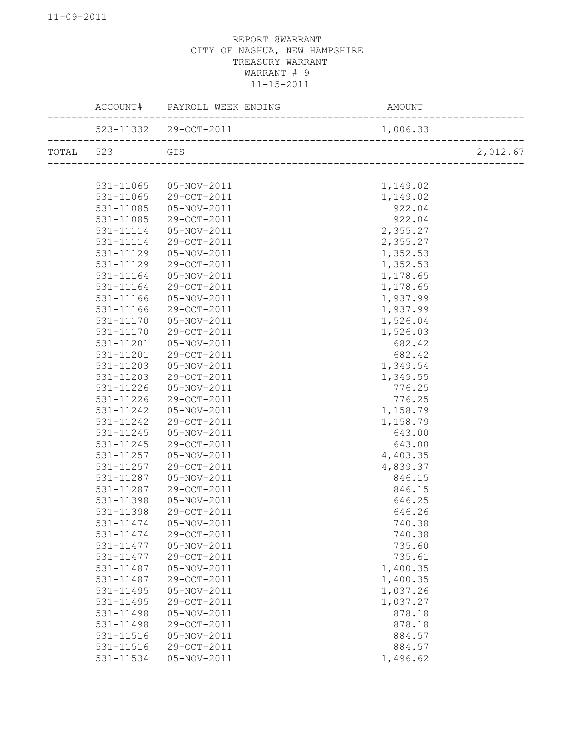|           |           | ACCOUNT# PAYROLL WEEK ENDING                                                                    | AMOUNT   |          |
|-----------|-----------|-------------------------------------------------------------------------------------------------|----------|----------|
|           |           | ____________________<br>523-11332 29-OCT-2011<br>----------------------------- <sup>-</sup> --- | 1,006.33 |          |
| TOTAL 523 |           | GIS                                                                                             |          | 2,012.67 |
|           |           |                                                                                                 |          |          |
|           | 531-11065 | 05-NOV-2011                                                                                     | 1,149.02 |          |
|           | 531-11065 | 29-OCT-2011                                                                                     | 1,149.02 |          |
|           | 531-11085 | 05-NOV-2011                                                                                     | 922.04   |          |
|           | 531-11085 | 29-OCT-2011                                                                                     | 922.04   |          |
|           | 531-11114 | 05-NOV-2011                                                                                     | 2,355.27 |          |
|           | 531-11114 | 29-OCT-2011                                                                                     | 2,355.27 |          |
|           | 531-11129 | 05-NOV-2011                                                                                     | 1,352.53 |          |
|           | 531-11129 | 29-OCT-2011                                                                                     | 1,352.53 |          |
|           | 531-11164 | 05-NOV-2011                                                                                     | 1,178.65 |          |
|           | 531-11164 | 29-OCT-2011                                                                                     | 1,178.65 |          |
|           | 531-11166 | 05-NOV-2011                                                                                     | 1,937.99 |          |
|           | 531-11166 | 29-OCT-2011                                                                                     | 1,937.99 |          |
|           | 531-11170 | 05-NOV-2011                                                                                     | 1,526.04 |          |
|           | 531-11170 | 29-OCT-2011                                                                                     | 1,526.03 |          |
|           | 531-11201 | 05-NOV-2011                                                                                     | 682.42   |          |
|           | 531-11201 | 29-OCT-2011                                                                                     | 682.42   |          |
|           | 531-11203 | 05-NOV-2011                                                                                     | 1,349.54 |          |
|           | 531-11203 | 29-OCT-2011                                                                                     | 1,349.55 |          |
|           | 531-11226 | 05-NOV-2011                                                                                     | 776.25   |          |
|           | 531-11226 | 29-OCT-2011                                                                                     | 776.25   |          |
|           | 531-11242 | 05-NOV-2011                                                                                     | 1,158.79 |          |
|           | 531-11242 | 29-OCT-2011                                                                                     | 1,158.79 |          |
|           | 531-11245 | 05-NOV-2011                                                                                     | 643.00   |          |
|           | 531-11245 | 29-OCT-2011                                                                                     | 643.00   |          |
|           | 531-11257 | 05-NOV-2011                                                                                     | 4,403.35 |          |
|           | 531-11257 | 29-OCT-2011                                                                                     | 4,839.37 |          |
|           | 531-11287 | 05-NOV-2011                                                                                     | 846.15   |          |
|           | 531-11287 | 29-OCT-2011                                                                                     | 846.15   |          |
|           | 531-11398 | 05-NOV-2011                                                                                     | 646.25   |          |
|           | 531-11398 | 29-OCT-2011                                                                                     | 646.26   |          |
|           | 531-11474 | 05-NOV-2011                                                                                     | 740.38   |          |
|           | 531-11474 | 29-OCT-2011                                                                                     | 740.38   |          |
|           | 531-11477 | 05-NOV-2011                                                                                     | 735.60   |          |
|           | 531-11477 | 29-OCT-2011                                                                                     | 735.61   |          |
|           | 531-11487 | 05-NOV-2011                                                                                     | 1,400.35 |          |
|           | 531-11487 | 29-OCT-2011                                                                                     | 1,400.35 |          |
|           | 531-11495 | 05-NOV-2011                                                                                     | 1,037.26 |          |
|           | 531-11495 | 29-OCT-2011                                                                                     | 1,037.27 |          |
|           | 531-11498 | 05-NOV-2011                                                                                     | 878.18   |          |
|           | 531-11498 | 29-OCT-2011                                                                                     |          |          |
|           |           | 05-NOV-2011                                                                                     | 878.18   |          |
|           | 531-11516 |                                                                                                 | 884.57   |          |
|           | 531-11516 | 29-OCT-2011                                                                                     | 884.57   |          |
|           | 531-11534 | 05-NOV-2011                                                                                     | 1,496.62 |          |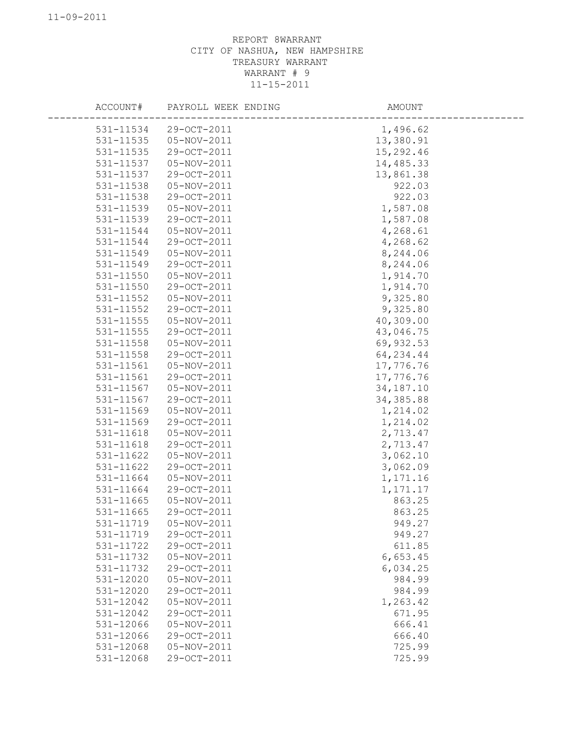| ACCOUNT#  | PAYROLL WEEK ENDING | AMOUNT      |
|-----------|---------------------|-------------|
| 531-11534 | 29-OCT-2011         | 1,496.62    |
| 531-11535 | 05-NOV-2011         | 13,380.91   |
| 531-11535 | 29-OCT-2011         | 15,292.46   |
| 531-11537 | 05-NOV-2011         | 14,485.33   |
| 531-11537 | 29-OCT-2011         | 13,861.38   |
| 531-11538 | 05-NOV-2011         | 922.03      |
| 531-11538 | 29-OCT-2011         | 922.03      |
| 531-11539 | 05-NOV-2011         | 1,587.08    |
| 531-11539 | 29-OCT-2011         | 1,587.08    |
| 531-11544 | 05-NOV-2011         | 4,268.61    |
| 531-11544 | 29-OCT-2011         | 4,268.62    |
| 531-11549 | 05-NOV-2011         | 8,244.06    |
| 531-11549 | 29-OCT-2011         | 8,244.06    |
| 531-11550 | 05-NOV-2011         | 1,914.70    |
| 531-11550 | 29-OCT-2011         | 1,914.70    |
| 531-11552 | 05-NOV-2011         | 9,325.80    |
| 531-11552 | 29-OCT-2011         | 9,325.80    |
| 531-11555 | 05-NOV-2011         | 40,309.00   |
| 531-11555 | 29-OCT-2011         | 43,046.75   |
| 531-11558 | 05-NOV-2011         | 69,932.53   |
| 531-11558 | 29-OCT-2011         | 64, 234.44  |
| 531-11561 | 05-NOV-2011         | 17,776.76   |
| 531-11561 | 29-OCT-2011         | 17,776.76   |
| 531-11567 | 05-NOV-2011         | 34, 187. 10 |
| 531-11567 | 29-OCT-2011         | 34, 385.88  |
| 531-11569 | 05-NOV-2011         | 1,214.02    |
| 531-11569 | 29-OCT-2011         | 1,214.02    |
| 531-11618 | 05-NOV-2011         | 2,713.47    |
| 531-11618 | 29-OCT-2011         | 2,713.47    |
| 531-11622 | 05-NOV-2011         | 3,062.10    |
| 531-11622 | 29-OCT-2011         | 3,062.09    |
| 531-11664 | 05-NOV-2011         | 1,171.16    |
| 531-11664 | 29-OCT-2011         | 1, 171.17   |
| 531-11665 | $05 - NOV - 2011$   | 863.25      |
| 531-11665 | 29-OCT-2011         | 863.25      |
| 531-11719 | 05-NOV-2011         | 949.27      |
| 531-11719 | 29-OCT-2011         | 949.27      |
| 531-11722 | 29-OCT-2011         | 611.85      |
| 531-11732 | 05-NOV-2011         | 6,653.45    |
| 531-11732 | 29-OCT-2011         | 6,034.25    |
| 531-12020 | 05-NOV-2011         | 984.99      |
| 531-12020 | 29-OCT-2011         | 984.99      |
| 531-12042 | 05-NOV-2011         | 1,263.42    |
| 531-12042 | 29-OCT-2011         | 671.95      |
| 531-12066 | 05-NOV-2011         | 666.41      |
| 531-12066 | 29-OCT-2011         | 666.40      |
| 531-12068 | 05-NOV-2011         | 725.99      |
| 531-12068 | 29-OCT-2011         | 725.99      |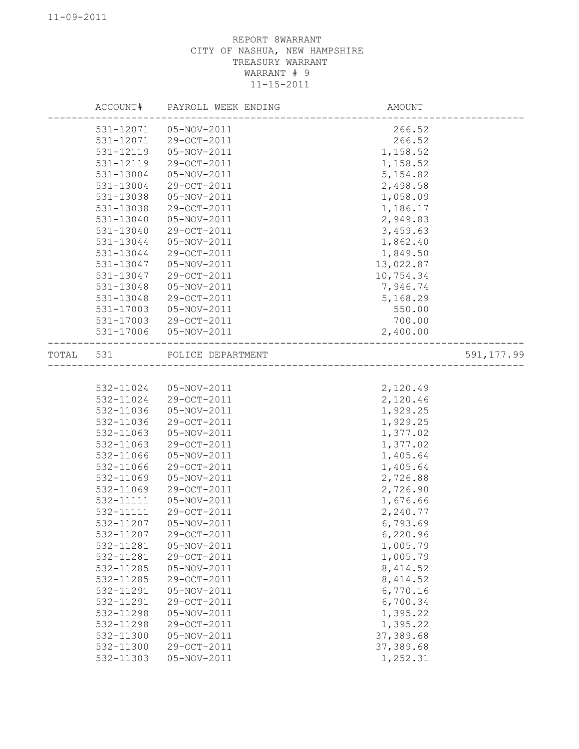|           |           | ACCOUNT# PAYROLL WEEK ENDING | AMOUNT                       |             |
|-----------|-----------|------------------------------|------------------------------|-------------|
|           | 531-12071 | 05-NOV-2011                  | 266.52                       |             |
|           | 531-12071 | 29-OCT-2011                  | 266.52                       |             |
|           | 531-12119 | 05-NOV-2011                  | 1,158.52                     |             |
|           | 531-12119 | 29-OCT-2011                  | 1,158.52                     |             |
|           | 531-13004 | 05-NOV-2011                  | 5, 154.82                    |             |
|           | 531-13004 | 29-OCT-2011                  | 2,498.58                     |             |
|           | 531-13038 | 05-NOV-2011                  | 1,058.09                     |             |
|           | 531-13038 | 29-OCT-2011                  | 1,186.17                     |             |
|           | 531-13040 | 05-NOV-2011                  | 2,949.83                     |             |
|           | 531-13040 | 29-OCT-2011                  | 3,459.63                     |             |
|           | 531-13044 | 05-NOV-2011                  | 1,862.40                     |             |
|           | 531-13044 | 29-OCT-2011                  | 1,849.50                     |             |
|           | 531-13047 | 05-NOV-2011                  | 13,022.87                    |             |
|           | 531-13047 | 29-OCT-2011                  | 10,754.34                    |             |
|           | 531-13048 | 05-NOV-2011                  | 7,946.74                     |             |
|           | 531-13048 | 29-OCT-2011                  | 5,168.29                     |             |
|           | 531-17003 | 05-NOV-2011                  | 550.00                       |             |
|           |           | 531-17003 29-OCT-2011        | 700.00                       |             |
|           |           | 531-17006 05-NOV-2011        | 2,400.00                     |             |
| TOTAL 531 |           | POLICE DEPARTMENT            |                              | 591, 177.99 |
|           |           |                              | ---------------------------- |             |
|           |           |                              |                              |             |
|           | 532-11024 | 05-NOV-2011                  | 2,120.49                     |             |
|           |           | 532-11024 29-OCT-2011        | 2,120.46                     |             |
|           | 532-11036 | 05-NOV-2011                  | 1,929.25                     |             |
|           | 532-11036 | 29-OCT-2011                  | 1,929.25                     |             |
|           | 532-11063 | 05-NOV-2011                  | 1,377.02                     |             |
|           | 532-11063 | 29-OCT-2011                  | 1,377.02                     |             |
|           | 532-11066 | 05-NOV-2011                  | 1,405.64                     |             |
|           | 532-11066 | 29-OCT-2011                  | 1,405.64                     |             |
|           | 532-11069 | 05-NOV-2011                  | 2,726.88                     |             |
|           | 532-11069 | 29-OCT-2011                  | 2,726.90                     |             |
|           | 532-11111 | 05-NOV-2011                  | 1,676.66                     |             |
|           | 532-11111 | 29-OCT-2011                  | 2,240.77                     |             |
|           | 532-11207 | 05-NOV-2011                  | 6,793.69                     |             |
|           | 532-11207 | 29-OCT-2011                  | 6,220.96                     |             |
|           | 532-11281 | 05-NOV-2011                  | 1,005.79                     |             |
|           | 532-11281 | 29-OCT-2011                  | 1,005.79                     |             |
|           | 532-11285 | 05-NOV-2011                  | 8, 414.52                    |             |
|           | 532-11285 | 29-OCT-2011                  | 8, 414.52                    |             |
|           | 532-11291 | 05-NOV-2011                  | 6,770.16                     |             |
|           | 532-11291 | 29-OCT-2011                  | 6,700.34                     |             |
|           | 532-11298 | 05-NOV-2011                  | 1,395.22                     |             |
|           | 532-11298 | 29-OCT-2011                  | 1,395.22                     |             |
|           | 532-11300 | 05-NOV-2011                  | 37, 389.68                   |             |
|           | 532-11300 | 29-OCT-2011                  | 37, 389.68                   |             |
|           | 532-11303 | 05-NOV-2011                  | 1,252.31                     |             |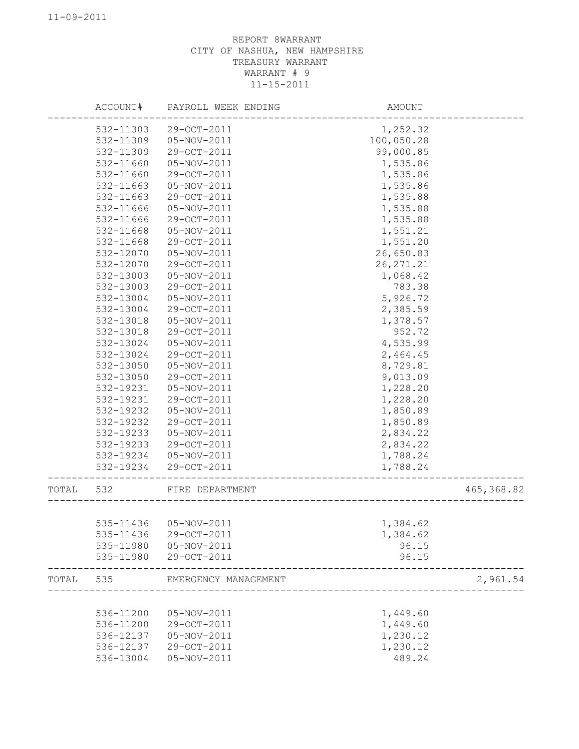|       | ACCOUNT#  | PAYROLL WEEK ENDING  | AMOUNT     |            |
|-------|-----------|----------------------|------------|------------|
|       | 532-11303 | 29-OCT-2011          | 1,252.32   |            |
|       | 532-11309 | 05-NOV-2011          | 100,050.28 |            |
|       | 532-11309 | 29-OCT-2011          | 99,000.85  |            |
|       | 532-11660 | 05-NOV-2011          | 1,535.86   |            |
|       | 532-11660 | 29-OCT-2011          | 1,535.86   |            |
|       | 532-11663 | 05-NOV-2011          | 1,535.86   |            |
|       | 532-11663 | 29-OCT-2011          | 1,535.88   |            |
|       | 532-11666 | 05-NOV-2011          | 1,535.88   |            |
|       | 532-11666 | 29-OCT-2011          | 1,535.88   |            |
|       | 532-11668 | 05-NOV-2011          | 1,551.21   |            |
|       | 532-11668 | 29-OCT-2011          | 1,551.20   |            |
|       | 532-12070 | 05-NOV-2011          | 26,650.83  |            |
|       | 532-12070 | 29-OCT-2011          | 26, 271.21 |            |
|       | 532-13003 | 05-NOV-2011          | 1,068.42   |            |
|       | 532-13003 | 29-OCT-2011          | 783.38     |            |
|       | 532-13004 | 05-NOV-2011          | 5,926.72   |            |
|       | 532-13004 | 29-OCT-2011          | 2,385.59   |            |
|       | 532-13018 | 05-NOV-2011          | 1,378.57   |            |
|       | 532-13018 | 29-OCT-2011          | 952.72     |            |
|       | 532-13024 | 05-NOV-2011          | 4,535.99   |            |
|       |           | 29-OCT-2011          |            |            |
|       | 532-13024 |                      | 2,464.45   |            |
|       | 532-13050 | 05-NOV-2011          | 8,729.81   |            |
|       | 532-13050 | 29-OCT-2011          | 9,013.09   |            |
|       | 532-19231 | 05-NOV-2011          | 1,228.20   |            |
|       | 532-19231 | 29-OCT-2011          | 1,228.20   |            |
|       | 532-19232 | 05-NOV-2011          | 1,850.89   |            |
|       | 532-19232 | 29-OCT-2011          | 1,850.89   |            |
|       | 532-19233 | 05-NOV-2011          | 2,834.22   |            |
|       | 532-19233 | 29-OCT-2011          | 2,834.22   |            |
|       | 532-19234 | 05-NOV-2011          | 1,788.24   |            |
|       | 532-19234 | 29-OCT-2011          | 1,788.24   |            |
| TOTAL | 532       | FIRE DEPARTMENT      |            | 465,368.82 |
|       |           |                      |            |            |
|       | 535-11436 | 05-NOV-2011          | 1,384.62   |            |
|       | 535-11436 | 29-OCT-2011          | 1,384.62   |            |
|       | 535-11980 | 05-NOV-2011          | 96.15      |            |
|       | 535-11980 | 29-OCT-2011          | 96.15      |            |
| TOTAL | 535       | EMERGENCY MANAGEMENT |            | 2,961.54   |
|       |           |                      |            |            |
|       | 536-11200 | 05-NOV-2011          | 1,449.60   |            |
|       | 536-11200 | 29-OCT-2011          | 1,449.60   |            |
|       | 536-12137 | 05-NOV-2011          | 1,230.12   |            |
|       | 536-12137 | 29-OCT-2011          | 1,230.12   |            |
|       | 536-13004 | 05-NOV-2011          | 489.24     |            |
|       |           |                      |            |            |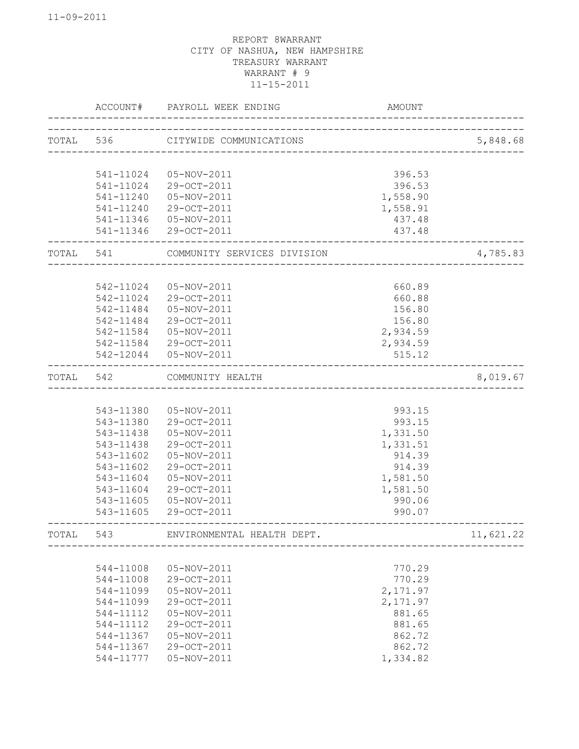|       | ACCOUNT#      | PAYROLL WEEK ENDING         | <b>AMOUNT</b> |           |
|-------|---------------|-----------------------------|---------------|-----------|
|       | TOTAL 536     | CITYWIDE COMMUNICATIONS     |               | 5,848.68  |
|       |               |                             |               |           |
|       | 541-11024     | 05-NOV-2011                 | 396.53        |           |
|       | 541-11024     | 29-OCT-2011                 | 396.53        |           |
|       | 541-11240     | 05-NOV-2011                 | 1,558.90      |           |
|       | $541 - 11240$ | 29-OCT-2011                 | 1,558.91      |           |
|       | 541-11346     | 05-NOV-2011                 | 437.48        |           |
|       | 541-11346     | 29-OCT-2011                 | 437.48        |           |
| TOTAL | 541           | COMMUNITY SERVICES DIVISION |               | 4,785.83  |
|       |               |                             |               |           |
|       | 542-11024     | 05-NOV-2011                 | 660.89        |           |
|       | 542-11024     | 29-OCT-2011                 | 660.88        |           |
|       | 542-11484     | 05-NOV-2011                 | 156.80        |           |
|       | 542-11484     | 29-OCT-2011                 | 156.80        |           |
|       | 542-11584     | 05-NOV-2011                 | 2,934.59      |           |
|       | 542-11584     | 29-OCT-2011                 | 2,934.59      |           |
|       | 542-12044     | 05-NOV-2011                 | 515.12        |           |
| TOTAL | 542           | COMMUNITY HEALTH            |               | 8,019.67  |
|       |               |                             |               |           |
|       | 543-11380     | 05-NOV-2011                 | 993.15        |           |
|       | 543-11380     | 29-OCT-2011                 | 993.15        |           |
|       | 543-11438     | 05-NOV-2011                 | 1,331.50      |           |
|       | 543-11438     | 29-OCT-2011                 | 1,331.51      |           |
|       | 543-11602     | 05-NOV-2011                 | 914.39        |           |
|       | 543-11602     | 29-OCT-2011                 | 914.39        |           |
|       | 543-11604     | 05-NOV-2011                 | 1,581.50      |           |
|       | 543-11604     | 29-OCT-2011                 | 1,581.50      |           |
|       | 543-11605     | 05-NOV-2011                 | 990.06        |           |
|       | 543-11605     | 29-OCT-2011                 | 990.07        |           |
| TOTAL | 543           | ENVIRONMENTAL HEALTH DEPT.  |               | 11,621.22 |
|       |               |                             |               |           |
|       | 544-11008     | 05-NOV-2011                 | 770.29        |           |
|       | 544-11008     | 29-OCT-2011                 | 770.29        |           |
|       | 544-11099     | 05-NOV-2011                 | 2,171.97      |           |
|       | 544-11099     | 29-OCT-2011                 | 2,171.97      |           |
|       | 544-11112     | 05-NOV-2011                 | 881.65        |           |
|       | 544-11112     | 29-OCT-2011                 | 881.65        |           |
|       | 544-11367     | 05-NOV-2011                 | 862.72        |           |
|       | 544-11367     | 29-OCT-2011                 | 862.72        |           |
|       | 544-11777     | 05-NOV-2011                 | 1,334.82      |           |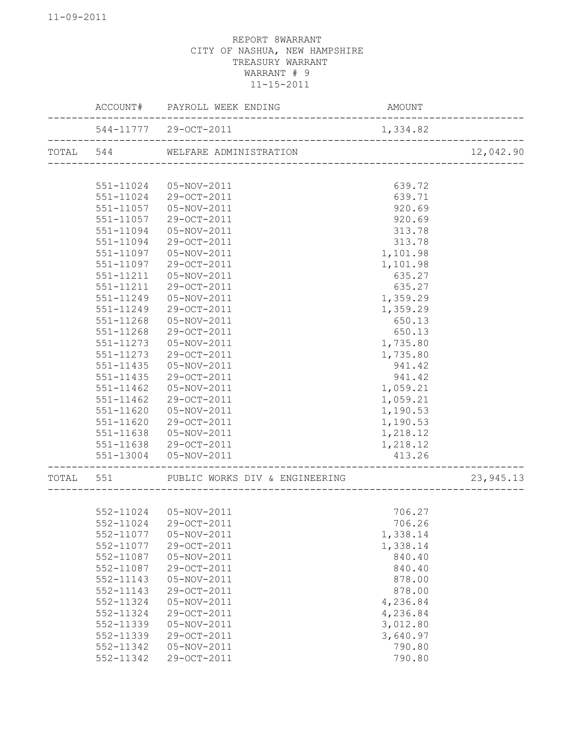|       |               | ACCOUNT# PAYROLL WEEK ENDING                          | AMOUNT   |            |
|-------|---------------|-------------------------------------------------------|----------|------------|
|       |               | 544-11777 29-OCT-2011<br>____________________________ | 1,334.82 |            |
|       |               | TOTAL 544 WELFARE ADMINISTRATION                      |          | 12,042.90  |
|       |               |                                                       |          |            |
|       | 551-11024     | 05-NOV-2011                                           | 639.72   |            |
|       | 551-11024     | 29-OCT-2011                                           | 639.71   |            |
|       | $551 - 11057$ | 05-NOV-2011                                           | 920.69   |            |
|       | 551-11057     | 29-OCT-2011                                           | 920.69   |            |
|       | 551-11094     | 05-NOV-2011                                           | 313.78   |            |
|       | 551-11094     | 29-OCT-2011                                           | 313.78   |            |
|       | 551-11097     | 05-NOV-2011                                           | 1,101.98 |            |
|       | 551-11097     | 29-OCT-2011                                           | 1,101.98 |            |
|       | 551-11211     | 05-NOV-2011                                           | 635.27   |            |
|       | 551-11211     | 29-OCT-2011                                           | 635.27   |            |
|       | 551-11249     | 05-NOV-2011                                           | 1,359.29 |            |
|       | 551-11249     | 29-OCT-2011                                           | 1,359.29 |            |
|       | 551-11268     | 05-NOV-2011                                           | 650.13   |            |
|       | 551-11268     | 29-OCT-2011                                           | 650.13   |            |
|       | 551-11273     | 05-NOV-2011                                           | 1,735.80 |            |
|       | 551-11273     | 29-OCT-2011                                           | 1,735.80 |            |
|       | 551-11435     | 05-NOV-2011                                           | 941.42   |            |
|       | 551-11435     | 29-OCT-2011                                           | 941.42   |            |
|       | 551-11462     | 05-NOV-2011                                           | 1,059.21 |            |
|       | 551-11462     | 29-OCT-2011                                           | 1,059.21 |            |
|       | 551-11620     | 05-NOV-2011                                           | 1,190.53 |            |
|       | 551-11620     | 29-OCT-2011                                           | 1,190.53 |            |
|       | 551-11638     | 05-NOV-2011                                           | 1,218.12 |            |
|       | 551-11638     | 29-OCT-2011                                           | 1,218.12 |            |
|       |               | 551-13004  05-NOV-2011                                | 413.26   |            |
| TOTAL | 551           | PUBLIC WORKS DIV & ENGINEERING                        |          | 23, 945.13 |
|       |               |                                                       |          |            |
|       |               | 552-11024  05-NOV-2011                                | 706.27   |            |
|       | 552-11024     | 29-OCT-2011                                           | 706.26   |            |
|       | 552-11077     | 05-NOV-2011                                           | 1,338.14 |            |
|       | 552-11077     | 29-OCT-2011                                           | 1,338.14 |            |
|       | 552-11087     | 05-NOV-2011                                           | 840.40   |            |
|       | 552-11087     | 29-OCT-2011                                           | 840.40   |            |
|       | 552-11143     | 05-NOV-2011                                           | 878.00   |            |
|       | 552-11143     | 29-OCT-2011                                           | 878.00   |            |
|       | 552-11324     | 05-NOV-2011                                           | 4,236.84 |            |
|       | 552-11324     | 29-OCT-2011                                           | 4,236.84 |            |
|       | 552-11339     | 05-NOV-2011                                           | 3,012.80 |            |
|       | 552-11339     | 29-OCT-2011                                           | 3,640.97 |            |
|       | 552-11342     | 05-NOV-2011                                           | 790.80   |            |
|       | 552-11342     | 29-OCT-2011                                           | 790.80   |            |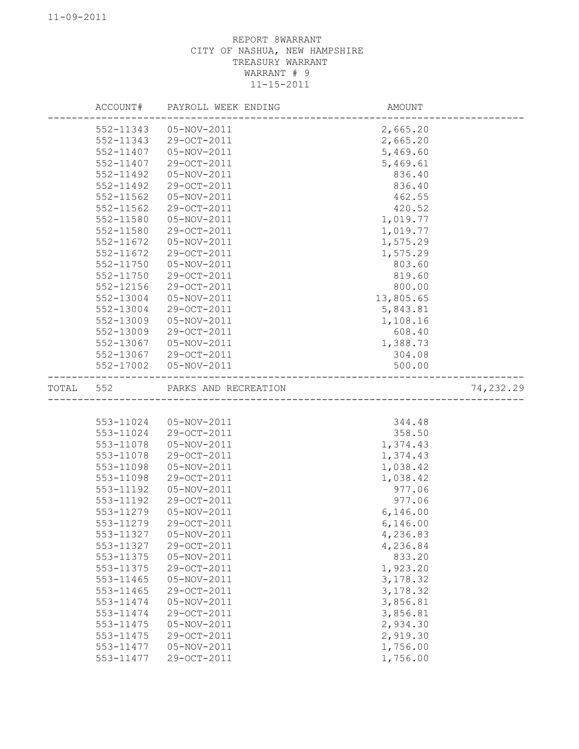|           |           | ACCOUNT# PAYROLL WEEK ENDING | AMOUNT              |           |
|-----------|-----------|------------------------------|---------------------|-----------|
|           | 552-11343 | 05-NOV-2011                  | 2,665.20            |           |
|           | 552-11343 | 29-OCT-2011                  | 2,665.20            |           |
|           | 552-11407 | 05-NOV-2011                  | 5,469.60            |           |
|           | 552-11407 | 29-OCT-2011                  | 5,469.61            |           |
|           | 552-11492 | 05-NOV-2011                  | 836.40              |           |
|           | 552-11492 | 29-OCT-2011                  | 836.40              |           |
|           | 552-11562 | 05-NOV-2011                  | 462.55              |           |
|           | 552-11562 | 29-OCT-2011                  | 420.52              |           |
|           | 552-11580 | 05-NOV-2011                  | 1,019.77            |           |
|           | 552-11580 | 29-OCT-2011                  | 1,019.77            |           |
|           | 552-11672 | 05-NOV-2011                  | 1,575.29            |           |
|           | 552-11672 | 29-OCT-2011                  | 1,575.29            |           |
|           | 552-11750 | 05-NOV-2011                  | 803.60              |           |
|           | 552-11750 | 29-OCT-2011                  | 819.60              |           |
|           | 552-12156 | 29-OCT-2011                  | 800.00              |           |
|           | 552-13004 | 05-NOV-2011                  | 13,805.65           |           |
|           | 552-13004 | 29-OCT-2011                  | 5,843.81            |           |
|           | 552-13009 | 05-NOV-2011                  | 1,108.16            |           |
|           | 552-13009 | 29-OCT-2011                  | 608.40              |           |
|           | 552-13067 | 05-NOV-2011                  | 1,388.73            |           |
|           |           | 552-13067 29-OCT-2011        | 304.08              |           |
|           |           | 552-17002  05-NOV-2011       | 500.00              |           |
| TOTAL 552 |           | PARKS AND RECREATION         | ------------------- | 74,232.29 |
|           |           |                              |                     |           |
|           | 553-11024 | 05-NOV-2011                  | 344.48              |           |
|           | 553-11024 | 29-OCT-2011                  | 358.50              |           |
|           | 553-11078 | 05-NOV-2011                  | 1,374.43            |           |
|           | 553-11078 | 29-OCT-2011                  | 1,374.43            |           |
|           | 553-11098 | 05-NOV-2011                  | 1,038.42            |           |
|           | 553-11098 | 29-OCT-2011                  | 1,038.42            |           |
|           | 553-11192 | 05-NOV-2011                  | 977.06              |           |
|           | 553-11192 | 29-OCT-2011                  | 977.06              |           |
|           | 553-11279 | 05-NOV-2011                  | 6,146.00            |           |
|           | 553-11279 | 29-OCT-2011                  | 6,146.00            |           |
|           | 553-11327 | 05-NOV-2011                  | 4,236.83            |           |
|           | 553-11327 | 29-OCT-2011                  | 4,236.84            |           |
|           | 553-11375 | 05-NOV-2011                  | 833.20              |           |
|           | 553-11375 | 29-OCT-2011                  | 1,923.20            |           |
|           | 553-11465 | 05-NOV-2011                  | 3,178.32            |           |
|           | 553-11465 | 29-OCT-2011                  | 3,178.32            |           |
|           | 553-11474 | 05-NOV-2011                  | 3,856.81            |           |
|           | 553-11474 | 29-OCT-2011                  | 3,856.81            |           |
|           | 553-11475 | 05-NOV-2011                  | 2,934.30            |           |
|           | 553-11475 | 29-OCT-2011                  | 2,919.30            |           |
|           | 553-11477 | $05 - NOV - 2011$            | 1,756.00            |           |
|           | 553-11477 | 29-OCT-2011                  | 1,756.00            |           |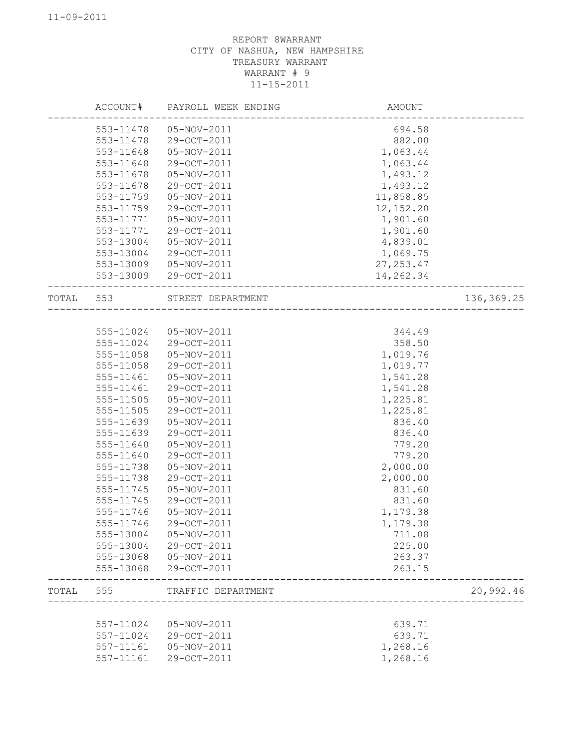|       | ACCOUNT#  | PAYROLL WEEK ENDING   | <b>AMOUNT</b> |            |
|-------|-----------|-----------------------|---------------|------------|
|       | 553-11478 | 05-NOV-2011           | 694.58        |            |
|       | 553-11478 | 29-OCT-2011           | 882.00        |            |
|       | 553-11648 | 05-NOV-2011           | 1,063.44      |            |
|       | 553-11648 | 29-OCT-2011           | 1,063.44      |            |
|       | 553-11678 | 05-NOV-2011           | 1,493.12      |            |
|       | 553-11678 | 29-OCT-2011           | 1,493.12      |            |
|       | 553-11759 | 05-NOV-2011           | 11,858.85     |            |
|       | 553-11759 | 29-OCT-2011           | 12, 152.20    |            |
|       | 553-11771 | 05-NOV-2011           | 1,901.60      |            |
|       | 553-11771 | 29-OCT-2011           | 1,901.60      |            |
|       | 553-13004 | 05-NOV-2011           | 4,839.01      |            |
|       | 553-13004 | 29-OCT-2011           | 1,069.75      |            |
|       | 553-13009 | 05-NOV-2011           | 27, 253.47    |            |
|       | 553-13009 | 29-OCT-2011           | 14,262.34     |            |
| TOTAL | 553       | STREET DEPARTMENT     |               | 136,369.25 |
|       |           |                       |               |            |
|       |           | 555-11024 05-NOV-2011 | 344.49        |            |
|       |           |                       |               |            |
|       | 555-11024 | 29-OCT-2011           | 358.50        |            |
|       | 555-11058 | 05-NOV-2011           | 1,019.76      |            |
|       | 555-11058 | 29-OCT-2011           | 1,019.77      |            |
|       | 555-11461 | 05-NOV-2011           | 1,541.28      |            |
|       | 555-11461 | 29-OCT-2011           | 1,541.28      |            |
|       | 555-11505 | 05-NOV-2011           | 1,225.81      |            |
|       | 555-11505 | 29-OCT-2011           | 1,225.81      |            |
|       | 555-11639 | 05-NOV-2011           | 836.40        |            |
|       | 555-11639 | 29-OCT-2011           | 836.40        |            |
|       | 555-11640 | 05-NOV-2011           | 779.20        |            |
|       | 555-11640 | 29-OCT-2011           | 779.20        |            |
|       | 555-11738 | 05-NOV-2011           | 2,000.00      |            |
|       | 555-11738 | 29-OCT-2011           | 2,000.00      |            |
|       | 555-11745 | 05-NOV-2011           | 831.60        |            |
|       | 555-11745 | 29-OCT-2011           | 831.60        |            |
|       | 555-11746 | 05-NOV-2011           | 1,179.38      |            |
|       | 555-11746 | 29-OCT-2011           | 1,179.38      |            |
|       | 555-13004 | 05-NOV-2011           | 711.08        |            |
|       | 555-13004 | 29-OCT-2011           | 225.00        |            |
|       | 555-13068 | 05-NOV-2011           | 263.37        |            |
|       | 555-13068 | 29-OCT-2011           | 263.15        |            |
| TOTAL | 555       | TRAFFIC DEPARTMENT    |               | 20,992.46  |
|       |           |                       |               |            |
|       | 557-11024 | 05-NOV-2011           | 639.71        |            |
|       | 557-11024 | 29-OCT-2011           | 639.71        |            |
|       | 557-11161 | 05-NOV-2011           | 1,268.16      |            |
|       | 557-11161 | 29-OCT-2011           | 1,268.16      |            |
|       |           |                       |               |            |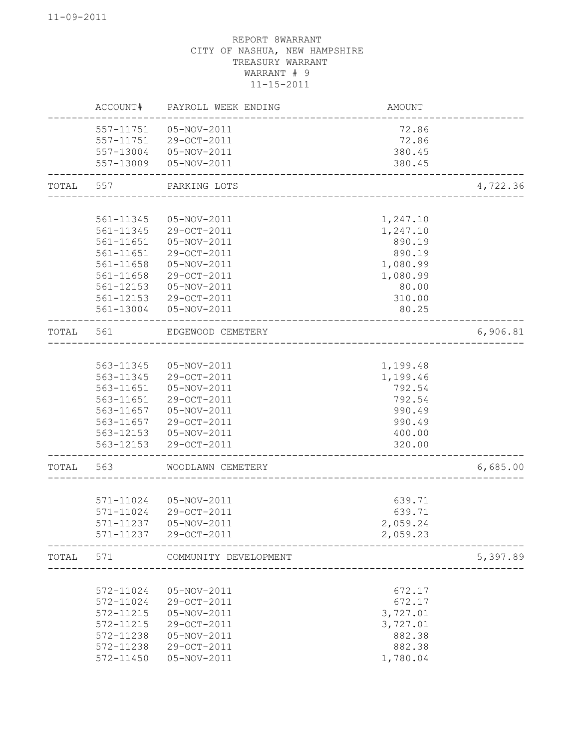|       | ACCOUNT#  | PAYROLL WEEK ENDING        | AMOUNT   |          |
|-------|-----------|----------------------------|----------|----------|
|       | 557-11751 | 05-NOV-2011                | 72.86    |          |
|       | 557-11751 | 29-OCT-2011                | 72.86    |          |
|       | 557-13004 | 05-NOV-2011                | 380.45   |          |
|       | 557-13009 | 05-NOV-2011                | 380.45   |          |
| TOTAL | 557       | PARKING LOTS               |          | 4,722.36 |
|       |           |                            |          |          |
|       | 561-11345 | 05-NOV-2011                | 1,247.10 |          |
|       | 561-11345 | 29-OCT-2011                | 1,247.10 |          |
|       | 561-11651 | 05-NOV-2011                | 890.19   |          |
|       | 561-11651 | 29-OCT-2011                | 890.19   |          |
|       | 561-11658 | 05-NOV-2011                | 1,080.99 |          |
|       | 561-11658 | 29-OCT-2011                | 1,080.99 |          |
|       | 561-12153 | 05-NOV-2011                | 80.00    |          |
|       | 561-12153 | 29-OCT-2011                | 310.00   |          |
|       | 561-13004 | 05-NOV-2011                | 80.25    |          |
| TOTAL | 561       | EDGEWOOD CEMETERY          |          | 6,906.81 |
|       |           |                            |          |          |
|       | 563-11345 | 05-NOV-2011                | 1,199.48 |          |
|       | 563-11345 | 29-OCT-2011                | 1,199.46 |          |
|       | 563-11651 | 05-NOV-2011                | 792.54   |          |
|       | 563-11651 | 29-OCT-2011                | 792.54   |          |
|       | 563-11657 | 05-NOV-2011                | 990.49   |          |
|       | 563-11657 | 29-OCT-2011                | 990.49   |          |
|       | 563-12153 | 05-NOV-2011<br>29-OCT-2011 | 400.00   |          |
|       | 563-12153 |                            | 320.00   |          |
| TOTAL | 563       | WOODLAWN CEMETERY          |          | 6,685.00 |
|       |           |                            |          |          |
|       | 571-11024 | 05-NOV-2011                | 639.71   |          |
|       | 571-11024 | 29-OCT-2011                | 639.71   |          |
|       | 571-11237 | 05-NOV-2011                | 2,059.24 |          |
|       | 571-11237 | 29-OCT-2011                | 2,059.23 |          |
| TOTAL | 571       | COMMUNITY DEVELOPMENT      |          | 5,397.89 |
|       | 572-11024 | 05-NOV-2011                | 672.17   |          |
|       | 572-11024 | 29-OCT-2011                | 672.17   |          |
|       | 572-11215 | 05-NOV-2011                | 3,727.01 |          |
|       | 572-11215 | 29-OCT-2011                | 3,727.01 |          |
|       | 572-11238 | 05-NOV-2011                | 882.38   |          |
|       | 572-11238 | 29-OCT-2011                | 882.38   |          |
|       | 572-11450 | 05-NOV-2011                | 1,780.04 |          |
|       |           |                            |          |          |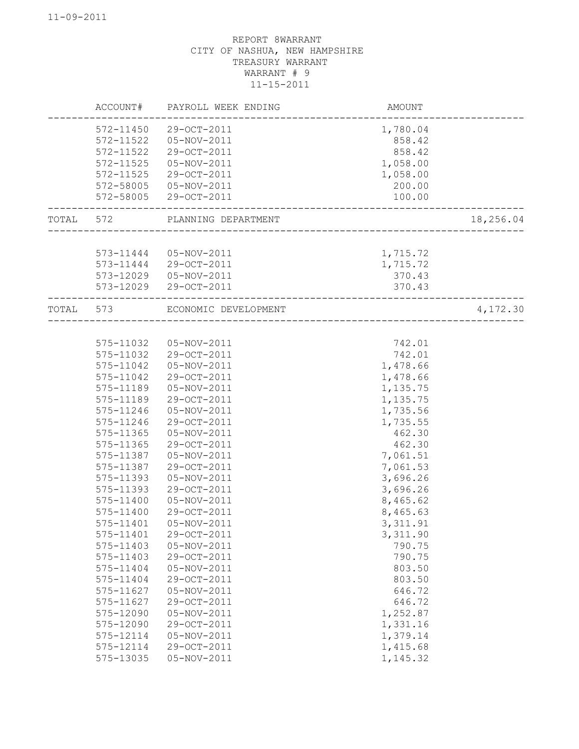|       | ACCOUNT#  | PAYROLL WEEK ENDING    | AMOUNT    |           |
|-------|-----------|------------------------|-----------|-----------|
|       | 572-11450 | 29-OCT-2011            | 1,780.04  |           |
|       | 572-11522 | 05-NOV-2011            | 858.42    |           |
|       | 572-11522 | 29-OCT-2011            | 858.42    |           |
|       | 572-11525 | 05-NOV-2011            | 1,058.00  |           |
|       | 572-11525 | 29-OCT-2011            | 1,058.00  |           |
|       | 572-58005 | 05-NOV-2011            | 200.00    |           |
|       | 572-58005 | 29-OCT-2011            | 100.00    |           |
| TOTAL | 572       | PLANNING DEPARTMENT    |           | 18,256.04 |
|       |           |                        |           |           |
|       |           | 573-11444  05-NOV-2011 | 1,715.72  |           |
|       | 573-11444 | 29-OCT-2011            | 1,715.72  |           |
|       | 573-12029 | 05-NOV-2011            | 370.43    |           |
|       | 573-12029 | 29-OCT-2011            | 370.43    |           |
| TOTAL | 573       | ECONOMIC DEVELOPMENT   |           | 4,172.30  |
|       |           |                        |           |           |
|       | 575-11032 | 05-NOV-2011            | 742.01    |           |
|       | 575-11032 | 29-OCT-2011            | 742.01    |           |
|       | 575-11042 | 05-NOV-2011            | 1,478.66  |           |
|       | 575-11042 | 29-OCT-2011            | 1,478.66  |           |
|       | 575-11189 | 05-NOV-2011            | 1,135.75  |           |
|       | 575-11189 | 29-OCT-2011            | 1,135.75  |           |
|       | 575-11246 | 05-NOV-2011            | 1,735.56  |           |
|       | 575-11246 | 29-OCT-2011            | 1,735.55  |           |
|       | 575-11365 | 05-NOV-2011            | 462.30    |           |
|       | 575-11365 | 29-OCT-2011            | 462.30    |           |
|       | 575-11387 | 05-NOV-2011            | 7,061.51  |           |
|       | 575-11387 | 29-OCT-2011            | 7,061.53  |           |
|       | 575-11393 | 05-NOV-2011            | 3,696.26  |           |
|       | 575-11393 | 29-OCT-2011            | 3,696.26  |           |
|       | 575-11400 | 05-NOV-2011            | 8,465.62  |           |
|       | 575-11400 | 29-OCT-2011            | 8,465.63  |           |
|       | 575-11401 | 05-NOV-2011            | 3, 311.91 |           |
|       | 575-11401 | 29-OCT-2011            | 3,311.90  |           |
|       | 575-11403 | 05-NOV-2011            | 790.75    |           |
|       | 575-11403 | 29-OCT-2011            | 790.75    |           |
|       | 575-11404 | 05-NOV-2011            | 803.50    |           |
|       | 575-11404 | 29-OCT-2011            | 803.50    |           |
|       | 575-11627 | 05-NOV-2011            | 646.72    |           |
|       | 575-11627 | 29-OCT-2011            | 646.72    |           |
|       | 575-12090 | 05-NOV-2011            | 1,252.87  |           |
|       | 575-12090 | 29-OCT-2011            | 1,331.16  |           |
|       | 575-12114 | 05-NOV-2011            | 1,379.14  |           |
|       | 575-12114 | 29-OCT-2011            | 1,415.68  |           |
|       | 575-13035 | 05-NOV-2011            | 1,145.32  |           |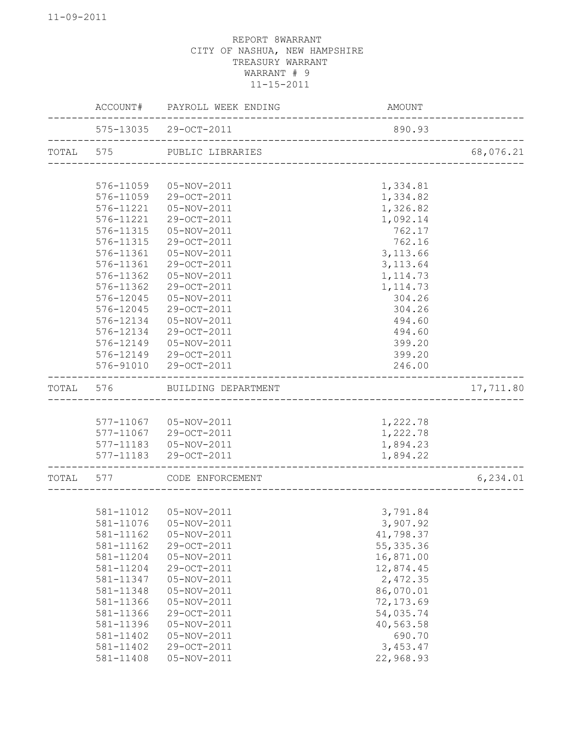|       | ACCOUNT#  | PAYROLL WEEK ENDING                             | <b>AMOUNT</b> |           |
|-------|-----------|-------------------------------------------------|---------------|-----------|
|       |           | 575-13035 29-OCT-2011<br>____________________   | 890.93        |           |
| TOTAL | 575       | PUBLIC LIBRARIES                                |               | 68,076.21 |
|       |           |                                                 |               |           |
|       | 576-11059 | 05-NOV-2011                                     | 1,334.81      |           |
|       | 576-11059 | 29-OCT-2011                                     | 1,334.82      |           |
|       | 576-11221 | 05-NOV-2011                                     | 1,326.82      |           |
|       | 576-11221 | 29-OCT-2011                                     | 1,092.14      |           |
|       | 576-11315 | 05-NOV-2011                                     | 762.17        |           |
|       | 576-11315 | 29-OCT-2011                                     | 762.16        |           |
|       | 576-11361 | 05-NOV-2011                                     | 3, 113.66     |           |
|       | 576-11361 | 29-OCT-2011                                     | 3, 113.64     |           |
|       | 576-11362 | 05-NOV-2011                                     | 1, 114.73     |           |
|       | 576-11362 | 29-OCT-2011                                     | 1, 114.73     |           |
|       | 576-12045 | $05 - NOV - 2011$                               | 304.26        |           |
|       | 576-12045 | 29-OCT-2011                                     | 304.26        |           |
|       | 576-12134 | 05-NOV-2011                                     | 494.60        |           |
|       | 576-12134 | 29-OCT-2011                                     | 494.60        |           |
|       | 576-12149 | 05-NOV-2011                                     | 399.20        |           |
|       |           | 576-12149 29-OCT-2011                           | 399.20        |           |
|       | 576-91010 | 29-OCT-2011                                     | 246.00        |           |
| TOTAL | 576       | BUILDING DEPARTMENT                             |               | 17,711.80 |
|       |           |                                                 |               |           |
|       |           | 577-11067  05-NOV-2011                          | 1,222.78      |           |
|       |           | 577-11067 29-OCT-2011                           | 1,222.78      |           |
|       |           | 577-11183  05-NOV-2011                          | 1,894.23      |           |
|       | 577-11183 | 29-OCT-2011                                     | 1,894.22      |           |
| TOTAL | 577       | CODE ENFORCEMENT<br>_ _ _ _ _ _ _ _ _ _ _ _ _ _ |               | 6, 234.01 |
|       |           |                                                 |               |           |
|       |           | 581-11012  05-NOV-2011                          | 3,791.84      |           |
|       | 581-11076 | 05-NOV-2011                                     | 3,907.92      |           |
|       | 581-11162 | 05-NOV-2011                                     | 41,798.37     |           |
|       | 581-11162 | 29-OCT-2011                                     | 55, 335.36    |           |
|       | 581-11204 | 05-NOV-2011                                     | 16,871.00     |           |
|       | 581-11204 | 29-OCT-2011                                     | 12,874.45     |           |
|       | 581-11347 | 05-NOV-2011                                     | 2,472.35      |           |
|       | 581-11348 | 05-NOV-2011                                     | 86,070.01     |           |
|       | 581-11366 | 05-NOV-2011                                     | 72, 173.69    |           |
|       | 581-11366 | 29-OCT-2011                                     | 54,035.74     |           |
|       | 581-11396 | 05-NOV-2011                                     | 40,563.58     |           |
|       | 581-11402 | 05-NOV-2011                                     | 690.70        |           |
|       | 581-11402 | 29-OCT-2011                                     | 3,453.47      |           |
|       | 581-11408 | 05-NOV-2011                                     | 22,968.93     |           |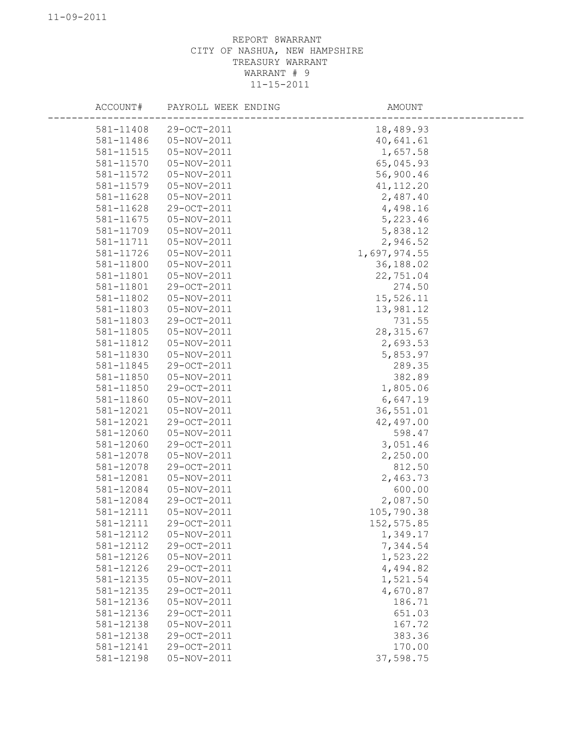| ACCOUNT#  | PAYROLL WEEK ENDING | AMOUNT       |
|-----------|---------------------|--------------|
| 581-11408 | 29-OCT-2011         | 18,489.93    |
| 581-11486 | 05-NOV-2011         | 40,641.61    |
| 581-11515 | 05-NOV-2011         | 1,657.58     |
| 581-11570 | 05-NOV-2011         | 65,045.93    |
| 581-11572 | 05-NOV-2011         | 56,900.46    |
| 581-11579 | 05-NOV-2011         | 41, 112.20   |
| 581-11628 | 05-NOV-2011         | 2,487.40     |
| 581-11628 | 29-OCT-2011         | 4,498.16     |
| 581-11675 | 05-NOV-2011         | 5,223.46     |
| 581-11709 | 05-NOV-2011         | 5,838.12     |
| 581-11711 | 05-NOV-2011         | 2,946.52     |
| 581-11726 | 05-NOV-2011         | 1,697,974.55 |
| 581-11800 | 05-NOV-2011         | 36,188.02    |
| 581-11801 | 05-NOV-2011         | 22,751.04    |
| 581-11801 | 29-OCT-2011         | 274.50       |
| 581-11802 | 05-NOV-2011         | 15,526.11    |
| 581-11803 | 05-NOV-2011         | 13,981.12    |
| 581-11803 | 29-OCT-2011         | 731.55       |
| 581-11805 | 05-NOV-2011         | 28, 315.67   |
| 581-11812 | 05-NOV-2011         | 2,693.53     |
| 581-11830 | 05-NOV-2011         | 5,853.97     |
| 581-11845 | 29-OCT-2011         | 289.35       |
| 581-11850 | 05-NOV-2011         | 382.89       |
| 581-11850 | 29-OCT-2011         | 1,805.06     |
| 581-11860 | 05-NOV-2011         | 6,647.19     |
| 581-12021 | 05-NOV-2011         | 36,551.01    |
| 581-12021 | 29-OCT-2011         | 42,497.00    |
| 581-12060 | 05-NOV-2011         | 598.47       |
| 581-12060 | 29-OCT-2011         | 3,051.46     |
| 581-12078 | 05-NOV-2011         | 2,250.00     |
| 581-12078 | 29-OCT-2011         | 812.50       |
| 581-12081 | 05-NOV-2011         | 2,463.73     |
| 581-12084 | 05-NOV-2011         | 600.00       |
| 581-12084 | 29-OCT-2011         | 2,087.50     |
| 581-12111 | 05-NOV-2011         | 105,790.38   |
| 581-12111 | 29-OCT-2011         | 152, 575.85  |
| 581-12112 | 05-NOV-2011         | 1,349.17     |
| 581-12112 | 29-OCT-2011         | 7,344.54     |
| 581-12126 | 05-NOV-2011         | 1,523.22     |
| 581-12126 | 29-OCT-2011         | 4,494.82     |
| 581-12135 | 05-NOV-2011         | 1,521.54     |
| 581-12135 | 29-OCT-2011         | 4,670.87     |
| 581-12136 | 05-NOV-2011         | 186.71       |
| 581-12136 | 29-OCT-2011         | 651.03       |
| 581-12138 | 05-NOV-2011         | 167.72       |
| 581-12138 | 29-OCT-2011         | 383.36       |
| 581-12141 | 29-OCT-2011         | 170.00       |
| 581-12198 | 05-NOV-2011         | 37,598.75    |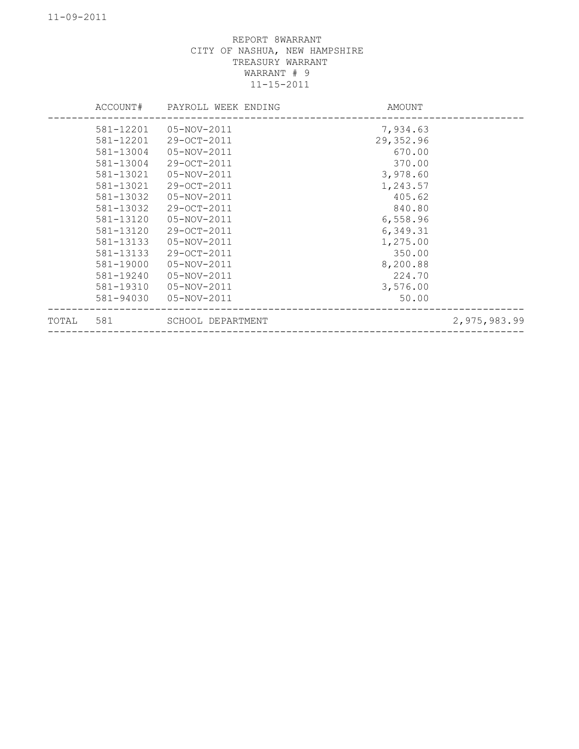|       | ACCOUNT#  | PAYROLL WEEK ENDING | AMOUNT    |              |
|-------|-----------|---------------------|-----------|--------------|
|       | 581-12201 | 05-NOV-2011         | 7,934.63  |              |
|       | 581-12201 | 29-OCT-2011         | 29,352.96 |              |
|       | 581-13004 | 05-NOV-2011         | 670.00    |              |
|       | 581-13004 | 29-OCT-2011         | 370.00    |              |
|       | 581-13021 | 05-NOV-2011         | 3,978.60  |              |
|       | 581-13021 | 29-OCT-2011         | 1,243.57  |              |
|       | 581-13032 | 05-NOV-2011         | 405.62    |              |
|       | 581-13032 | $29 - OCT - 2011$   | 840.80    |              |
|       | 581-13120 | 05-NOV-2011         | 6,558.96  |              |
|       | 581-13120 | 29-OCT-2011         | 6,349.31  |              |
|       | 581-13133 | 05-NOV-2011         | 1,275.00  |              |
|       | 581-13133 | 29-OCT-2011         | 350.00    |              |
|       | 581-19000 | 05-NOV-2011         | 8,200.88  |              |
|       | 581-19240 | 05-NOV-2011         | 224.70    |              |
|       | 581-19310 | 05-NOV-2011         | 3,576.00  |              |
|       | 581-94030 | 05-NOV-2011         | 50.00     |              |
| TOTAL | 581       | SCHOOL DEPARTMENT   |           | 2,975,983.99 |
|       |           |                     |           |              |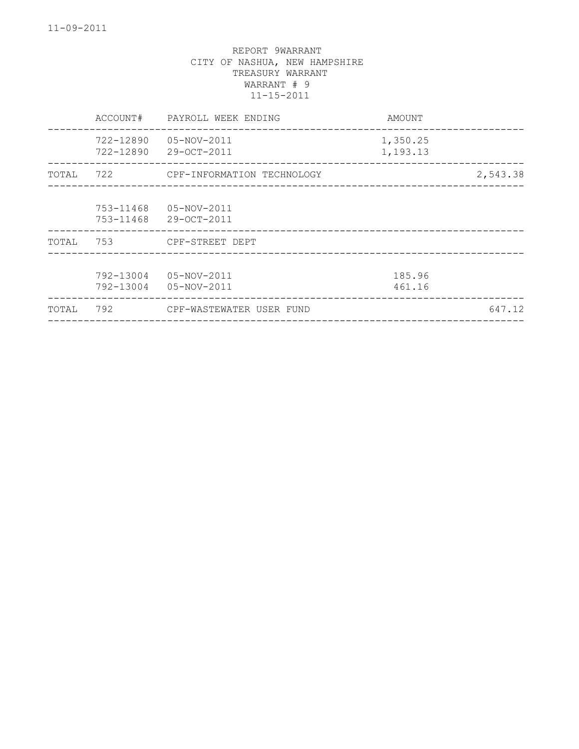|       | ACCOUNT#               | PAYROLL WEEK ENDING        | AMOUNT               |          |
|-------|------------------------|----------------------------|----------------------|----------|
|       | 722-12890<br>722-12890 | 05-NOV-2011<br>29-OCT-2011 | 1,350.25<br>1,193.13 |          |
| TOTAL | 722                    | CPF-INFORMATION TECHNOLOGY |                      | 2,543.38 |
|       | 753-11468<br>753-11468 | 05-NOV-2011<br>29-OCT-2011 |                      |          |
| TOTAL | 753                    | CPF-STREET DEPT            |                      |          |
|       | 792-13004<br>792-13004 | 05-NOV-2011<br>05-NOV-2011 | 185.96<br>461.16     |          |
| TOTAL | 792                    | CPF-WASTEWATER USER FUND   |                      | 647.12   |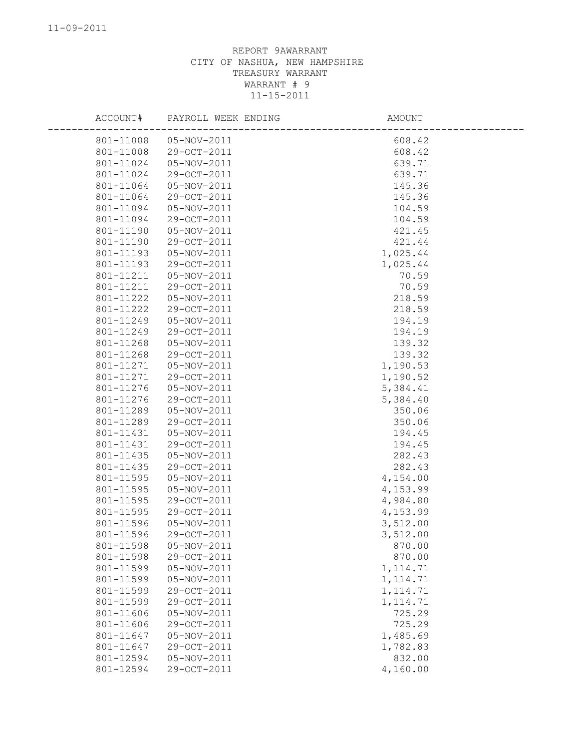| ACCOUNT#  | PAYROLL WEEK ENDING    | AMOUNT    |  |
|-----------|------------------------|-----------|--|
|           | 801-11008  05-NOV-2011 | 608.42    |  |
| 801-11008 | 29-OCT-2011            | 608.42    |  |
| 801-11024 | 05-NOV-2011            | 639.71    |  |
| 801-11024 | 29-OCT-2011            | 639.71    |  |
| 801-11064 | 05-NOV-2011            | 145.36    |  |
| 801-11064 | 29-OCT-2011            | 145.36    |  |
| 801-11094 | 05-NOV-2011            | 104.59    |  |
| 801-11094 | 29-OCT-2011            | 104.59    |  |
| 801-11190 | 05-NOV-2011            | 421.45    |  |
| 801-11190 | 29-OCT-2011            | 421.44    |  |
| 801-11193 | 05-NOV-2011            | 1,025.44  |  |
| 801-11193 | 29-OCT-2011            | 1,025.44  |  |
| 801-11211 | 05-NOV-2011            | 70.59     |  |
| 801-11211 | 29-OCT-2011            | 70.59     |  |
| 801-11222 | 05-NOV-2011            | 218.59    |  |
| 801-11222 | 29-OCT-2011            | 218.59    |  |
| 801-11249 | 05-NOV-2011            | 194.19    |  |
| 801-11249 | 29-OCT-2011            | 194.19    |  |
| 801-11268 | 05-NOV-2011            | 139.32    |  |
| 801-11268 | 29-OCT-2011            | 139.32    |  |
| 801-11271 | 05-NOV-2011            | 1,190.53  |  |
| 801-11271 | 29-OCT-2011            | 1,190.52  |  |
| 801-11276 | 05-NOV-2011            | 5,384.41  |  |
| 801-11276 | 29-OCT-2011            | 5,384.40  |  |
| 801-11289 | 05-NOV-2011            | 350.06    |  |
| 801-11289 | 29-OCT-2011            | 350.06    |  |
| 801-11431 | 05-NOV-2011            | 194.45    |  |
| 801-11431 | 29-OCT-2011            | 194.45    |  |
| 801-11435 | 05-NOV-2011            | 282.43    |  |
| 801-11435 | 29-OCT-2011            | 282.43    |  |
| 801-11595 | 05-NOV-2011            | 4,154.00  |  |
| 801-11595 | 05-NOV-2011            | 4,153.99  |  |
| 801-11595 | 29-OCT-2011            | 4,984.80  |  |
| 801-11595 | 29-OCT-2011            | 4,153.99  |  |
| 801-11596 | 05-NOV-2011            | 3,512.00  |  |
| 801-11596 | 29-OCT-2011            | 3,512.00  |  |
| 801-11598 | 05-NOV-2011            | 870.00    |  |
| 801-11598 | 29-OCT-2011            | 870.00    |  |
| 801-11599 | 05-NOV-2011            | 1, 114.71 |  |
| 801-11599 | 05-NOV-2011            | 1, 114.71 |  |
| 801-11599 | 29-OCT-2011            | 1, 114.71 |  |
| 801-11599 | 29-OCT-2011            | 1, 114.71 |  |
| 801-11606 | 05-NOV-2011            | 725.29    |  |
| 801-11606 | 29-OCT-2011            | 725.29    |  |
| 801-11647 | 05-NOV-2011            | 1,485.69  |  |
| 801-11647 | 29-OCT-2011            | 1,782.83  |  |
| 801-12594 | 05-NOV-2011            | 832.00    |  |
| 801-12594 | 29-OCT-2011            | 4,160.00  |  |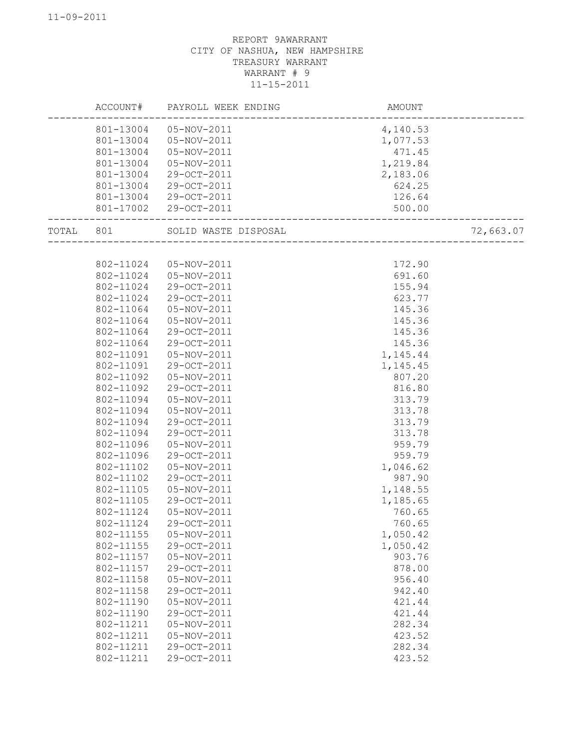|           | ACCOUNT#  | PAYROLL WEEK ENDING  | AMOUNT   |           |
|-----------|-----------|----------------------|----------|-----------|
|           | 801-13004 | 05-NOV-2011          | 4,140.53 |           |
|           | 801-13004 | 05-NOV-2011          | 1,077.53 |           |
|           | 801-13004 | 05-NOV-2011          | 471.45   |           |
|           | 801-13004 | 05-NOV-2011          | 1,219.84 |           |
|           | 801-13004 | 29-OCT-2011          | 2,183.06 |           |
|           | 801-13004 | 29-OCT-2011          | 624.25   |           |
|           | 801-13004 | 29-OCT-2011          | 126.64   |           |
|           | 801-17002 | 29-OCT-2011          | 500.00   |           |
| TOTAL 801 |           | SOLID WASTE DISPOSAL |          | 72,663.07 |
|           |           |                      |          |           |
|           | 802-11024 | 05-NOV-2011          | 172.90   |           |
|           | 802-11024 | 05-NOV-2011          | 691.60   |           |
|           | 802-11024 | 29-OCT-2011          | 155.94   |           |
|           | 802-11024 | 29-OCT-2011          | 623.77   |           |
|           | 802-11064 | 05-NOV-2011          | 145.36   |           |
|           | 802-11064 | 05-NOV-2011          | 145.36   |           |
|           | 802-11064 | 29-OCT-2011          | 145.36   |           |
|           | 802-11064 | 29-OCT-2011          | 145.36   |           |
|           | 802-11091 | 05-NOV-2011          | 1,145.44 |           |
|           | 802-11091 | 29-OCT-2011          | 1,145.45 |           |
|           | 802-11092 | 05-NOV-2011          | 807.20   |           |
|           | 802-11092 | 29-OCT-2011          | 816.80   |           |
|           | 802-11094 | 05-NOV-2011          | 313.79   |           |
|           | 802-11094 | 05-NOV-2011          | 313.78   |           |
|           | 802-11094 | 29-OCT-2011          | 313.79   |           |
|           | 802-11094 | 29-OCT-2011          | 313.78   |           |
|           | 802-11096 | 05-NOV-2011          | 959.79   |           |
|           | 802-11096 | 29-OCT-2011          | 959.79   |           |
|           | 802-11102 | 05-NOV-2011          | 1,046.62 |           |
|           | 802-11102 | 29-OCT-2011          | 987.90   |           |
|           | 802-11105 | 05-NOV-2011          | 1,148.55 |           |
|           | 802-11105 | 29-OCT-2011          | 1,185.65 |           |
|           | 802-11124 | 05-NOV-2011          | 760.65   |           |
|           | 802-11124 | 29-OCT-2011          | 760.65   |           |
|           | 802-11155 | 05-NOV-2011          | 1,050.42 |           |
|           | 802-11155 | 29-OCT-2011          | 1,050.42 |           |
|           | 802-11157 | 05-NOV-2011          | 903.76   |           |
|           | 802-11157 | 29-OCT-2011          | 878.00   |           |
|           | 802-11158 | 05-NOV-2011          | 956.40   |           |
|           | 802-11158 | 29-OCT-2011          | 942.40   |           |
|           | 802-11190 | 05-NOV-2011          | 421.44   |           |
|           | 802-11190 | 29-OCT-2011          | 421.44   |           |
|           | 802-11211 | 05-NOV-2011          | 282.34   |           |
|           | 802-11211 | 05-NOV-2011          | 423.52   |           |
|           | 802-11211 | 29-OCT-2011          | 282.34   |           |
|           | 802-11211 | 29-OCT-2011          | 423.52   |           |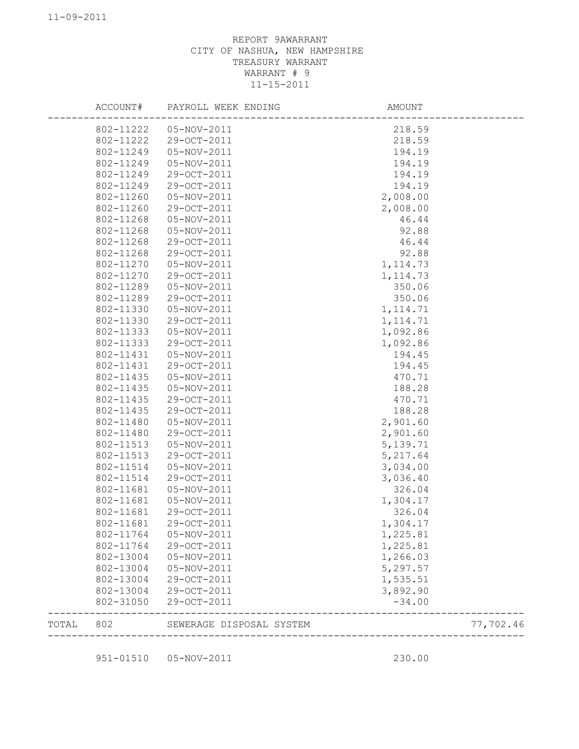|       | ACCOUNT#  | PAYROLL WEEK ENDING      | AMOUNT            |           |
|-------|-----------|--------------------------|-------------------|-----------|
|       |           | 802-11222  05-NOV-2011   | 218.59            |           |
|       | 802-11222 | 29-OCT-2011              | 218.59            |           |
|       | 802-11249 | 05-NOV-2011              | 194.19            |           |
|       | 802-11249 | 05-NOV-2011              | 194.19            |           |
|       | 802-11249 | 29-OCT-2011              | 194.19            |           |
|       | 802-11249 | 29-OCT-2011              | 194.19            |           |
|       | 802-11260 | 05-NOV-2011              | 2,008.00          |           |
|       | 802-11260 | 29-OCT-2011              | 2,008.00          |           |
|       | 802-11268 | 05-NOV-2011              | 46.44             |           |
|       | 802-11268 | 05-NOV-2011              | 92.88             |           |
|       | 802-11268 | 29-OCT-2011              | 46.44             |           |
|       | 802-11268 | 29-OCT-2011              | 92.88             |           |
|       | 802-11270 | 05-NOV-2011              | 1, 114.73         |           |
|       | 802-11270 | 29-OCT-2011              | 1, 114.73         |           |
|       | 802-11289 | 05-NOV-2011              | 350.06            |           |
|       | 802-11289 | 29-OCT-2011              | 350.06            |           |
|       | 802-11330 | 05-NOV-2011              | 1, 114.71         |           |
|       | 802-11330 | 29-OCT-2011              | 1, 114.71         |           |
|       | 802-11333 | 05-NOV-2011              | 1,092.86          |           |
|       | 802-11333 | 29-OCT-2011              | 1,092.86          |           |
|       | 802-11431 | 05-NOV-2011              | 194.45            |           |
|       | 802-11431 | 29-OCT-2011              | 194.45            |           |
|       | 802-11435 | 05-NOV-2011              | 470.71            |           |
|       | 802-11435 | 05-NOV-2011              | 188.28            |           |
|       | 802-11435 | 29-OCT-2011              | 470.71            |           |
|       | 802-11435 | 29-OCT-2011              | 188.28            |           |
|       | 802-11480 | 05-NOV-2011              | 2,901.60          |           |
|       | 802-11480 | 29-OCT-2011              | 2,901.60          |           |
|       | 802-11513 | 05-NOV-2011              | 5,139.71          |           |
|       | 802-11513 | 29-OCT-2011              | 5,217.64          |           |
|       | 802-11514 | 05-NOV-2011              | 3,034.00          |           |
|       | 802-11514 | 29-OCT-2011              | 3,036.40          |           |
|       | 802-11681 | 05-NOV-2011              | 326.04            |           |
|       | 802-11681 | 05-NOV-2011              | 1,304.17          |           |
|       | 802-11681 | 29-OCT-2011              | 326.04            |           |
|       | 802-11681 | 29-OCT-2011              | 1,304.17          |           |
|       | 802-11764 | 05-NOV-2011              | 1,225.81          |           |
|       | 802-11764 | 29-OCT-2011              | 1,225.81          |           |
|       | 802-13004 | 05-NOV-2011              | 1,266.03          |           |
|       | 802-13004 | 05-NOV-2011              | 5,297.57          |           |
|       | 802-13004 | 29-OCT-2011              | 1,535.51          |           |
|       | 802-13004 | 29-OCT-2011              | 3,892.90          |           |
|       | 802-31050 | 29-OCT-2011              | $-34.00$          |           |
|       |           |                          |                   |           |
| TOTAL | 802       | SEWERAGE DISPOSAL SYSTEM | ----------------- | 77,702.46 |
|       |           |                          |                   |           |

951-01510 05-NOV-2011 230.00